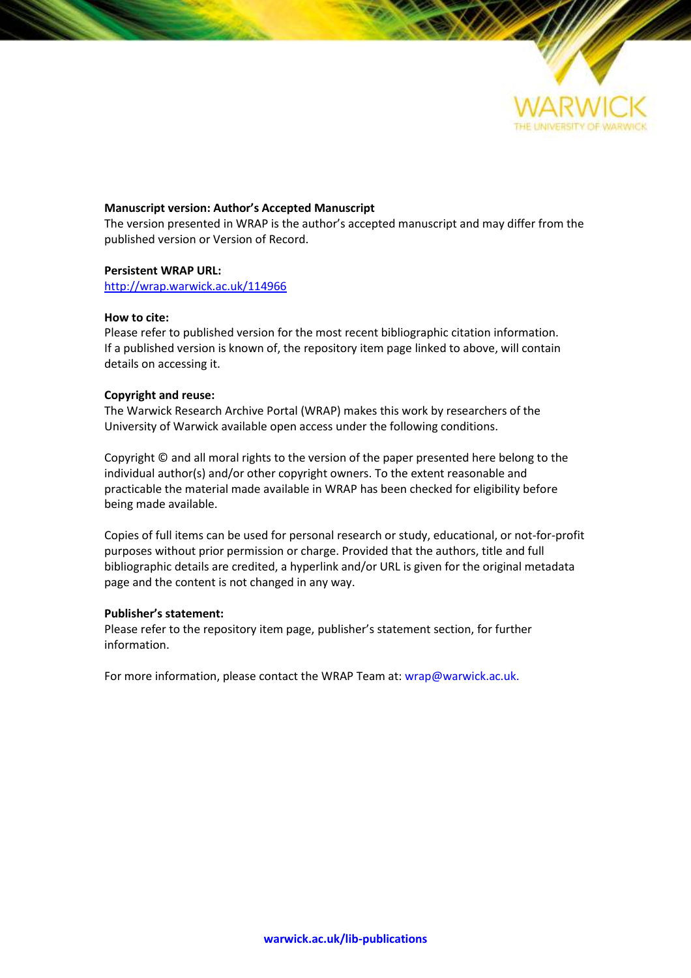

#### **Manuscript version: Author's Accepted Manuscript**

The version presented in WRAP is the author's accepted manuscript and may differ from the published version or Version of Record.

#### **Persistent WRAP URL:**

<http://wrap.warwick.ac.uk/114966>

#### **How to cite:**

Please refer to published version for the most recent bibliographic citation information. If a published version is known of, the repository item page linked to above, will contain details on accessing it.

#### **Copyright and reuse:**

The Warwick Research Archive Portal (WRAP) makes this work by researchers of the University of Warwick available open access under the following conditions.

Copyright © and all moral rights to the version of the paper presented here belong to the individual author(s) and/or other copyright owners. To the extent reasonable and practicable the material made available in WRAP has been checked for eligibility before being made available.

Copies of full items can be used for personal research or study, educational, or not-for-profit purposes without prior permission or charge. Provided that the authors, title and full bibliographic details are credited, a hyperlink and/or URL is given for the original metadata page and the content is not changed in any way.

#### **Publisher's statement:**

Please refer to the repository item page, publisher's statement section, for further information.

For more information, please contact the WRAP Team at[: wrap@warwick.ac.uk.](mailto:wrap@warwick.ac.uk)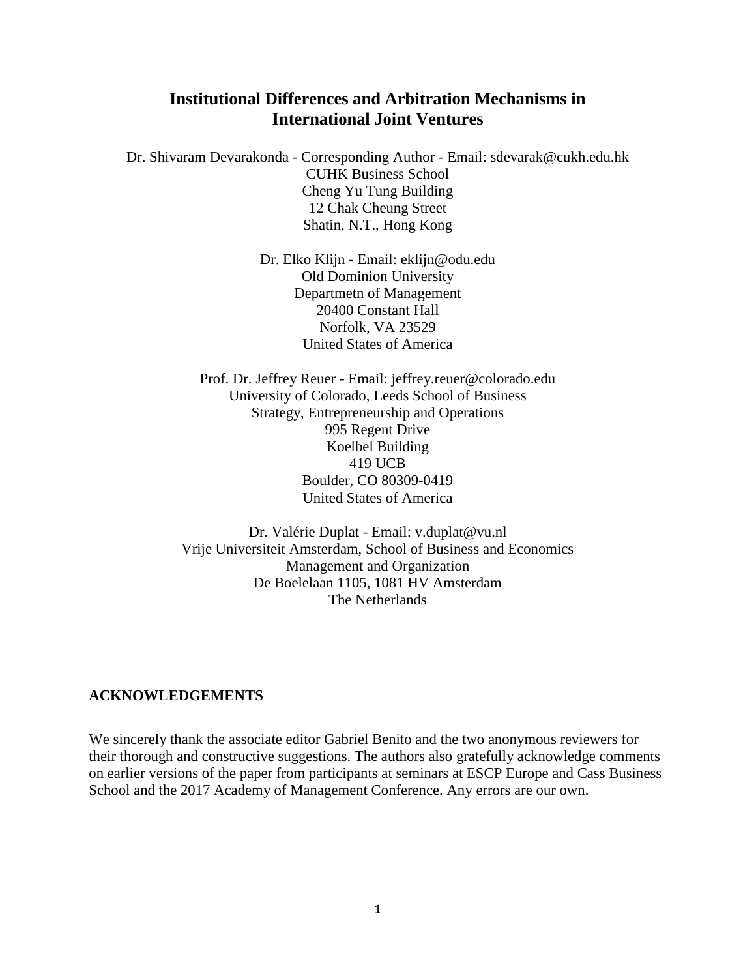## **Institutional Differences and Arbitration Mechanisms in International Joint Ventures**

Dr. Shivaram Devarakonda - Corresponding Author - Email: sdevarak@cukh.edu.hk CUHK Business School Cheng Yu Tung Building 12 Chak Cheung Street Shatin, N.T., Hong Kong

> Dr. Elko Klijn - Email: eklijn@odu.edu Old Dominion University Departmetn of Management 20400 Constant Hall Norfolk, VA 23529 United States of America

Prof. Dr. Jeffrey Reuer - Email: jeffrey.reuer@colorado.edu University of Colorado, Leeds School of Business Strategy, Entrepreneurship and Operations 995 Regent Drive Koelbel Building 419 UCB Boulder, CO 80309-0419 United States of America

Dr. Valérie Duplat - Email: v.duplat@vu.nl Vrije Universiteit Amsterdam, School of Business and Economics Management and Organization De Boelelaan 1105, 1081 HV Amsterdam The Netherlands

### **ACKNOWLEDGEMENTS**

We sincerely thank the associate editor Gabriel Benito and the two anonymous reviewers for their thorough and constructive suggestions. The authors also gratefully acknowledge comments on earlier versions of the paper from participants at seminars at ESCP Europe and Cass Business School and the 2017 Academy of Management Conference. Any errors are our own.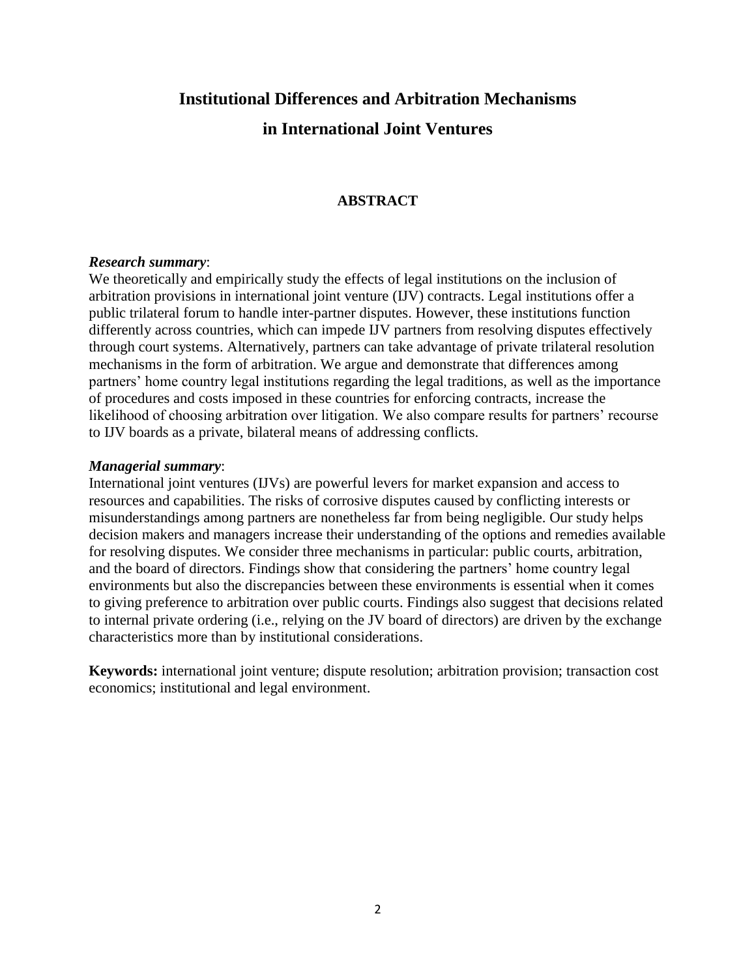# **Institutional Differences and Arbitration Mechanisms in International Joint Ventures**

## **ABSTRACT**

#### *Research summary*:

We theoretically and empirically study the effects of legal institutions on the inclusion of arbitration provisions in international joint venture (IJV) contracts. Legal institutions offer a public trilateral forum to handle inter-partner disputes. However, these institutions function differently across countries, which can impede IJV partners from resolving disputes effectively through court systems. Alternatively, partners can take advantage of private trilateral resolution mechanisms in the form of arbitration. We argue and demonstrate that differences among partners' home country legal institutions regarding the legal traditions, as well as the importance of procedures and costs imposed in these countries for enforcing contracts, increase the likelihood of choosing arbitration over litigation. We also compare results for partners' recourse to IJV boards as a private, bilateral means of addressing conflicts.

### *Managerial summary*:

International joint ventures (IJVs) are powerful levers for market expansion and access to resources and capabilities. The risks of corrosive disputes caused by conflicting interests or misunderstandings among partners are nonetheless far from being negligible. Our study helps decision makers and managers increase their understanding of the options and remedies available for resolving disputes. We consider three mechanisms in particular: public courts, arbitration, and the board of directors. Findings show that considering the partners' home country legal environments but also the discrepancies between these environments is essential when it comes to giving preference to arbitration over public courts. Findings also suggest that decisions related to internal private ordering (i.e., relying on the JV board of directors) are driven by the exchange characteristics more than by institutional considerations.

**Keywords:** international joint venture; dispute resolution; arbitration provision; transaction cost economics; institutional and legal environment.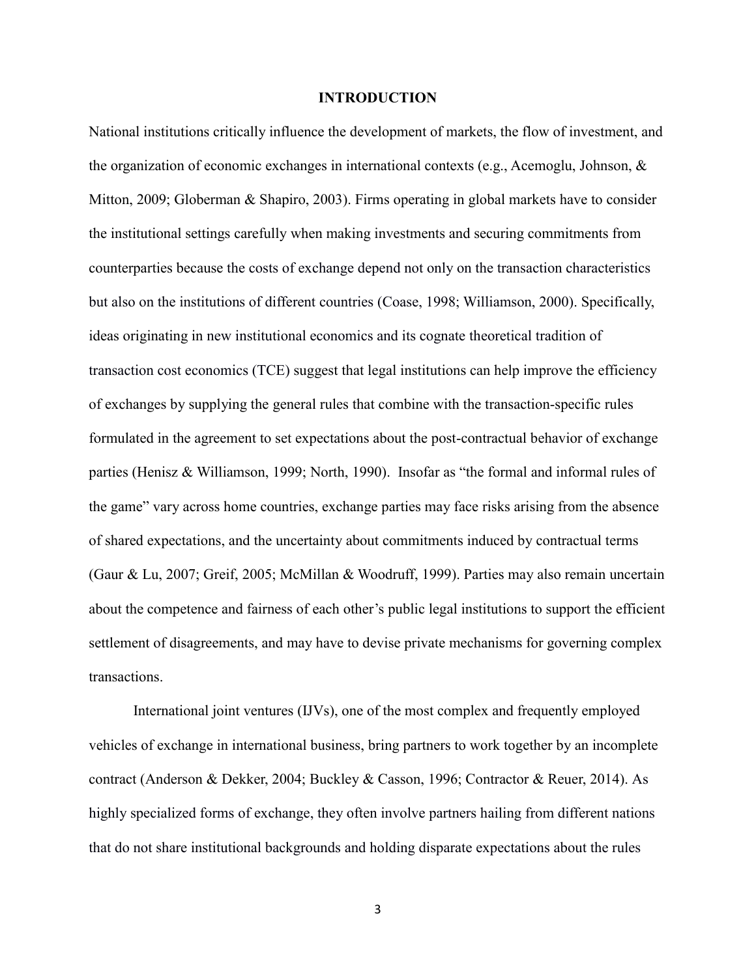#### **INTRODUCTION**

National institutions critically influence the development of markets, the flow of investment, and the organization of economic exchanges in international contexts (e.g., Acemoglu, Johnson, & Mitton, 2009; Globerman & Shapiro, 2003). Firms operating in global markets have to consider the institutional settings carefully when making investments and securing commitments from counterparties because the costs of exchange depend not only on the transaction characteristics but also on the institutions of different countries (Coase, 1998; Williamson, 2000). Specifically, ideas originating in new institutional economics and its cognate theoretical tradition of transaction cost economics (TCE) suggest that legal institutions can help improve the efficiency of exchanges by supplying the general rules that combine with the transaction-specific rules formulated in the agreement to set expectations about the post-contractual behavior of exchange parties (Henisz & Williamson, 1999; North, 1990). Insofar as "the formal and informal rules of the game" vary across home countries, exchange parties may face risks arising from the absence of shared expectations, and the uncertainty about commitments induced by contractual terms (Gaur & Lu, 2007; Greif, 2005; McMillan & Woodruff, 1999). Parties may also remain uncertain about the competence and fairness of each other's public legal institutions to support the efficient settlement of disagreements, and may have to devise private mechanisms for governing complex transactions.

International joint ventures (IJVs), one of the most complex and frequently employed vehicles of exchange in international business, bring partners to work together by an incomplete contract (Anderson & Dekker, 2004; Buckley & Casson, 1996; Contractor & Reuer, 2014). As highly specialized forms of exchange, they often involve partners hailing from different nations that do not share institutional backgrounds and holding disparate expectations about the rules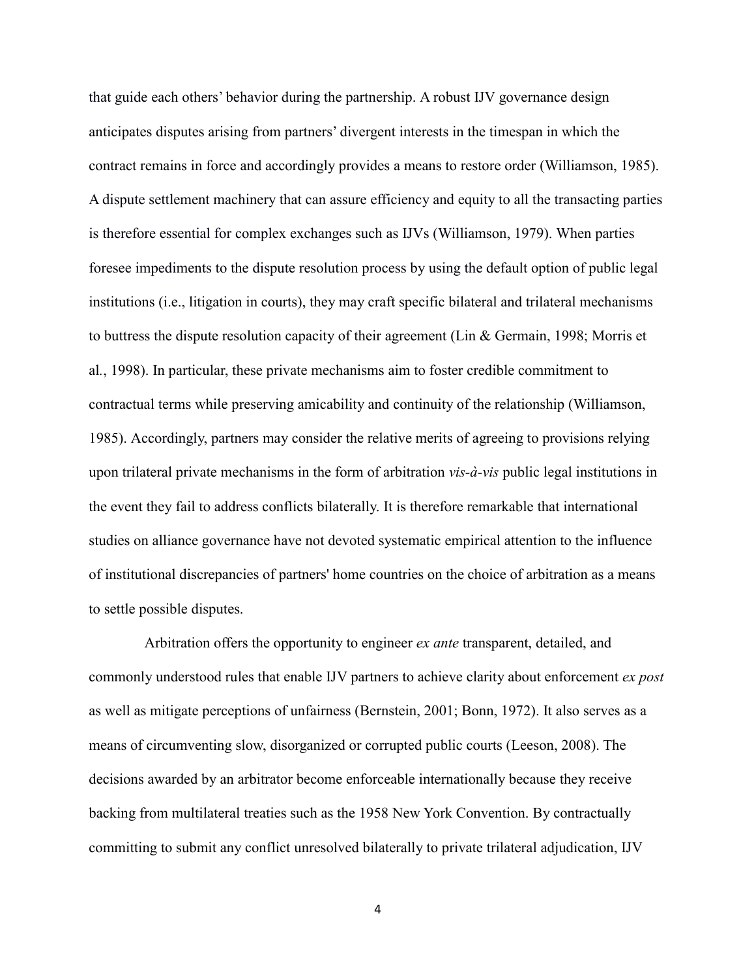that guide each others' behavior during the partnership. A robust IJV governance design anticipates disputes arising from partners' divergent interests in the timespan in which the contract remains in force and accordingly provides a means to restore order (Williamson, 1985). A dispute settlement machinery that can assure efficiency and equity to all the transacting parties is therefore essential for complex exchanges such as IJVs (Williamson, 1979). When parties foresee impediments to the dispute resolution process by using the default option of public legal institutions (i.e., litigation in courts), they may craft specific bilateral and trilateral mechanisms to buttress the dispute resolution capacity of their agreement (Lin & Germain, 1998; Morris et al*.*, 1998). In particular, these private mechanisms aim to foster credible commitment to contractual terms while preserving amicability and continuity of the relationship (Williamson, 1985). Accordingly, partners may consider the relative merits of agreeing to provisions relying upon trilateral private mechanisms in the form of arbitration *vis-à-vis* public legal institutions in the event they fail to address conflicts bilaterally. It is therefore remarkable that international studies on alliance governance have not devoted systematic empirical attention to the influence of institutional discrepancies of partners' home countries on the choice of arbitration as a means to settle possible disputes.

 Arbitration offers the opportunity to engineer *ex ante* transparent, detailed, and commonly understood rules that enable IJV partners to achieve clarity about enforcement *ex post* as well as mitigate perceptions of unfairness (Bernstein, 2001; Bonn, 1972). It also serves as a means of circumventing slow, disorganized or corrupted public courts (Leeson, 2008). The decisions awarded by an arbitrator become enforceable internationally because they receive backing from multilateral treaties such as the 1958 New York Convention. By contractually committing to submit any conflict unresolved bilaterally to private trilateral adjudication, IJV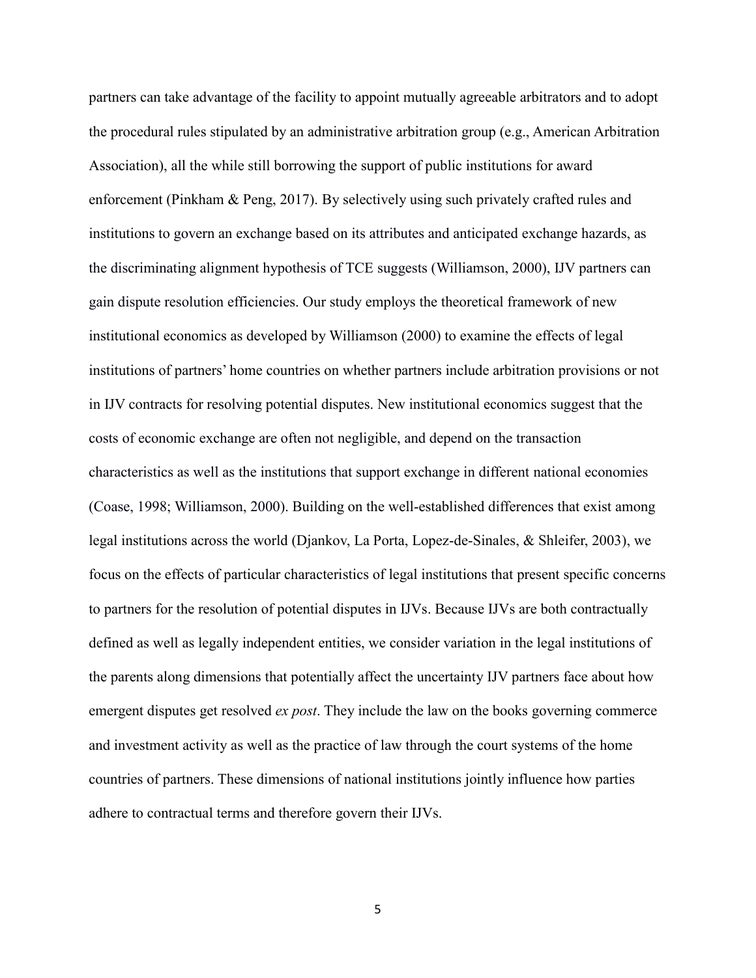partners can take advantage of the facility to appoint mutually agreeable arbitrators and to adopt the procedural rules stipulated by an administrative arbitration group (e.g., American Arbitration Association), all the while still borrowing the support of public institutions for award enforcement (Pinkham & Peng, 2017). By selectively using such privately crafted rules and institutions to govern an exchange based on its attributes and anticipated exchange hazards, as the discriminating alignment hypothesis of TCE suggests (Williamson, 2000), IJV partners can gain dispute resolution efficiencies. Our study employs the theoretical framework of new institutional economics as developed by Williamson (2000) to examine the effects of legal institutions of partners' home countries on whether partners include arbitration provisions or not in IJV contracts for resolving potential disputes. New institutional economics suggest that the costs of economic exchange are often not negligible, and depend on the transaction characteristics as well as the institutions that support exchange in different national economies (Coase, 1998; Williamson, 2000). Building on the well-established differences that exist among legal institutions across the world (Djankov, La Porta, Lopez-de-Sinales, & Shleifer, 2003), we focus on the effects of particular characteristics of legal institutions that present specific concerns to partners for the resolution of potential disputes in IJVs. Because IJVs are both contractually defined as well as legally independent entities, we consider variation in the legal institutions of the parents along dimensions that potentially affect the uncertainty IJV partners face about how emergent disputes get resolved *ex post*. They include the law on the books governing commerce and investment activity as well as the practice of law through the court systems of the home countries of partners. These dimensions of national institutions jointly influence how parties adhere to contractual terms and therefore govern their IJVs.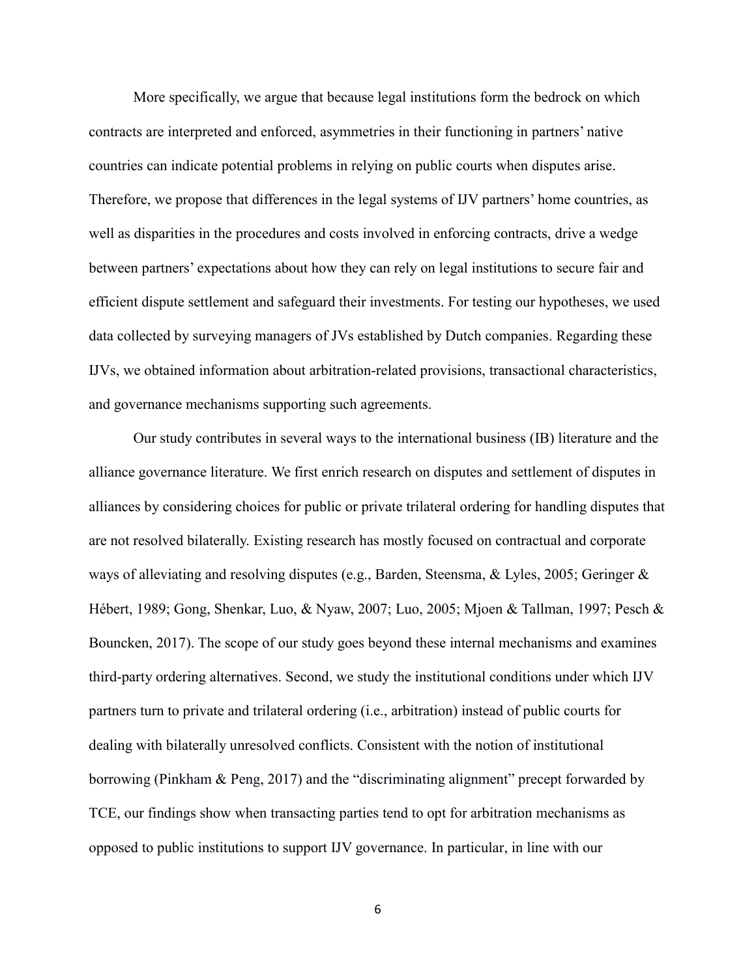More specifically, we argue that because legal institutions form the bedrock on which contracts are interpreted and enforced, asymmetries in their functioning in partners' native countries can indicate potential problems in relying on public courts when disputes arise. Therefore, we propose that differences in the legal systems of IJV partners' home countries, as well as disparities in the procedures and costs involved in enforcing contracts, drive a wedge between partners' expectations about how they can rely on legal institutions to secure fair and efficient dispute settlement and safeguard their investments. For testing our hypotheses, we used data collected by surveying managers of JVs established by Dutch companies. Regarding these IJVs, we obtained information about arbitration-related provisions, transactional characteristics, and governance mechanisms supporting such agreements.

Our study contributes in several ways to the international business (IB) literature and the alliance governance literature. We first enrich research on disputes and settlement of disputes in alliances by considering choices for public or private trilateral ordering for handling disputes that are not resolved bilaterally. Existing research has mostly focused on contractual and corporate ways of alleviating and resolving disputes (e.g., Barden, Steensma, & Lyles, 2005; Geringer & Hébert, 1989; Gong, Shenkar, Luo, & Nyaw, 2007; Luo, 2005; Mjoen & Tallman, 1997; Pesch & Bouncken, 2017). The scope of our study goes beyond these internal mechanisms and examines third-party ordering alternatives. Second, we study the institutional conditions under which IJV partners turn to private and trilateral ordering (i.e., arbitration) instead of public courts for dealing with bilaterally unresolved conflicts. Consistent with the notion of institutional borrowing (Pinkham & Peng, 2017) and the "discriminating alignment" precept forwarded by TCE, our findings show when transacting parties tend to opt for arbitration mechanisms as opposed to public institutions to support IJV governance. In particular, in line with our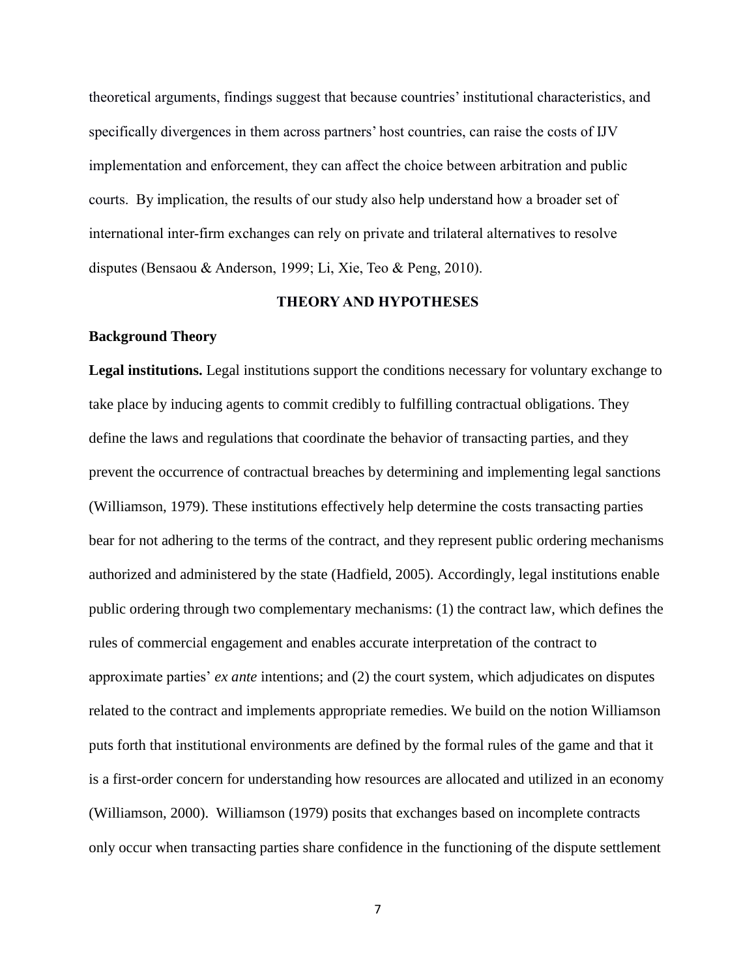theoretical arguments, findings suggest that because countries' institutional characteristics, and specifically divergences in them across partners' host countries, can raise the costs of IJV implementation and enforcement, they can affect the choice between arbitration and public courts. By implication, the results of our study also help understand how a broader set of international inter-firm exchanges can rely on private and trilateral alternatives to resolve disputes (Bensaou & Anderson, 1999; Li, Xie, Teo & Peng, 2010).

#### **THEORY AND HYPOTHESES**

#### **Background Theory**

**Legal institutions.** Legal institutions support the conditions necessary for voluntary exchange to take place by inducing agents to commit credibly to fulfilling contractual obligations. They define the laws and regulations that coordinate the behavior of transacting parties, and they prevent the occurrence of contractual breaches by determining and implementing legal sanctions (Williamson, 1979). These institutions effectively help determine the costs transacting parties bear for not adhering to the terms of the contract, and they represent public ordering mechanisms authorized and administered by the state (Hadfield, 2005). Accordingly, legal institutions enable public ordering through two complementary mechanisms: (1) the contract law, which defines the rules of commercial engagement and enables accurate interpretation of the contract to approximate parties' *ex ante* intentions; and (2) the court system, which adjudicates on disputes related to the contract and implements appropriate remedies. We build on the notion Williamson puts forth that institutional environments are defined by the formal rules of the game and that it is a first-order concern for understanding how resources are allocated and utilized in an economy (Williamson, 2000). Williamson (1979) posits that exchanges based on incomplete contracts only occur when transacting parties share confidence in the functioning of the dispute settlement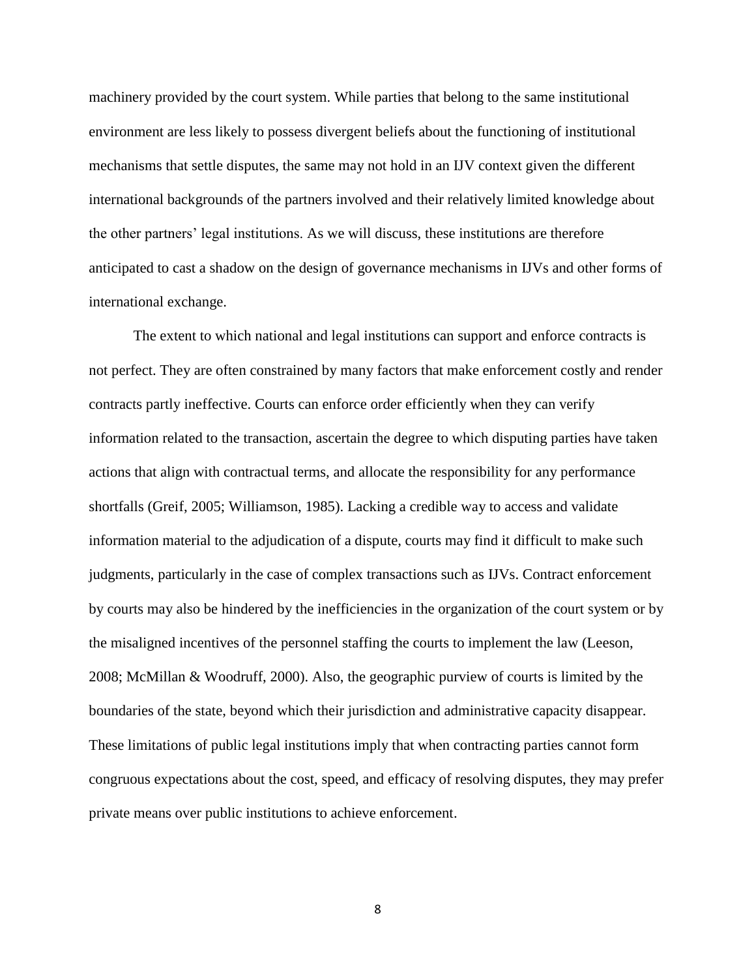machinery provided by the court system. While parties that belong to the same institutional environment are less likely to possess divergent beliefs about the functioning of institutional mechanisms that settle disputes, the same may not hold in an IJV context given the different international backgrounds of the partners involved and their relatively limited knowledge about the other partners' legal institutions. As we will discuss, these institutions are therefore anticipated to cast a shadow on the design of governance mechanisms in IJVs and other forms of international exchange.

The extent to which national and legal institutions can support and enforce contracts is not perfect. They are often constrained by many factors that make enforcement costly and render contracts partly ineffective. Courts can enforce order efficiently when they can verify information related to the transaction, ascertain the degree to which disputing parties have taken actions that align with contractual terms, and allocate the responsibility for any performance shortfalls (Greif, 2005; Williamson, 1985). Lacking a credible way to access and validate information material to the adjudication of a dispute, courts may find it difficult to make such judgments, particularly in the case of complex transactions such as IJVs. Contract enforcement by courts may also be hindered by the inefficiencies in the organization of the court system or by the misaligned incentives of the personnel staffing the courts to implement the law (Leeson, 2008; McMillan & Woodruff, 2000). Also, the geographic purview of courts is limited by the boundaries of the state, beyond which their jurisdiction and administrative capacity disappear. These limitations of public legal institutions imply that when contracting parties cannot form congruous expectations about the cost, speed, and efficacy of resolving disputes, they may prefer private means over public institutions to achieve enforcement.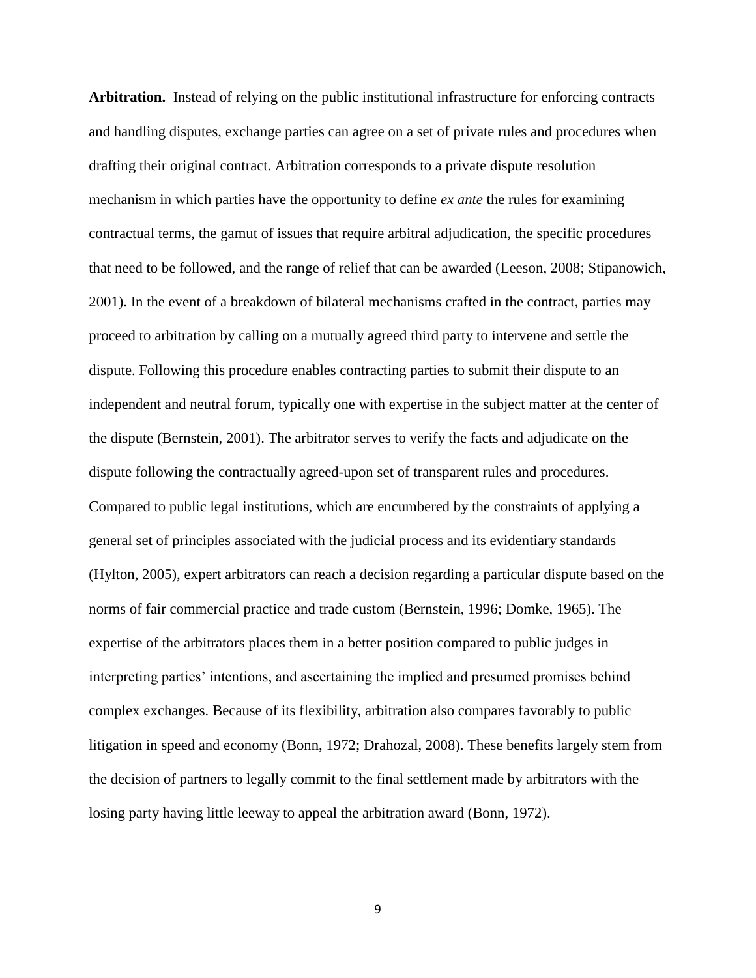**Arbitration.** Instead of relying on the public institutional infrastructure for enforcing contracts and handling disputes, exchange parties can agree on a set of private rules and procedures when drafting their original contract. Arbitration corresponds to a private dispute resolution mechanism in which parties have the opportunity to define *ex ante* the rules for examining contractual terms, the gamut of issues that require arbitral adjudication, the specific procedures that need to be followed, and the range of relief that can be awarded (Leeson, 2008; Stipanowich, 2001). In the event of a breakdown of bilateral mechanisms crafted in the contract, parties may proceed to arbitration by calling on a mutually agreed third party to intervene and settle the dispute. Following this procedure enables contracting parties to submit their dispute to an independent and neutral forum, typically one with expertise in the subject matter at the center of the dispute (Bernstein, 2001). The arbitrator serves to verify the facts and adjudicate on the dispute following the contractually agreed-upon set of transparent rules and procedures. Compared to public legal institutions, which are encumbered by the constraints of applying a general set of principles associated with the judicial process and its evidentiary standards (Hylton, 2005), expert arbitrators can reach a decision regarding a particular dispute based on the norms of fair commercial practice and trade custom (Bernstein, 1996; Domke, 1965). The expertise of the arbitrators places them in a better position compared to public judges in interpreting parties' intentions, and ascertaining the implied and presumed promises behind complex exchanges. Because of its flexibility, arbitration also compares favorably to public litigation in speed and economy (Bonn, 1972; Drahozal, 2008). These benefits largely stem from the decision of partners to legally commit to the final settlement made by arbitrators with the losing party having little leeway to appeal the arbitration award (Bonn, 1972).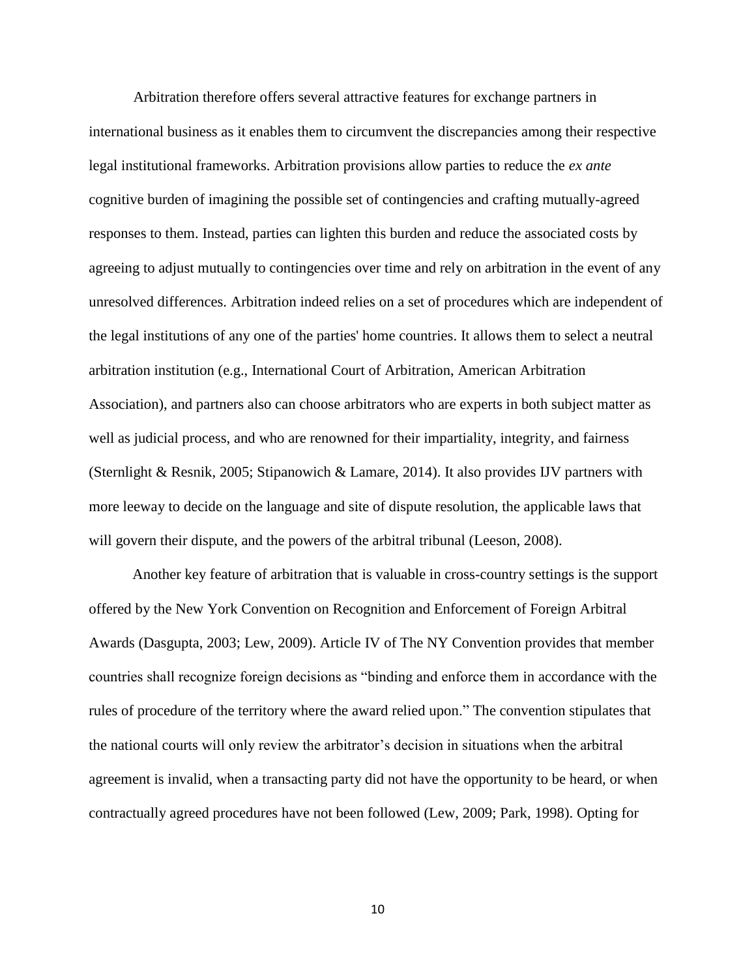Arbitration therefore offers several attractive features for exchange partners in international business as it enables them to circumvent the discrepancies among their respective legal institutional frameworks. Arbitration provisions allow parties to reduce the *ex ante* cognitive burden of imagining the possible set of contingencies and crafting mutually-agreed responses to them. Instead, parties can lighten this burden and reduce the associated costs by agreeing to adjust mutually to contingencies over time and rely on arbitration in the event of any unresolved differences. Arbitration indeed relies on a set of procedures which are independent of the legal institutions of any one of the parties' home countries. It allows them to select a neutral arbitration institution (e.g., International Court of Arbitration, American Arbitration Association), and partners also can choose arbitrators who are experts in both subject matter as well as judicial process, and who are renowned for their impartiality, integrity, and fairness (Sternlight & Resnik, 2005; Stipanowich & Lamare, 2014). It also provides IJV partners with more leeway to decide on the language and site of dispute resolution, the applicable laws that will govern their dispute, and the powers of the arbitral tribunal (Leeson, 2008).

Another key feature of arbitration that is valuable in cross-country settings is the support offered by the New York Convention on Recognition and Enforcement of Foreign Arbitral Awards (Dasgupta, 2003; Lew, 2009). Article IV of The NY Convention provides that member countries shall recognize foreign decisions as "binding and enforce them in accordance with the rules of procedure of the territory where the award relied upon." The convention stipulates that the national courts will only review the arbitrator's decision in situations when the arbitral agreement is invalid, when a transacting party did not have the opportunity to be heard, or when contractually agreed procedures have not been followed (Lew, 2009; Park, 1998). Opting for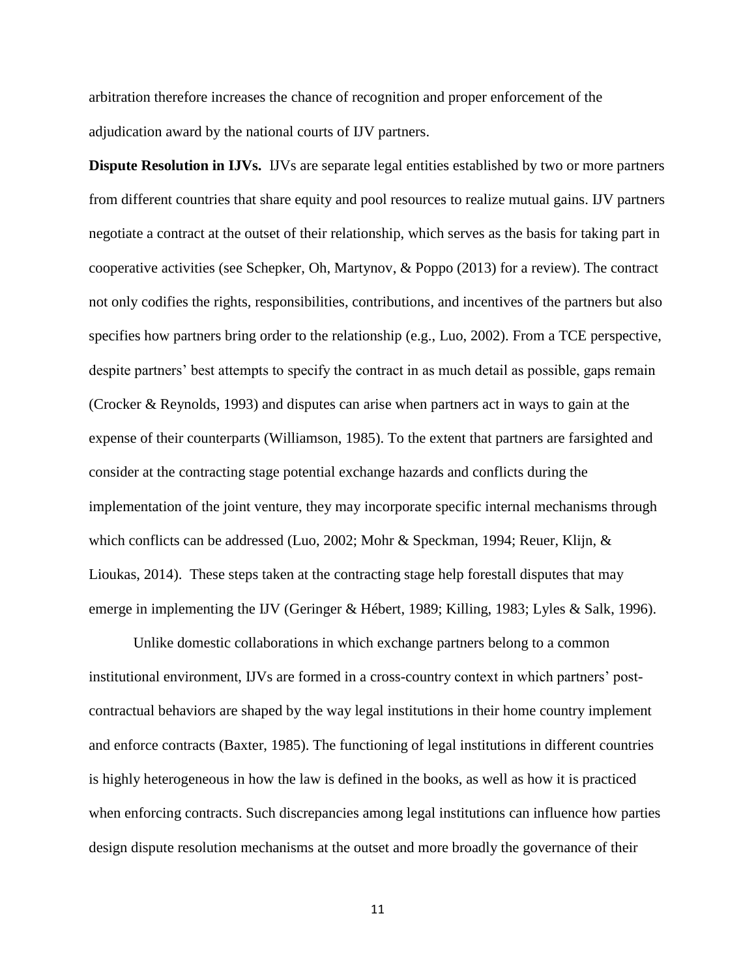arbitration therefore increases the chance of recognition and proper enforcement of the adjudication award by the national courts of IJV partners.

**Dispute Resolution in IJVs.** IJVs are separate legal entities established by two or more partners from different countries that share equity and pool resources to realize mutual gains. IJV partners negotiate a contract at the outset of their relationship, which serves as the basis for taking part in cooperative activities (see Schepker, Oh, Martynov, & Poppo (2013) for a review). The contract not only codifies the rights, responsibilities, contributions, and incentives of the partners but also specifies how partners bring order to the relationship (e.g., Luo, 2002). From a TCE perspective, despite partners' best attempts to specify the contract in as much detail as possible, gaps remain (Crocker & Reynolds, 1993) and disputes can arise when partners act in ways to gain at the expense of their counterparts (Williamson, 1985). To the extent that partners are farsighted and consider at the contracting stage potential exchange hazards and conflicts during the implementation of the joint venture, they may incorporate specific internal mechanisms through which conflicts can be addressed (Luo, 2002; Mohr & Speckman, 1994; Reuer, Klijn, & Lioukas, 2014). These steps taken at the contracting stage help forestall disputes that may emerge in implementing the IJV (Geringer & Hébert, 1989; Killing, 1983; Lyles & Salk, 1996).

Unlike domestic collaborations in which exchange partners belong to a common institutional environment, IJVs are formed in a cross-country context in which partners' postcontractual behaviors are shaped by the way legal institutions in their home country implement and enforce contracts (Baxter, 1985). The functioning of legal institutions in different countries is highly heterogeneous in how the law is defined in the books, as well as how it is practiced when enforcing contracts. Such discrepancies among legal institutions can influence how parties design dispute resolution mechanisms at the outset and more broadly the governance of their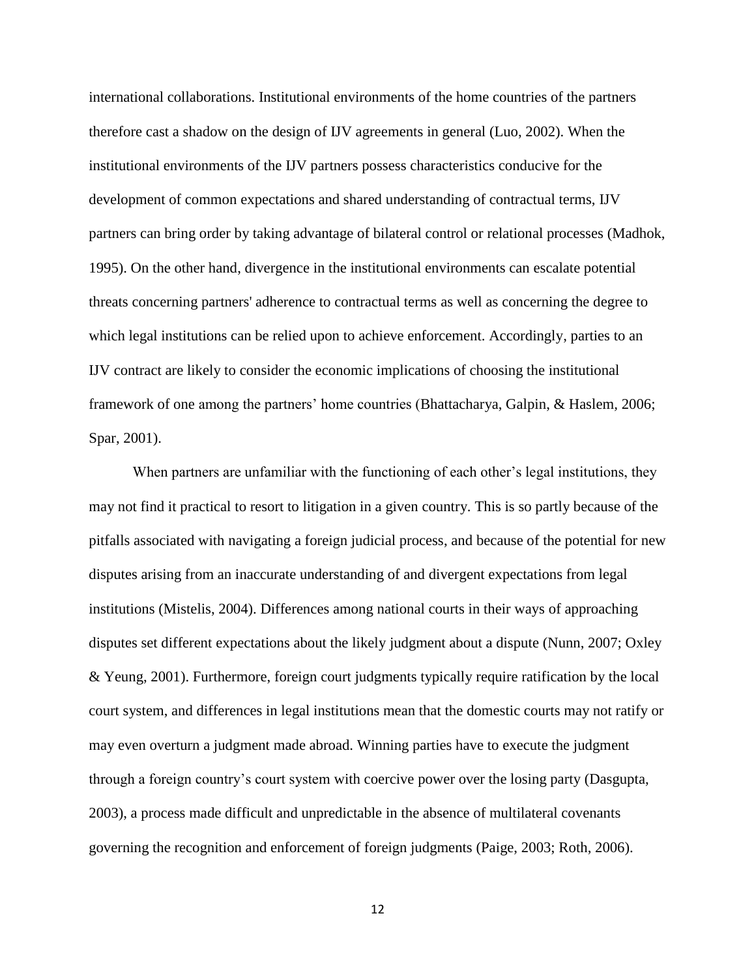international collaborations. Institutional environments of the home countries of the partners therefore cast a shadow on the design of IJV agreements in general (Luo, 2002). When the institutional environments of the IJV partners possess characteristics conducive for the development of common expectations and shared understanding of contractual terms, IJV partners can bring order by taking advantage of bilateral control or relational processes (Madhok, 1995). On the other hand, divergence in the institutional environments can escalate potential threats concerning partners' adherence to contractual terms as well as concerning the degree to which legal institutions can be relied upon to achieve enforcement. Accordingly, parties to an IJV contract are likely to consider the economic implications of choosing the institutional framework of one among the partners' home countries (Bhattacharya, Galpin, & Haslem*,* 2006; Spar, 2001).

When partners are unfamiliar with the functioning of each other's legal institutions, they may not find it practical to resort to litigation in a given country. This is so partly because of the pitfalls associated with navigating a foreign judicial process, and because of the potential for new disputes arising from an inaccurate understanding of and divergent expectations from legal institutions (Mistelis, 2004). Differences among national courts in their ways of approaching disputes set different expectations about the likely judgment about a dispute (Nunn, 2007; Oxley & Yeung, 2001). Furthermore, foreign court judgments typically require ratification by the local court system, and differences in legal institutions mean that the domestic courts may not ratify or may even overturn a judgment made abroad. Winning parties have to execute the judgment through a foreign country's court system with coercive power over the losing party (Dasgupta, 2003), a process made difficult and unpredictable in the absence of multilateral covenants governing the recognition and enforcement of foreign judgments (Paige, 2003; Roth, 2006).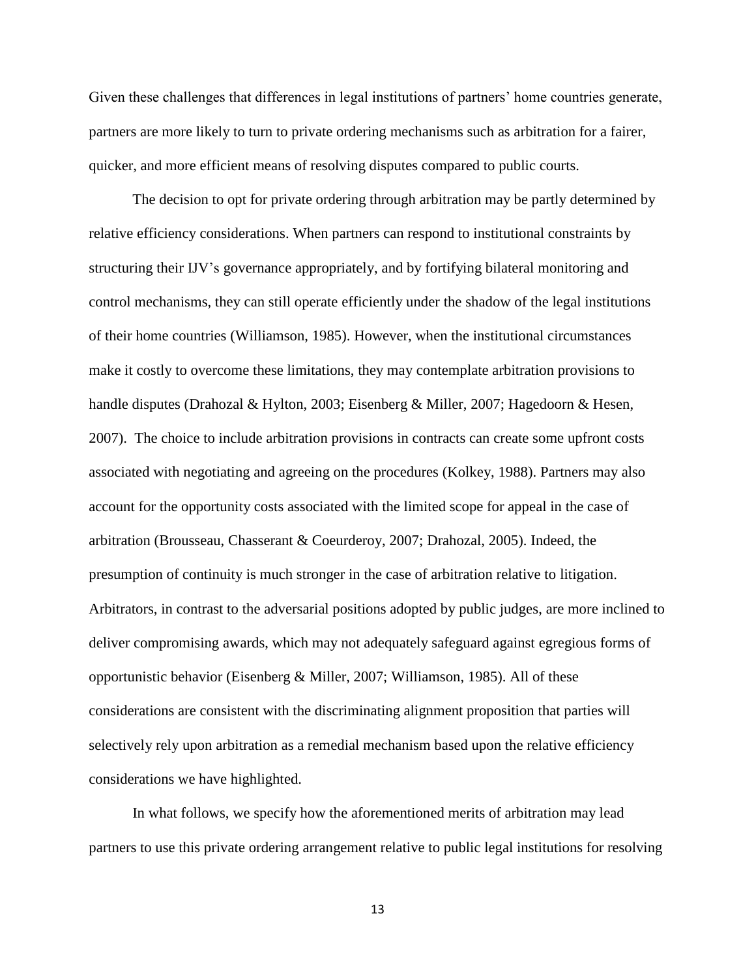Given these challenges that differences in legal institutions of partners' home countries generate, partners are more likely to turn to private ordering mechanisms such as arbitration for a fairer, quicker, and more efficient means of resolving disputes compared to public courts.

The decision to opt for private ordering through arbitration may be partly determined by relative efficiency considerations. When partners can respond to institutional constraints by structuring their IJV's governance appropriately, and by fortifying bilateral monitoring and control mechanisms, they can still operate efficiently under the shadow of the legal institutions of their home countries (Williamson, 1985). However, when the institutional circumstances make it costly to overcome these limitations, they may contemplate arbitration provisions to handle disputes (Drahozal & Hylton, 2003; Eisenberg & Miller, 2007; Hagedoorn & Hesen, 2007). The choice to include arbitration provisions in contracts can create some upfront costs associated with negotiating and agreeing on the procedures (Kolkey, 1988). Partners may also account for the opportunity costs associated with the limited scope for appeal in the case of arbitration (Brousseau, Chasserant & Coeurderoy, 2007; Drahozal, 2005). Indeed, the presumption of continuity is much stronger in the case of arbitration relative to litigation. Arbitrators, in contrast to the adversarial positions adopted by public judges, are more inclined to deliver compromising awards, which may not adequately safeguard against egregious forms of opportunistic behavior (Eisenberg & Miller, 2007; Williamson, 1985). All of these considerations are consistent with the discriminating alignment proposition that parties will selectively rely upon arbitration as a remedial mechanism based upon the relative efficiency considerations we have highlighted.

In what follows, we specify how the aforementioned merits of arbitration may lead partners to use this private ordering arrangement relative to public legal institutions for resolving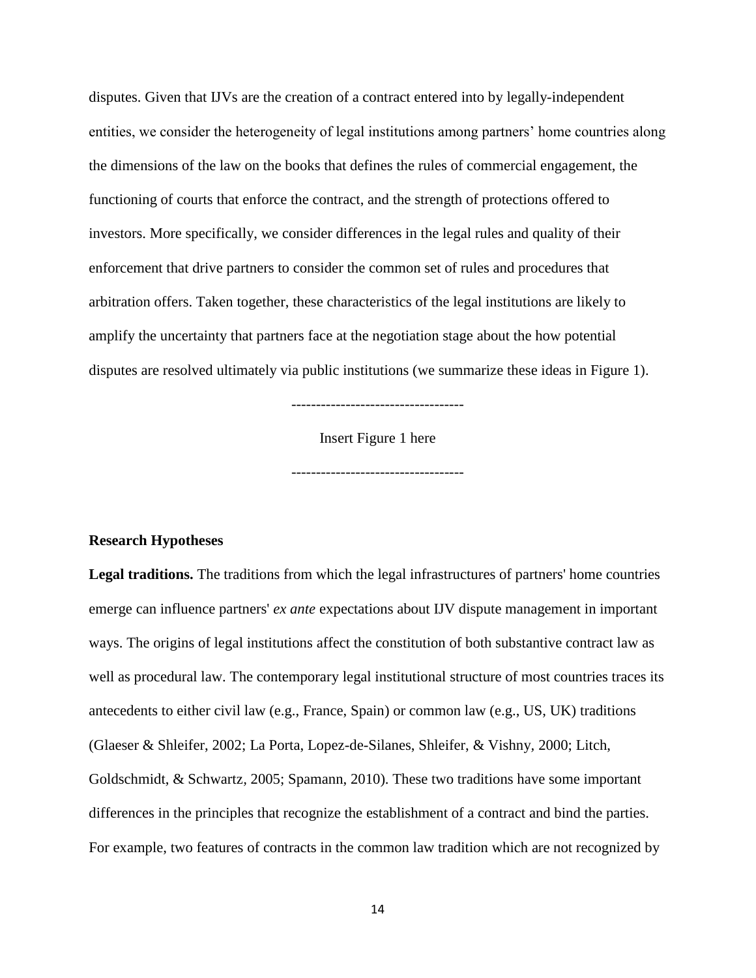disputes. Given that IJVs are the creation of a contract entered into by legally-independent entities, we consider the heterogeneity of legal institutions among partners' home countries along the dimensions of the law on the books that defines the rules of commercial engagement, the functioning of courts that enforce the contract, and the strength of protections offered to investors. More specifically, we consider differences in the legal rules and quality of their enforcement that drive partners to consider the common set of rules and procedures that arbitration offers. Taken together, these characteristics of the legal institutions are likely to amplify the uncertainty that partners face at the negotiation stage about the how potential disputes are resolved ultimately via public institutions (we summarize these ideas in Figure 1).

-----------------------------------

Insert Figure 1 here

-----------------------------------

#### **Research Hypotheses**

**Legal traditions.** The traditions from which the legal infrastructures of partners' home countries emerge can influence partners' *ex ante* expectations about IJV dispute management in important ways. The origins of legal institutions affect the constitution of both substantive contract law as well as procedural law. The contemporary legal institutional structure of most countries traces its antecedents to either civil law (e.g., France, Spain) or common law (e.g., US, UK) traditions (Glaeser & Shleifer, 2002; La Porta, Lopez-de-Silanes, Shleifer, & Vishny*,* 2000; Litch, Goldschmidt, & Schwartz*,* 2005; Spamann, 2010). These two traditions have some important differences in the principles that recognize the establishment of a contract and bind the parties. For example, two features of contracts in the common law tradition which are not recognized by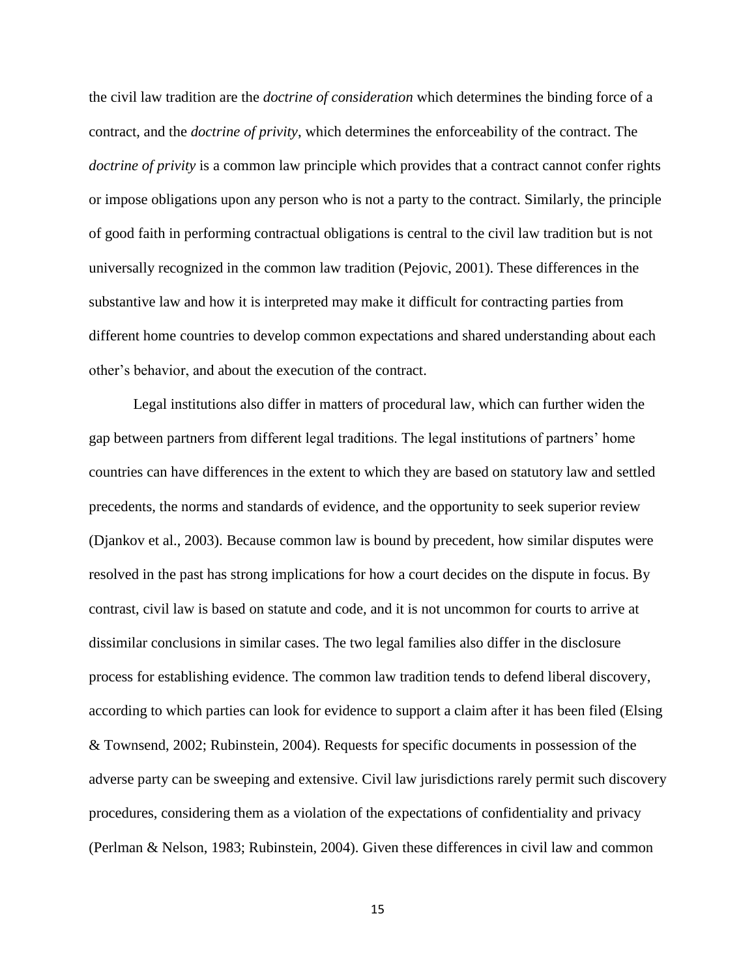the civil law tradition are the *doctrine of consideration* which determines the binding force of a contract, and the *doctrine of privity*, which determines the enforceability of the contract. The *doctrine of privity* is a common law principle which provides that a contract cannot confer rights or impose obligations upon any person who is not a party to the contract. Similarly, the principle of good faith in performing contractual obligations is central to the civil law tradition but is not universally recognized in the common law tradition (Pejovic, 2001). These differences in the substantive law and how it is interpreted may make it difficult for contracting parties from different home countries to develop common expectations and shared understanding about each other's behavior, and about the execution of the contract.

Legal institutions also differ in matters of procedural law, which can further widen the gap between partners from different legal traditions. The legal institutions of partners' home countries can have differences in the extent to which they are based on statutory law and settled precedents, the norms and standards of evidence, and the opportunity to seek superior review (Djankov et al., 2003). Because common law is bound by precedent, how similar disputes were resolved in the past has strong implications for how a court decides on the dispute in focus. By contrast, civil law is based on statute and code, and it is not uncommon for courts to arrive at dissimilar conclusions in similar cases. The two legal families also differ in the disclosure process for establishing evidence. The common law tradition tends to defend liberal discovery, according to which parties can look for evidence to support a claim after it has been filed (Elsing & Townsend, 2002; Rubinstein, 2004). Requests for specific documents in possession of the adverse party can be sweeping and extensive. Civil law jurisdictions rarely permit such discovery procedures, considering them as a violation of the expectations of confidentiality and privacy (Perlman & Nelson, 1983; Rubinstein, 2004). Given these differences in civil law and common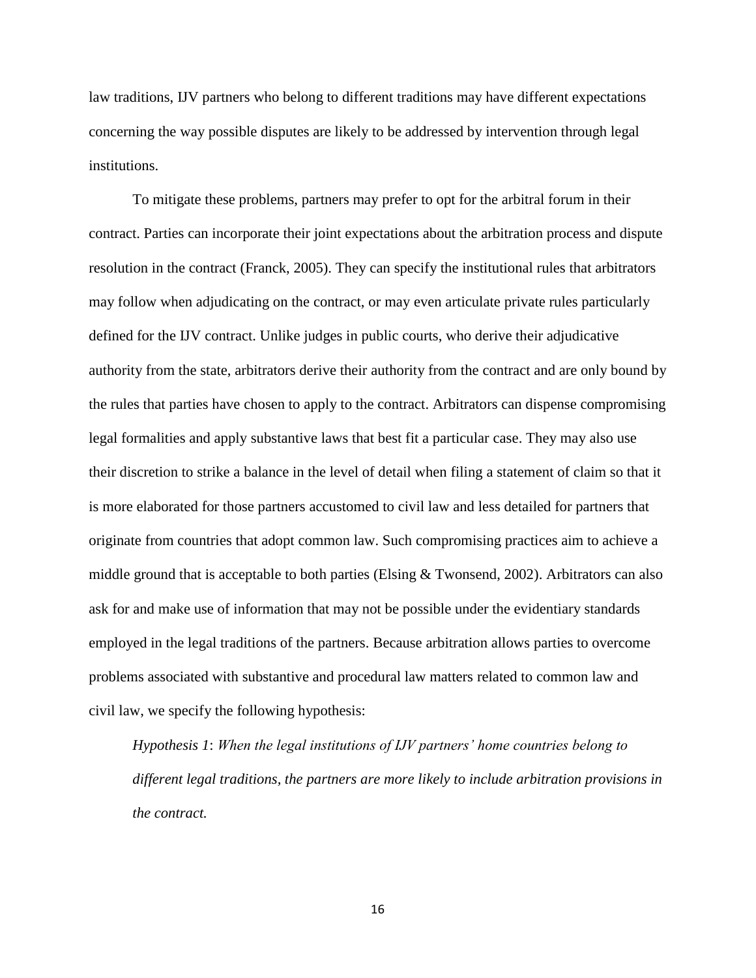law traditions, IJV partners who belong to different traditions may have different expectations concerning the way possible disputes are likely to be addressed by intervention through legal institutions.

To mitigate these problems, partners may prefer to opt for the arbitral forum in their contract. Parties can incorporate their joint expectations about the arbitration process and dispute resolution in the contract (Franck, 2005). They can specify the institutional rules that arbitrators may follow when adjudicating on the contract, or may even articulate private rules particularly defined for the IJV contract. Unlike judges in public courts, who derive their adjudicative authority from the state, arbitrators derive their authority from the contract and are only bound by the rules that parties have chosen to apply to the contract. Arbitrators can dispense compromising legal formalities and apply substantive laws that best fit a particular case. They may also use their discretion to strike a balance in the level of detail when filing a statement of claim so that it is more elaborated for those partners accustomed to civil law and less detailed for partners that originate from countries that adopt common law. Such compromising practices aim to achieve a middle ground that is acceptable to both parties (Elsing & Twonsend, 2002). Arbitrators can also ask for and make use of information that may not be possible under the evidentiary standards employed in the legal traditions of the partners. Because arbitration allows parties to overcome problems associated with substantive and procedural law matters related to common law and civil law, we specify the following hypothesis:

*Hypothesis 1*: *When the legal institutions of IJV partners' home countries belong to different legal traditions, the partners are more likely to include arbitration provisions in the contract.*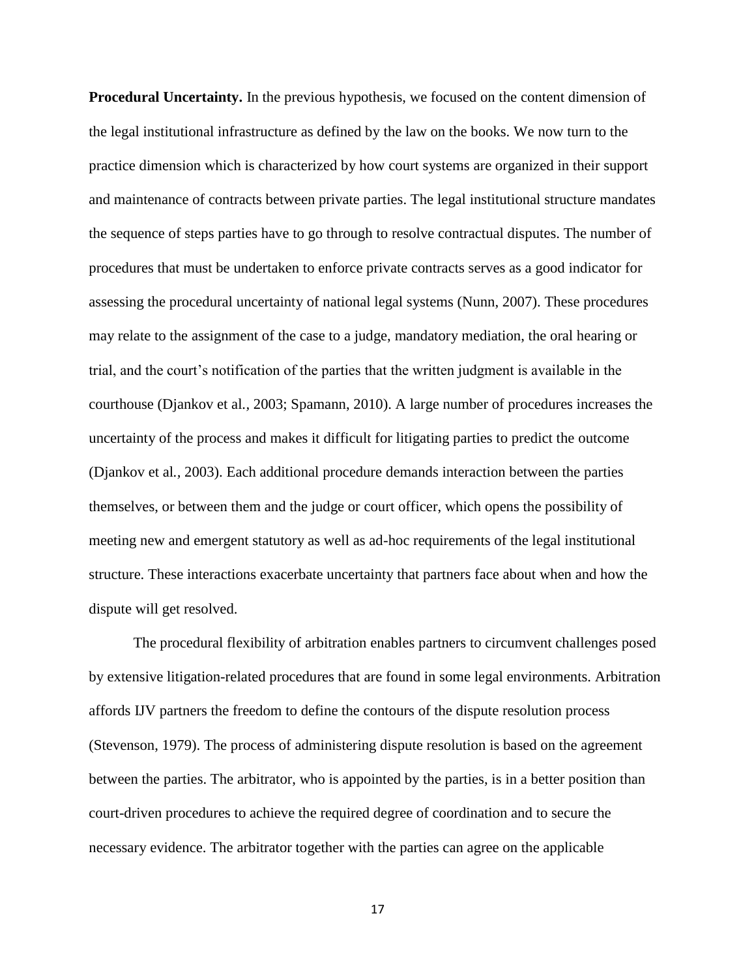**Procedural Uncertainty.** In the previous hypothesis, we focused on the content dimension of the legal institutional infrastructure as defined by the law on the books. We now turn to the practice dimension which is characterized by how court systems are organized in their support and maintenance of contracts between private parties. The legal institutional structure mandates the sequence of steps parties have to go through to resolve contractual disputes. The number of procedures that must be undertaken to enforce private contracts serves as a good indicator for assessing the procedural uncertainty of national legal systems (Nunn, 2007). These procedures may relate to the assignment of the case to a judge, mandatory mediation, the oral hearing or trial, and the court's notification of the parties that the written judgment is available in the courthouse (Djankov et al*.,* 2003; Spamann, 2010). A large number of procedures increases the uncertainty of the process and makes it difficult for litigating parties to predict the outcome (Djankov et al*.,* 2003). Each additional procedure demands interaction between the parties themselves, or between them and the judge or court officer, which opens the possibility of meeting new and emergent statutory as well as ad-hoc requirements of the legal institutional structure. These interactions exacerbate uncertainty that partners face about when and how the dispute will get resolved.

The procedural flexibility of arbitration enables partners to circumvent challenges posed by extensive litigation-related procedures that are found in some legal environments. Arbitration affords IJV partners the freedom to define the contours of the dispute resolution process (Stevenson, 1979). The process of administering dispute resolution is based on the agreement between the parties. The arbitrator, who is appointed by the parties, is in a better position than court-driven procedures to achieve the required degree of coordination and to secure the necessary evidence. The arbitrator together with the parties can agree on the applicable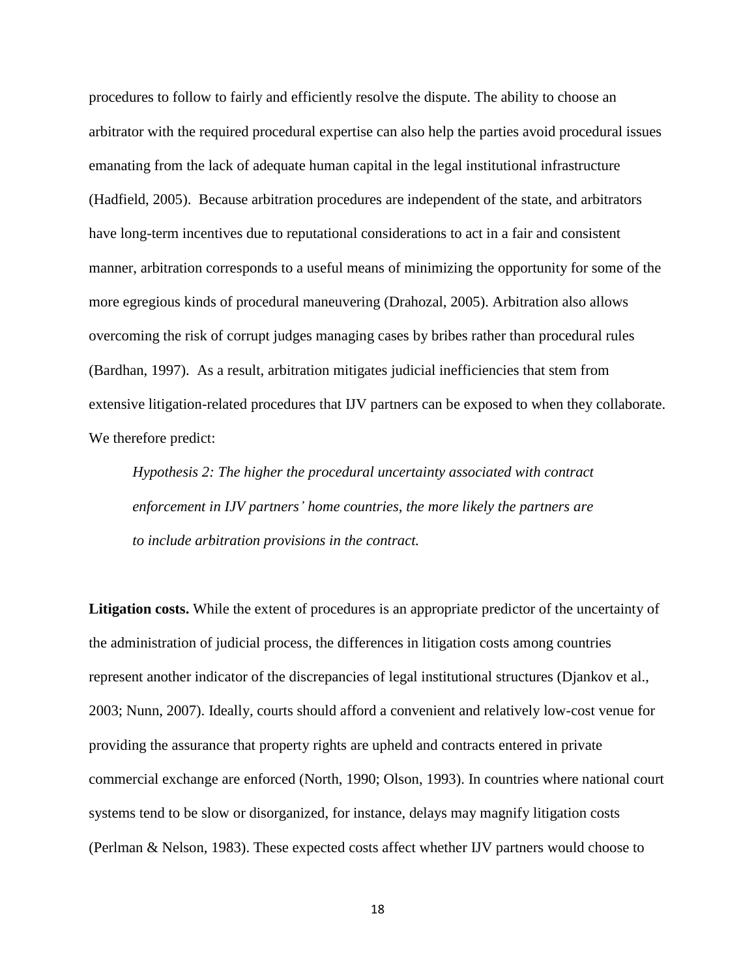procedures to follow to fairly and efficiently resolve the dispute. The ability to choose an arbitrator with the required procedural expertise can also help the parties avoid procedural issues emanating from the lack of adequate human capital in the legal institutional infrastructure (Hadfield, 2005). Because arbitration procedures are independent of the state, and arbitrators have long-term incentives due to reputational considerations to act in a fair and consistent manner, arbitration corresponds to a useful means of minimizing the opportunity for some of the more egregious kinds of procedural maneuvering (Drahozal, 2005). Arbitration also allows overcoming the risk of corrupt judges managing cases by bribes rather than procedural rules (Bardhan, 1997). As a result, arbitration mitigates judicial inefficiencies that stem from extensive litigation-related procedures that IJV partners can be exposed to when they collaborate. We therefore predict:

*Hypothesis 2: The higher the procedural uncertainty associated with contract enforcement in IJV partners' home countries, the more likely the partners are to include arbitration provisions in the contract.*

**Litigation costs.** While the extent of procedures is an appropriate predictor of the uncertainty of the administration of judicial process, the differences in litigation costs among countries represent another indicator of the discrepancies of legal institutional structures (Djankov et al., 2003; Nunn, 2007). Ideally, courts should afford a convenient and relatively low-cost venue for providing the assurance that property rights are upheld and contracts entered in private commercial exchange are enforced (North, 1990; Olson, 1993). In countries where national court systems tend to be slow or disorganized, for instance, delays may magnify litigation costs (Perlman & Nelson, 1983). These expected costs affect whether IJV partners would choose to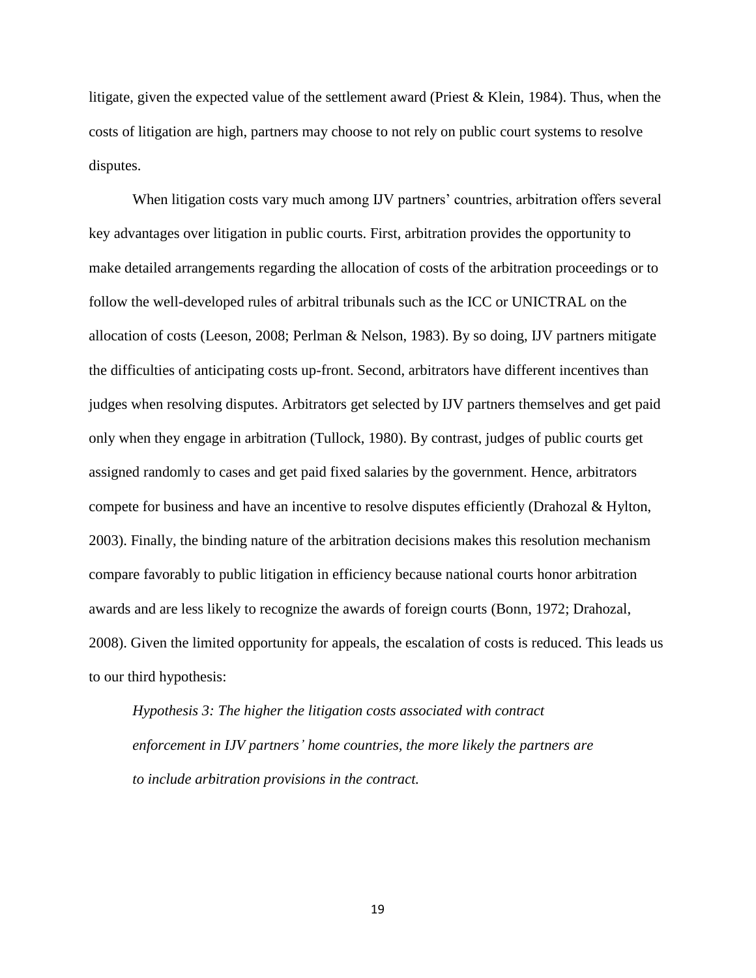litigate, given the expected value of the settlement award (Priest & Klein, 1984). Thus, when the costs of litigation are high, partners may choose to not rely on public court systems to resolve disputes.

When litigation costs vary much among IJV partners' countries, arbitration offers several key advantages over litigation in public courts. First, arbitration provides the opportunity to make detailed arrangements regarding the allocation of costs of the arbitration proceedings or to follow the well-developed rules of arbitral tribunals such as the ICC or UNICTRAL on the allocation of costs (Leeson, 2008; Perlman & Nelson, 1983). By so doing, IJV partners mitigate the difficulties of anticipating costs up-front. Second, arbitrators have different incentives than judges when resolving disputes. Arbitrators get selected by IJV partners themselves and get paid only when they engage in arbitration (Tullock, 1980). By contrast, judges of public courts get assigned randomly to cases and get paid fixed salaries by the government. Hence, arbitrators compete for business and have an incentive to resolve disputes efficiently (Drahozal & Hylton, 2003). Finally, the binding nature of the arbitration decisions makes this resolution mechanism compare favorably to public litigation in efficiency because national courts honor arbitration awards and are less likely to recognize the awards of foreign courts (Bonn, 1972; Drahozal, 2008). Given the limited opportunity for appeals, the escalation of costs is reduced. This leads us to our third hypothesis:

*Hypothesis 3: The higher the litigation costs associated with contract enforcement in IJV partners' home countries, the more likely the partners are to include arbitration provisions in the contract.*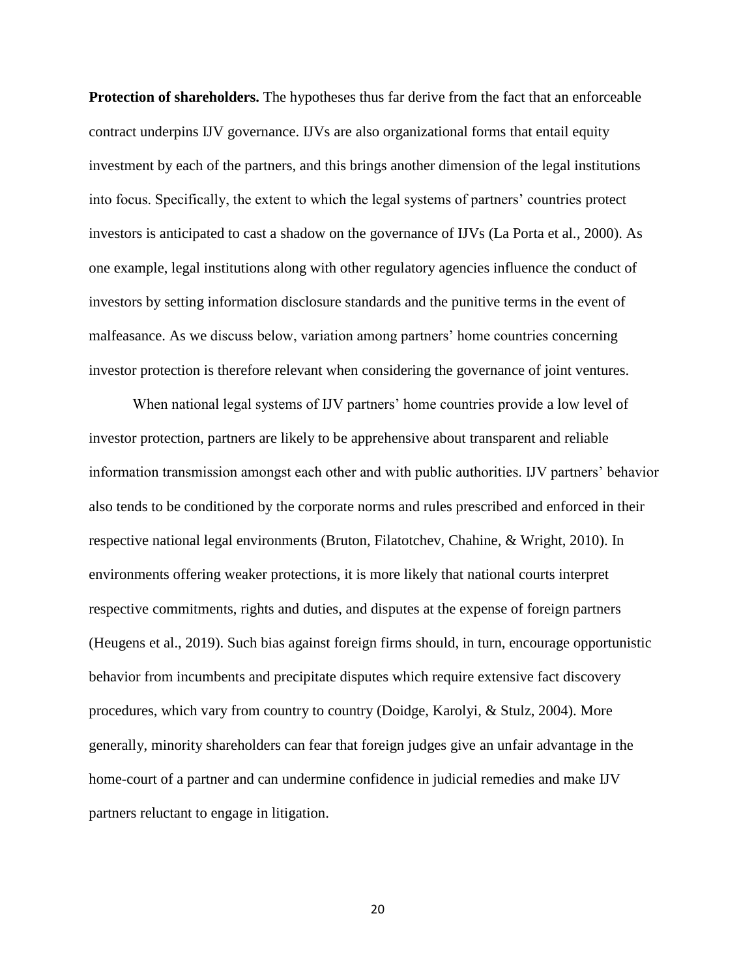**Protection of shareholders.** The hypotheses thus far derive from the fact that an enforceable contract underpins IJV governance. IJVs are also organizational forms that entail equity investment by each of the partners, and this brings another dimension of the legal institutions into focus. Specifically, the extent to which the legal systems of partners' countries protect investors is anticipated to cast a shadow on the governance of IJVs (La Porta et al*.,* 2000). As one example, legal institutions along with other regulatory agencies influence the conduct of investors by setting information disclosure standards and the punitive terms in the event of malfeasance. As we discuss below, variation among partners' home countries concerning investor protection is therefore relevant when considering the governance of joint ventures.

When national legal systems of IJV partners' home countries provide a low level of investor protection, partners are likely to be apprehensive about transparent and reliable information transmission amongst each other and with public authorities. IJV partners' behavior also tends to be conditioned by the corporate norms and rules prescribed and enforced in their respective national legal environments (Bruton, Filatotchev, Chahine, & Wright, 2010). In environments offering weaker protections, it is more likely that national courts interpret respective commitments, rights and duties, and disputes at the expense of foreign partners (Heugens et al., 2019). Such bias against foreign firms should, in turn, encourage opportunistic behavior from incumbents and precipitate disputes which require extensive fact discovery procedures, which vary from country to country (Doidge, Karolyi, & Stulz, 2004). More generally, minority shareholders can fear that foreign judges give an unfair advantage in the home-court of a partner and can undermine confidence in judicial remedies and make IJV partners reluctant to engage in litigation.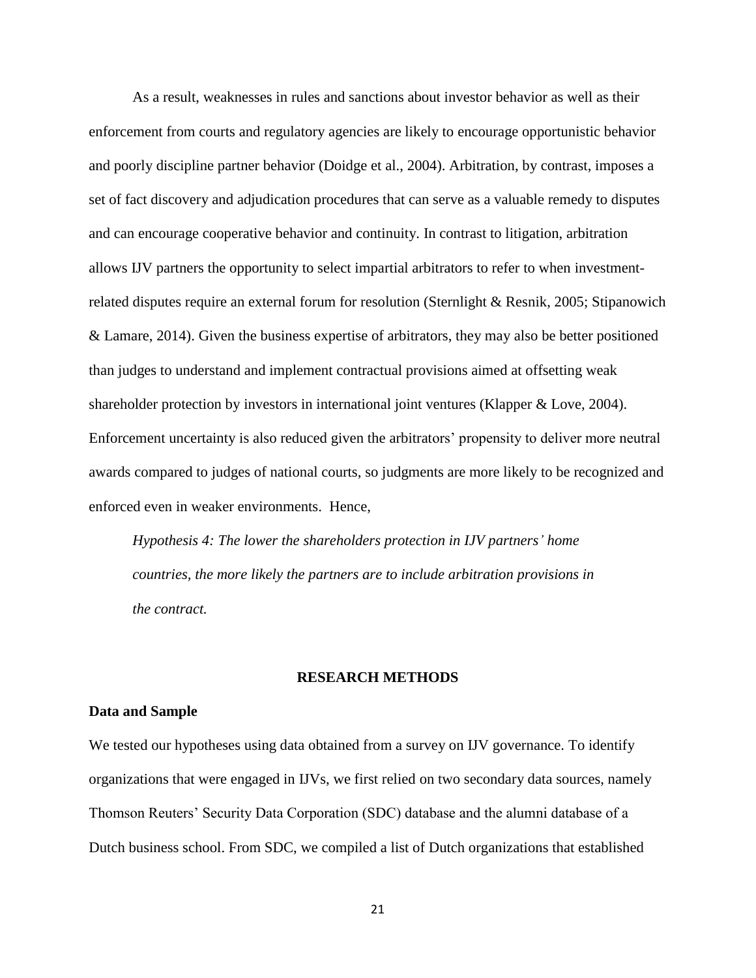As a result, weaknesses in rules and sanctions about investor behavior as well as their enforcement from courts and regulatory agencies are likely to encourage opportunistic behavior and poorly discipline partner behavior (Doidge et al., 2004). Arbitration, by contrast, imposes a set of fact discovery and adjudication procedures that can serve as a valuable remedy to disputes and can encourage cooperative behavior and continuity. In contrast to litigation, arbitration allows IJV partners the opportunity to select impartial arbitrators to refer to when investmentrelated disputes require an external forum for resolution (Sternlight & Resnik, 2005; Stipanowich & Lamare, 2014). Given the business expertise of arbitrators, they may also be better positioned than judges to understand and implement contractual provisions aimed at offsetting weak shareholder protection by investors in international joint ventures (Klapper & Love, 2004). Enforcement uncertainty is also reduced given the arbitrators' propensity to deliver more neutral awards compared to judges of national courts, so judgments are more likely to be recognized and enforced even in weaker environments. Hence,

*Hypothesis 4: The lower the shareholders protection in IJV partners' home countries, the more likely the partners are to include arbitration provisions in the contract.*

#### **RESEARCH METHODS**

#### **Data and Sample**

We tested our hypotheses using data obtained from a survey on IJV governance. To identify organizations that were engaged in IJVs, we first relied on two secondary data sources, namely Thomson Reuters' Security Data Corporation (SDC) database and the alumni database of a Dutch business school. From SDC, we compiled a list of Dutch organizations that established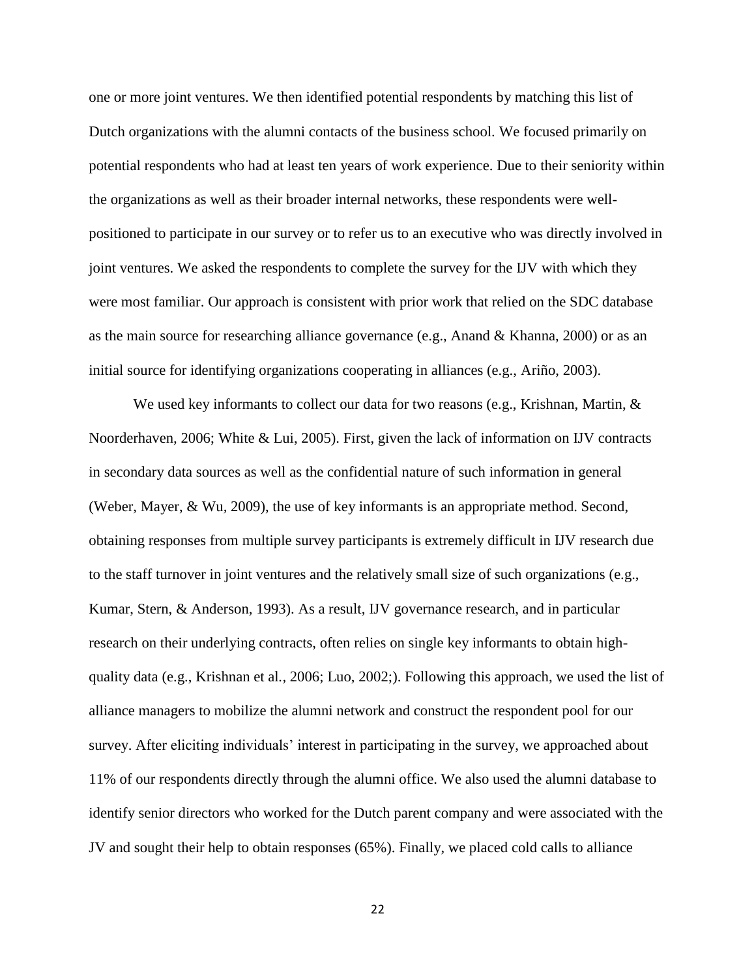one or more joint ventures. We then identified potential respondents by matching this list of Dutch organizations with the alumni contacts of the business school. We focused primarily on potential respondents who had at least ten years of work experience. Due to their seniority within the organizations as well as their broader internal networks, these respondents were wellpositioned to participate in our survey or to refer us to an executive who was directly involved in joint ventures. We asked the respondents to complete the survey for the IJV with which they were most familiar. Our approach is consistent with prior work that relied on the SDC database as the main source for researching alliance governance (e.g., Anand & Khanna, 2000) or as an initial source for identifying organizations cooperating in alliances (e.g., Ariño, 2003).

We used key informants to collect our data for two reasons (e.g., Krishnan, Martin,  $\&$ Noorderhaven*,* 2006; White & Lui, 2005). First, given the lack of information on IJV contracts in secondary data sources as well as the confidential nature of such information in general (Weber, Mayer, & Wu*,* 2009), the use of key informants is an appropriate method. Second, obtaining responses from multiple survey participants is extremely difficult in IJV research due to the staff turnover in joint ventures and the relatively small size of such organizations (e.g., Kumar, Stern, & Anderson*,* 1993). As a result, IJV governance research, and in particular research on their underlying contracts, often relies on single key informants to obtain highquality data (e.g., Krishnan et al*.,* 2006; Luo, 2002;). Following this approach, we used the list of alliance managers to mobilize the alumni network and construct the respondent pool for our survey. After eliciting individuals' interest in participating in the survey, we approached about 11% of our respondents directly through the alumni office. We also used the alumni database to identify senior directors who worked for the Dutch parent company and were associated with the JV and sought their help to obtain responses (65%). Finally, we placed cold calls to alliance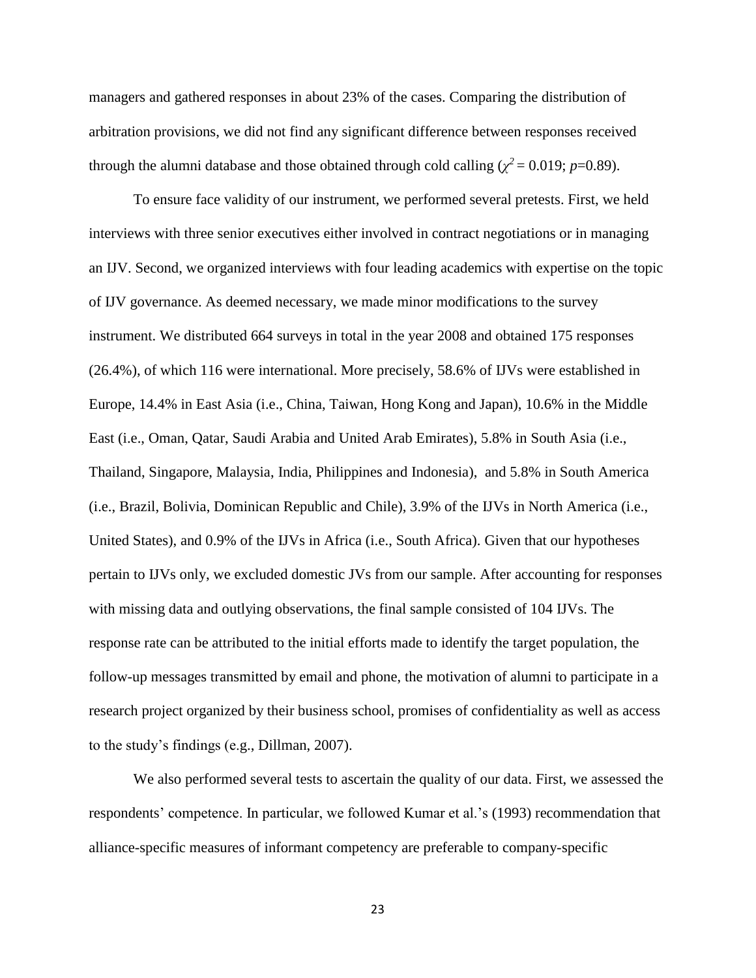managers and gathered responses in about 23% of the cases. Comparing the distribution of arbitration provisions, we did not find any significant difference between responses received through the alumni database and those obtained through cold calling ( $\chi^2$  = 0.019; *p*=0.89).

To ensure face validity of our instrument, we performed several pretests. First, we held interviews with three senior executives either involved in contract negotiations or in managing an IJV. Second, we organized interviews with four leading academics with expertise on the topic of IJV governance. As deemed necessary, we made minor modifications to the survey instrument. We distributed 664 surveys in total in the year 2008 and obtained 175 responses (26.4%), of which 116 were international. More precisely, 58.6% of IJVs were established in Europe, 14.4% in East Asia (i.e., China, Taiwan, Hong Kong and Japan), 10.6% in the Middle East (i.e., Oman, Qatar, Saudi Arabia and United Arab Emirates), 5.8% in South Asia (i.e., Thailand, Singapore, Malaysia, India, Philippines and Indonesia), and 5.8% in South America (i.e., Brazil, Bolivia, Dominican Republic and Chile), 3.9% of the IJVs in North America (i.e., United States), and 0.9% of the IJVs in Africa (i.e., South Africa). Given that our hypotheses pertain to IJVs only, we excluded domestic JVs from our sample. After accounting for responses with missing data and outlying observations, the final sample consisted of 104 IJVs. The response rate can be attributed to the initial efforts made to identify the target population, the follow-up messages transmitted by email and phone, the motivation of alumni to participate in a research project organized by their business school, promises of confidentiality as well as access to the study's findings (e.g., Dillman, 2007).

We also performed several tests to ascertain the quality of our data. First, we assessed the respondents' competence. In particular, we followed Kumar et al.'s (1993) recommendation that alliance-specific measures of informant competency are preferable to company-specific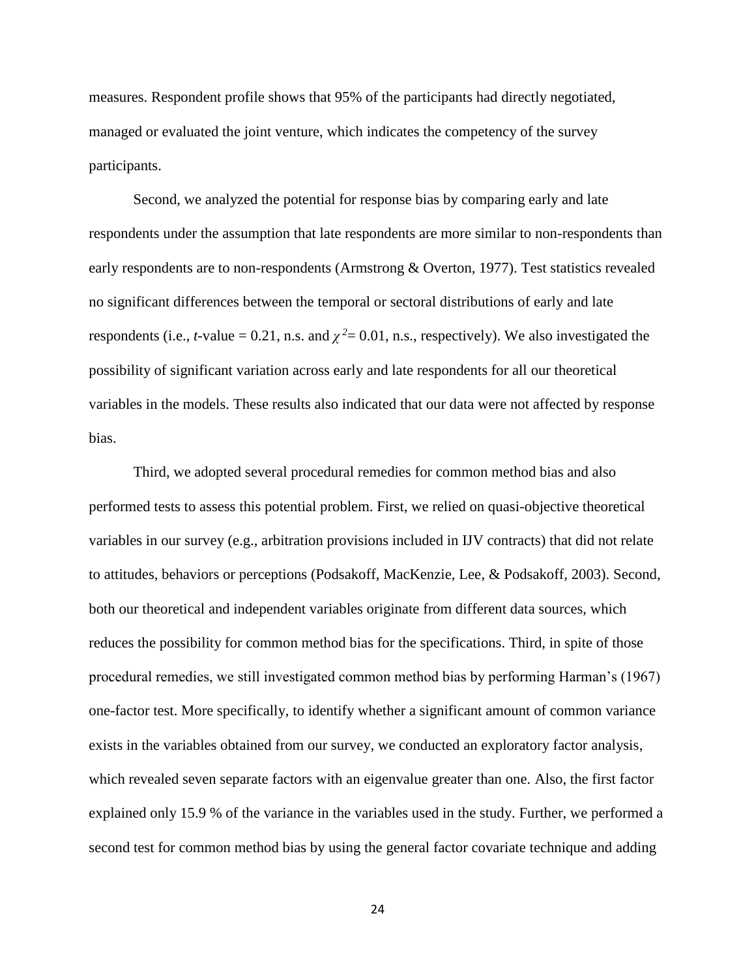measures. Respondent profile shows that 95% of the participants had directly negotiated, managed or evaluated the joint venture, which indicates the competency of the survey participants.

Second, we analyzed the potential for response bias by comparing early and late respondents under the assumption that late respondents are more similar to non-respondents than early respondents are to non-respondents (Armstrong & Overton, 1977). Test statistics revealed no significant differences between the temporal or sectoral distributions of early and late respondents (i.e., *t*-value = 0.21, n.s. and  $\chi^2$  = 0.01, n.s., respectively). We also investigated the possibility of significant variation across early and late respondents for all our theoretical variables in the models. These results also indicated that our data were not affected by response bias.

Third, we adopted several procedural remedies for common method bias and also performed tests to assess this potential problem. First, we relied on quasi-objective theoretical variables in our survey (e.g., arbitration provisions included in IJV contracts) that did not relate to attitudes, behaviors or perceptions (Podsakoff, MacKenzie, Lee, & Podsakoff*,* 2003). Second, both our theoretical and independent variables originate from different data sources, which reduces the possibility for common method bias for the specifications. Third, in spite of those procedural remedies, we still investigated common method bias by performing Harman's (1967) one-factor test. More specifically, to identify whether a significant amount of common variance exists in the variables obtained from our survey, we conducted an exploratory factor analysis, which revealed seven separate factors with an eigenvalue greater than one. Also, the first factor explained only 15.9 % of the variance in the variables used in the study. Further, we performed a second test for common method bias by using the general factor covariate technique and adding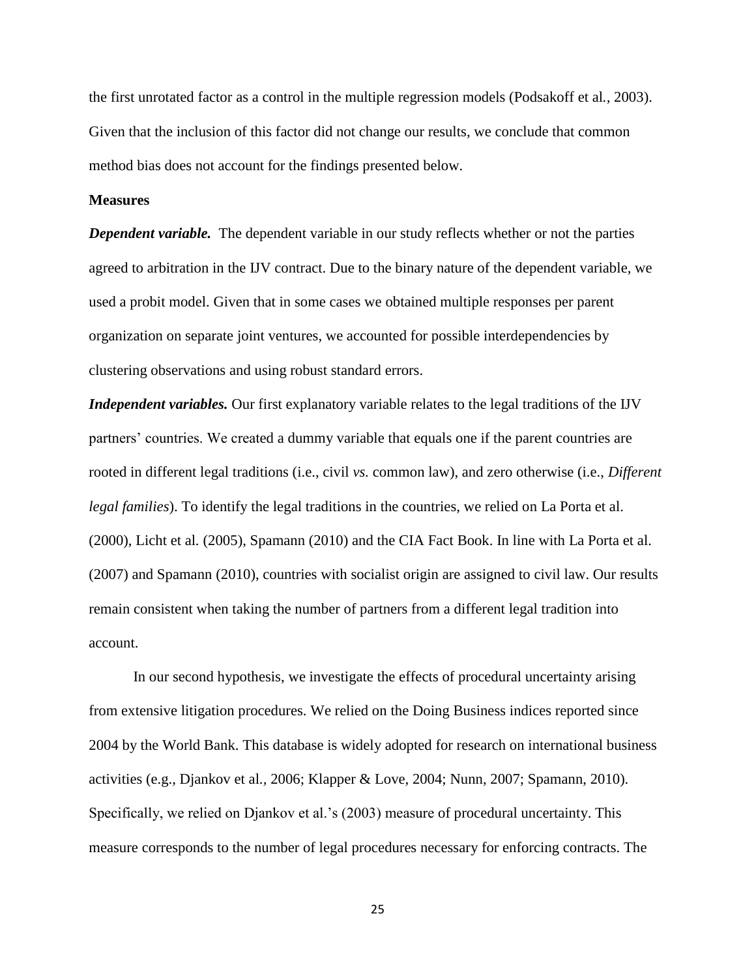the first unrotated factor as a control in the multiple regression models (Podsakoff et al*.,* 2003). Given that the inclusion of this factor did not change our results, we conclude that common method bias does not account for the findings presented below.

#### **Measures**

*Dependent variable.* The dependent variable in our study reflects whether or not the parties agreed to arbitration in the IJV contract. Due to the binary nature of the dependent variable, we used a probit model. Given that in some cases we obtained multiple responses per parent organization on separate joint ventures, we accounted for possible interdependencies by clustering observations and using robust standard errors.

*Independent variables.* Our first explanatory variable relates to the legal traditions of the IJV partners' countries. We created a dummy variable that equals one if the parent countries are rooted in different legal traditions (i.e., civil *vs.* common law), and zero otherwise (i.e., *Different legal families*). To identify the legal traditions in the countries, we relied on La Porta et al. (2000), Licht et al*.* (2005), Spamann (2010) and the CIA Fact Book. In line with La Porta et al. (2007) and Spamann (2010), countries with socialist origin are assigned to civil law. Our results remain consistent when taking the number of partners from a different legal tradition into account.

In our second hypothesis, we investigate the effects of procedural uncertainty arising from extensive litigation procedures. We relied on the Doing Business indices reported since 2004 by the World Bank. This database is widely adopted for research on international business activities (e.g., Djankov et al*.,* 2006; Klapper & Love, 2004; Nunn, 2007; Spamann, 2010). Specifically, we relied on Djankov et al.'s (2003) measure of procedural uncertainty. This measure corresponds to the number of legal procedures necessary for enforcing contracts. The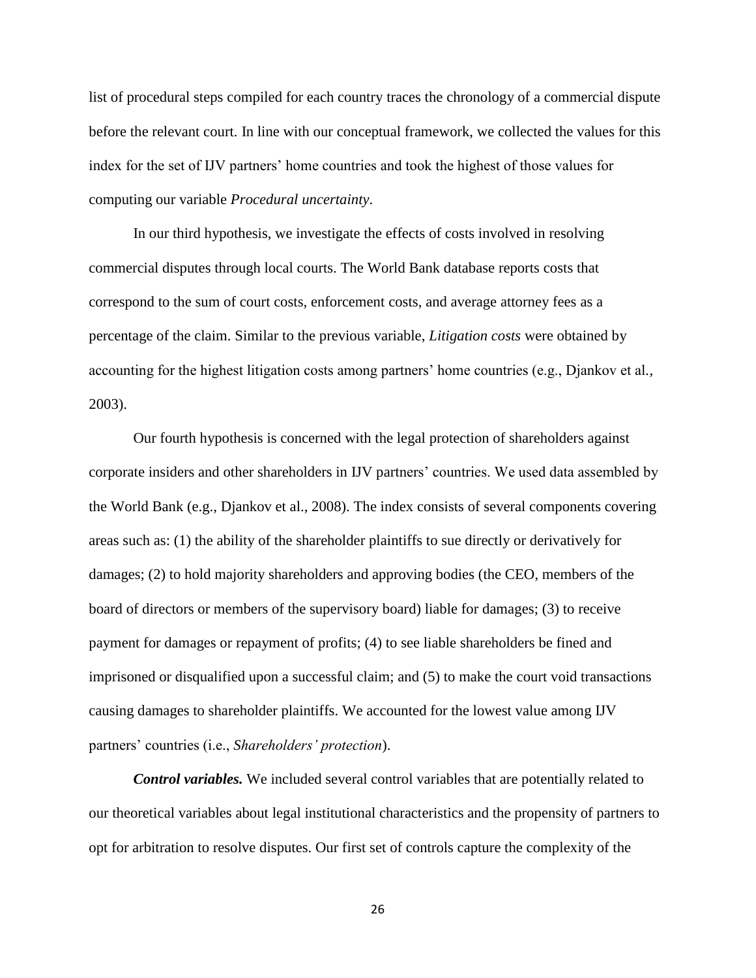list of procedural steps compiled for each country traces the chronology of a commercial dispute before the relevant court. In line with our conceptual framework, we collected the values for this index for the set of IJV partners' home countries and took the highest of those values for computing our variable *Procedural uncertainty*.

In our third hypothesis, we investigate the effects of costs involved in resolving commercial disputes through local courts. The World Bank database reports costs that correspond to the sum of court costs, enforcement costs, and average attorney fees as a percentage of the claim. Similar to the previous variable, *Litigation costs* were obtained by accounting for the highest litigation costs among partners' home countries (e.g., Djankov et al*.*, 2003).

Our fourth hypothesis is concerned with the legal protection of shareholders against corporate insiders and other shareholders in IJV partners' countries. We used data assembled by the World Bank (e.g., Djankov et al., 2008). The index consists of several components covering areas such as: (1) the ability of the shareholder plaintiffs to sue directly or derivatively for damages; (2) to hold majority shareholders and approving bodies (the CEO, members of the board of directors or members of the supervisory board) liable for damages; (3) to receive payment for damages or repayment of profits; (4) to see liable shareholders be fined and imprisoned or disqualified upon a successful claim; and (5) to make the court void transactions causing damages to shareholder plaintiffs. We accounted for the lowest value among IJV partners' countries (i.e., *Shareholders' protection*).

*Control variables.* We included several control variables that are potentially related to our theoretical variables about legal institutional characteristics and the propensity of partners to opt for arbitration to resolve disputes. Our first set of controls capture the complexity of the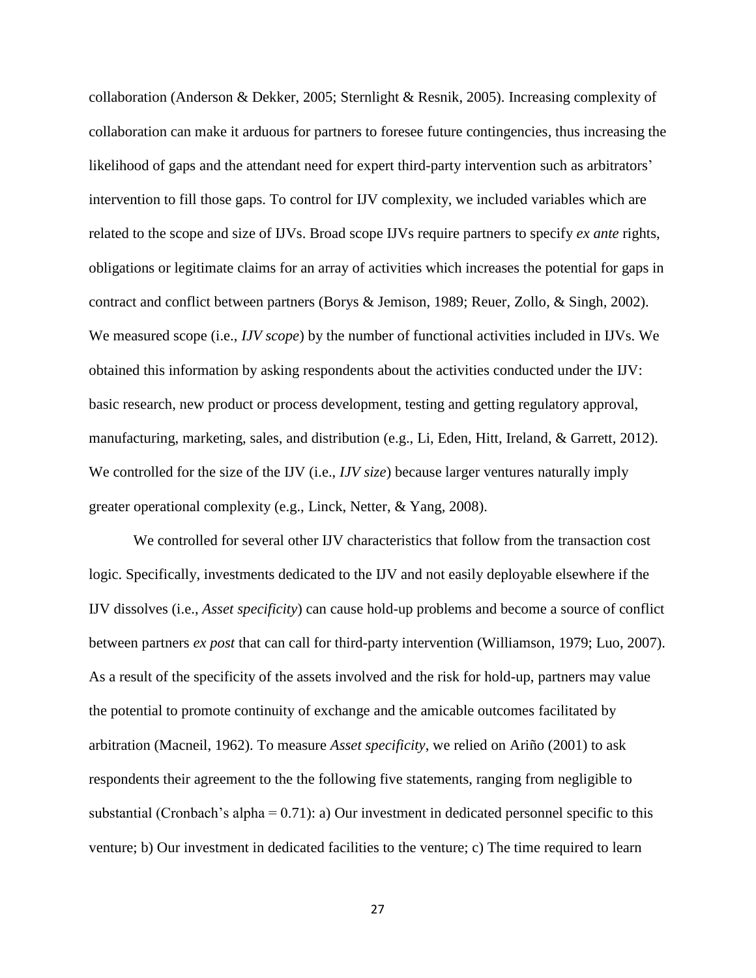collaboration (Anderson & Dekker, 2005; Sternlight & Resnik, 2005). Increasing complexity of collaboration can make it arduous for partners to foresee future contingencies, thus increasing the likelihood of gaps and the attendant need for expert third-party intervention such as arbitrators' intervention to fill those gaps. To control for IJV complexity, we included variables which are related to the scope and size of IJVs. Broad scope IJVs require partners to specify *ex ante* rights, obligations or legitimate claims for an array of activities which increases the potential for gaps in contract and conflict between partners (Borys & Jemison, 1989; Reuer, Zollo, & Singh*,* 2002). We measured scope (i.e., *IJV scope*) by the number of functional activities included in IJVs. We obtained this information by asking respondents about the activities conducted under the IJV: basic research, new product or process development, testing and getting regulatory approval, manufacturing, marketing, sales, and distribution (e.g., Li, Eden, Hitt, Ireland, & Garrett*,* 2012). We controlled for the size of the IJV (i.e., *IJV size*) because larger ventures naturally imply greater operational complexity (e.g., Linck, Netter, & Yang*,* 2008).

We controlled for several other IJV characteristics that follow from the transaction cost logic. Specifically, investments dedicated to the IJV and not easily deployable elsewhere if the IJV dissolves (i.e., *Asset specificity*) can cause hold-up problems and become a source of conflict between partners *ex post* that can call for third-party intervention (Williamson, 1979; Luo, 2007). As a result of the specificity of the assets involved and the risk for hold-up, partners may value the potential to promote continuity of exchange and the amicable outcomes facilitated by arbitration (Macneil, 1962). To measure *Asset specificity*, we relied on Ariño (2001) to ask respondents their agreement to the the following five statements, ranging from negligible to substantial (Cronbach's alpha =  $0.71$ ): a) Our investment in dedicated personnel specific to this venture; b) Our investment in dedicated facilities to the venture; c) The time required to learn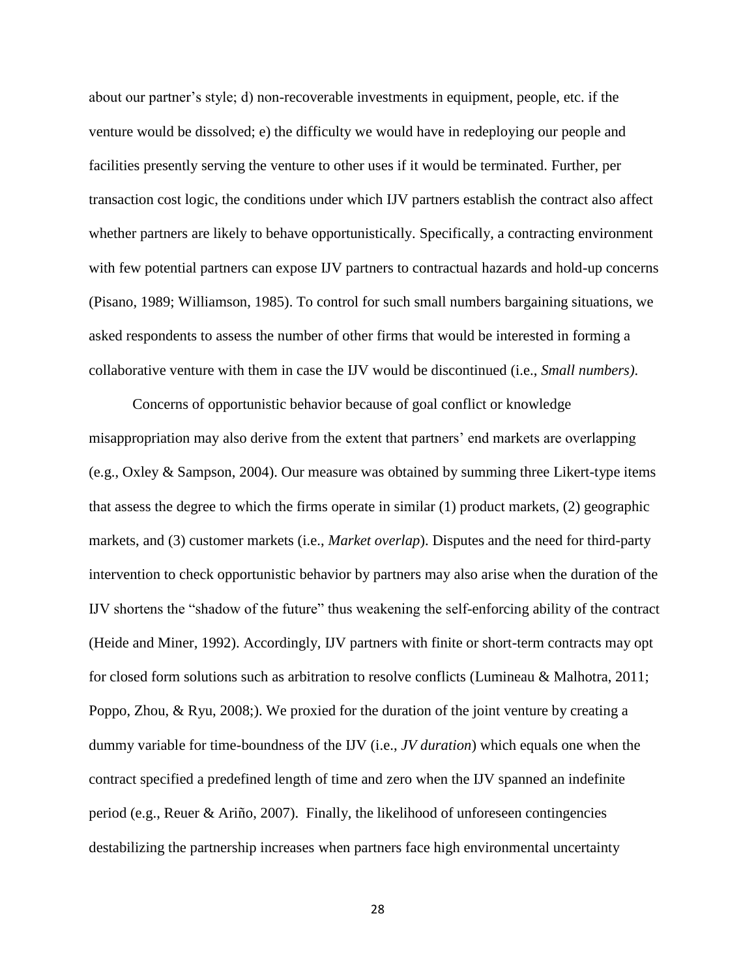about our partner's style; d) non-recoverable investments in equipment, people, etc. if the venture would be dissolved; e) the difficulty we would have in redeploying our people and facilities presently serving the venture to other uses if it would be terminated. Further, per transaction cost logic, the conditions under which IJV partners establish the contract also affect whether partners are likely to behave opportunistically. Specifically, a contracting environment with few potential partners can expose IJV partners to contractual hazards and hold-up concerns (Pisano, 1989; Williamson, 1985). To control for such small numbers bargaining situations, we asked respondents to assess the number of other firms that would be interested in forming a collaborative venture with them in case the IJV would be discontinued (i.e., *Small numbers)*.

Concerns of opportunistic behavior because of goal conflict or knowledge misappropriation may also derive from the extent that partners' end markets are overlapping (e.g., Oxley & Sampson, 2004). Our measure was obtained by summing three Likert-type items that assess the degree to which the firms operate in similar (1) product markets, (2) geographic markets, and (3) customer markets (i.e., *Market overlap*). Disputes and the need for third-party intervention to check opportunistic behavior by partners may also arise when the duration of the IJV shortens the "shadow of the future" thus weakening the self-enforcing ability of the contract (Heide and Miner, 1992). Accordingly, IJV partners with finite or short-term contracts may opt for closed form solutions such as arbitration to resolve conflicts (Lumineau & Malhotra, 2011; Poppo, Zhou, & Ryu, 2008;). We proxied for the duration of the joint venture by creating a dummy variable for time-boundness of the IJV (i.e., *JV duration*) which equals one when the contract specified a predefined length of time and zero when the IJV spanned an indefinite period (e.g., Reuer & Ariño, 2007). Finally, the likelihood of unforeseen contingencies destabilizing the partnership increases when partners face high environmental uncertainty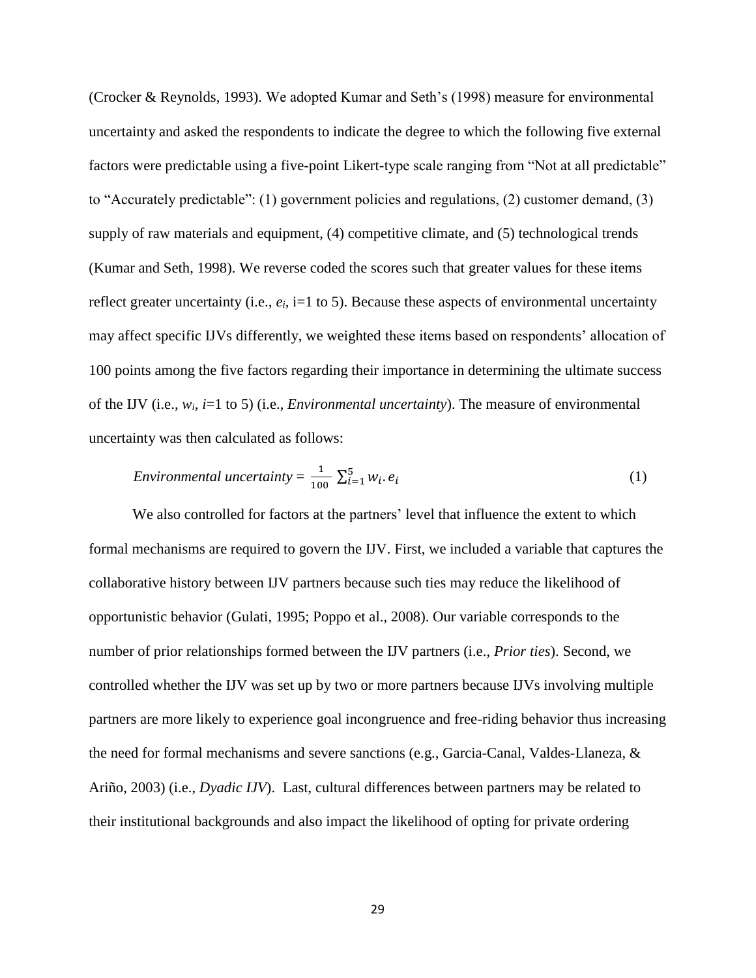(Crocker & Reynolds, 1993). We adopted Kumar and Seth's (1998) measure for environmental uncertainty and asked the respondents to indicate the degree to which the following five external factors were predictable using a five-point Likert-type scale ranging from "Not at all predictable" to "Accurately predictable": (1) government policies and regulations, (2) customer demand, (3) supply of raw materials and equipment, (4) competitive climate, and (5) technological trends (Kumar and Seth, 1998). We reverse coded the scores such that greater values for these items reflect greater uncertainty (i.e.,  $e_i$ , i=1 to 5). Because these aspects of environmental uncertainty may affect specific IJVs differently, we weighted these items based on respondents' allocation of 100 points among the five factors regarding their importance in determining the ultimate success of the IJV (i.e.,  $w_i$ ,  $i=1$  to 5) (i.e., *Environmental uncertainty*). The measure of environmental uncertainty was then calculated as follows:

$$
Environmental\ uncertainty = \frac{1}{100} \sum_{i=1}^{5} w_i \cdot e_i \tag{1}
$$

We also controlled for factors at the partners' level that influence the extent to which formal mechanisms are required to govern the IJV. First, we included a variable that captures the collaborative history between IJV partners because such ties may reduce the likelihood of opportunistic behavior (Gulati, 1995; Poppo et al.*,* 2008). Our variable corresponds to the number of prior relationships formed between the IJV partners (i.e., *Prior ties*). Second, we controlled whether the IJV was set up by two or more partners because IJVs involving multiple partners are more likely to experience goal incongruence and free-riding behavior thus increasing the need for formal mechanisms and severe sanctions (e.g., Garcia-Canal, Valdes-Llaneza, & Ariño, 2003) (i.e., *Dyadic IJV*). Last, cultural differences between partners may be related to their institutional backgrounds and also impact the likelihood of opting for private ordering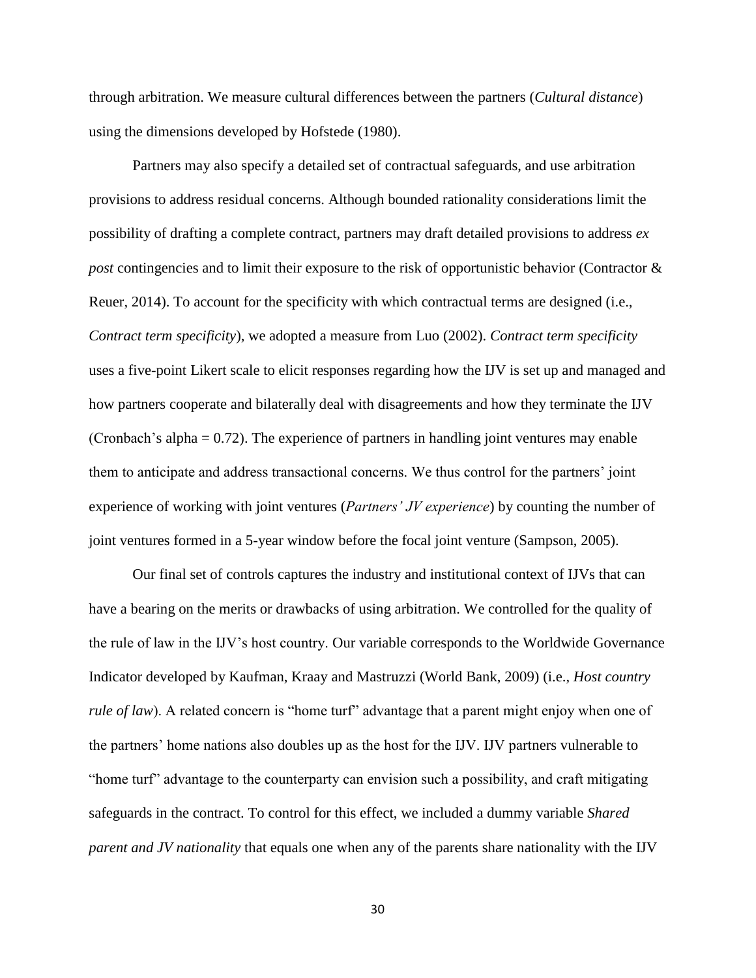through arbitration. We measure cultural differences between the partners (*Cultural distance*) using the dimensions developed by Hofstede (1980).

Partners may also specify a detailed set of contractual safeguards, and use arbitration provisions to address residual concerns. Although bounded rationality considerations limit the possibility of drafting a complete contract, partners may draft detailed provisions to address *ex post* contingencies and to limit their exposure to the risk of opportunistic behavior (Contractor & Reuer, 2014). To account for the specificity with which contractual terms are designed (i.e., *Contract term specificity*), we adopted a measure from Luo (2002). *Contract term specificity* uses a five-point Likert scale to elicit responses regarding how the IJV is set up and managed and how partners cooperate and bilaterally deal with disagreements and how they terminate the IJV (Cronbach's alpha  $= 0.72$ ). The experience of partners in handling joint ventures may enable them to anticipate and address transactional concerns. We thus control for the partners' joint experience of working with joint ventures (*Partners' JV experience*) by counting the number of joint ventures formed in a 5-year window before the focal joint venture (Sampson, 2005).

Our final set of controls captures the industry and institutional context of IJVs that can have a bearing on the merits or drawbacks of using arbitration. We controlled for the quality of the rule of law in the IJV's host country. Our variable corresponds to the Worldwide Governance Indicator developed by Kaufman, Kraay and Mastruzzi (World Bank, 2009) (i.e., *Host country rule of law*). A related concern is "home turf" advantage that a parent might enjoy when one of the partners' home nations also doubles up as the host for the IJV. IJV partners vulnerable to "home turf" advantage to the counterparty can envision such a possibility, and craft mitigating safeguards in the contract. To control for this effect, we included a dummy variable *Shared parent and JV nationality* that equals one when any of the parents share nationality with the IJV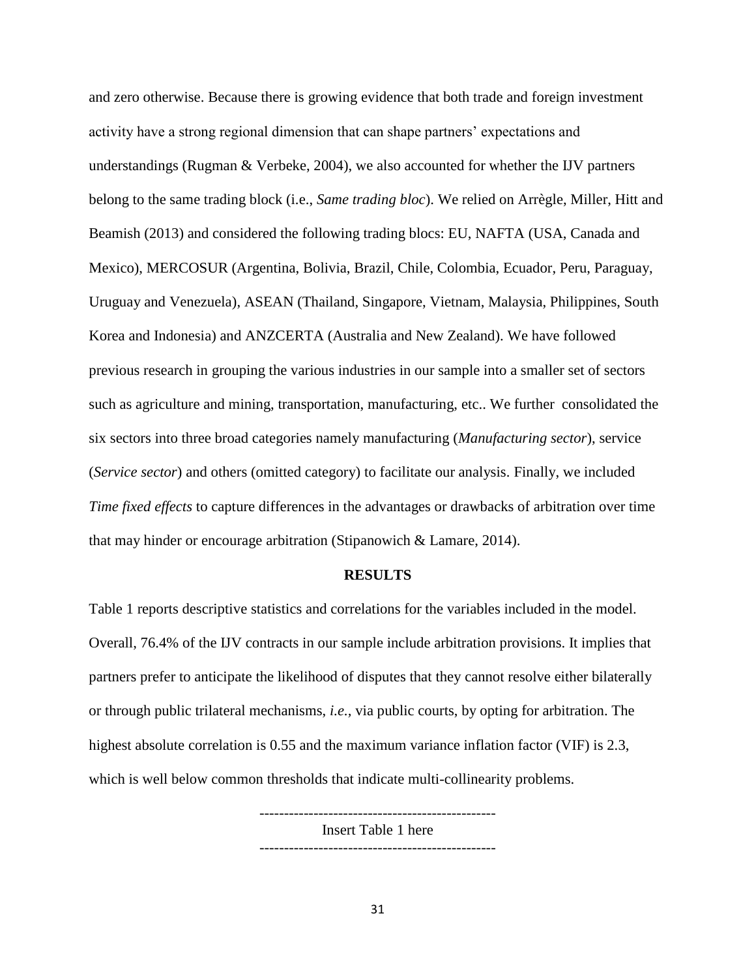and zero otherwise. Because there is growing evidence that both trade and foreign investment activity have a strong regional dimension that can shape partners' expectations and understandings (Rugman & Verbeke, 2004), we also accounted for whether the IJV partners belong to the same trading block (i.e., *Same trading bloc*). We relied on Arrègle, Miller, Hitt and Beamish (2013) and considered the following trading blocs: EU, NAFTA (USA, Canada and Mexico), MERCOSUR (Argentina, Bolivia, Brazil, Chile, Colombia, Ecuador, Peru, Paraguay, Uruguay and Venezuela), ASEAN (Thailand, Singapore, Vietnam, Malaysia, Philippines, South Korea and Indonesia) and ANZCERTA (Australia and New Zealand). We have followed previous research in grouping the various industries in our sample into a smaller set of sectors such as agriculture and mining, transportation, manufacturing, etc.. We further consolidated the six sectors into three broad categories namely manufacturing (*Manufacturing sector*), service (*Service sector*) and others (omitted category) to facilitate our analysis. Finally, we included *Time fixed effects* to capture differences in the advantages or drawbacks of arbitration over time that may hinder or encourage arbitration (Stipanowich & Lamare, 2014).

#### **RESULTS**

Table 1 reports descriptive statistics and correlations for the variables included in the model. Overall, 76.4% of the IJV contracts in our sample include arbitration provisions. It implies that partners prefer to anticipate the likelihood of disputes that they cannot resolve either bilaterally or through public trilateral mechanisms, *i.e.,* via public courts, by opting for arbitration. The highest absolute correlation is 0.55 and the maximum variance inflation factor (VIF) is 2.3, which is well below common thresholds that indicate multi-collinearity problems.

> ------------------------------------------------ Insert Table 1 here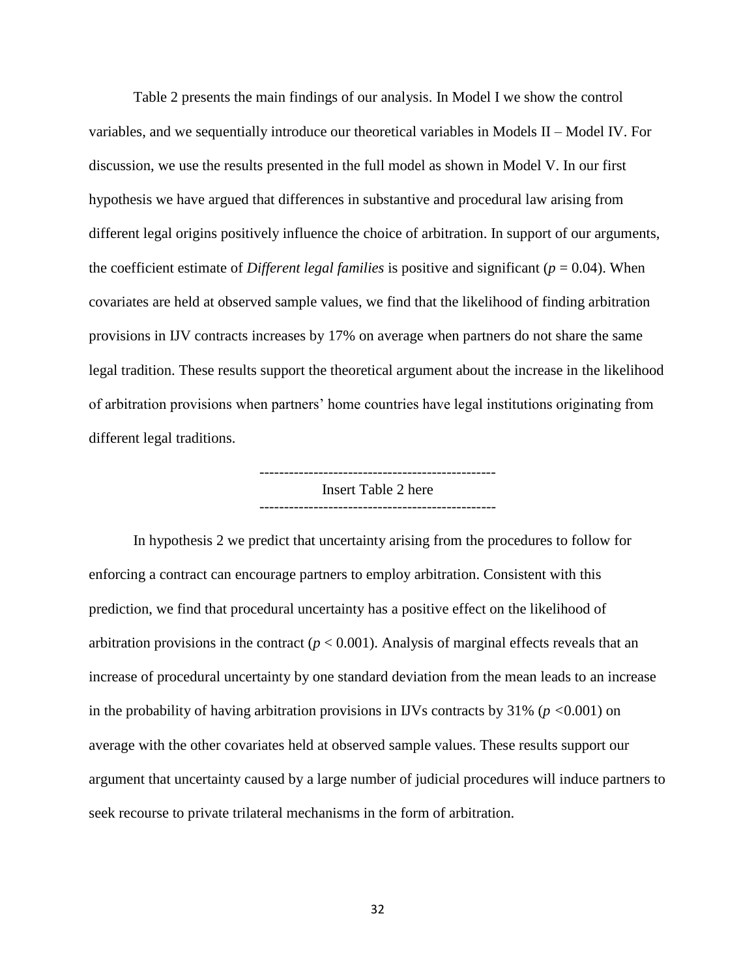Table 2 presents the main findings of our analysis. In Model I we show the control variables, and we sequentially introduce our theoretical variables in Models II – Model IV. For discussion, we use the results presented in the full model as shown in Model V. In our first hypothesis we have argued that differences in substantive and procedural law arising from different legal origins positively influence the choice of arbitration. In support of our arguments, the coefficient estimate of *Different legal families* is positive and significant ( $p = 0.04$ ). When covariates are held at observed sample values, we find that the likelihood of finding arbitration provisions in IJV contracts increases by 17% on average when partners do not share the same legal tradition. These results support the theoretical argument about the increase in the likelihood of arbitration provisions when partners' home countries have legal institutions originating from different legal traditions.

> Insert Table 2 here ------------------------------------------------

In hypothesis 2 we predict that uncertainty arising from the procedures to follow for enforcing a contract can encourage partners to employ arbitration. Consistent with this prediction, we find that procedural uncertainty has a positive effect on the likelihood of arbitration provisions in the contract ( $p < 0.001$ ). Analysis of marginal effects reveals that an increase of procedural uncertainty by one standard deviation from the mean leads to an increase in the probability of having arbitration provisions in IJVs contracts by 31% (*p <*0.001) on average with the other covariates held at observed sample values. These results support our argument that uncertainty caused by a large number of judicial procedures will induce partners to seek recourse to private trilateral mechanisms in the form of arbitration.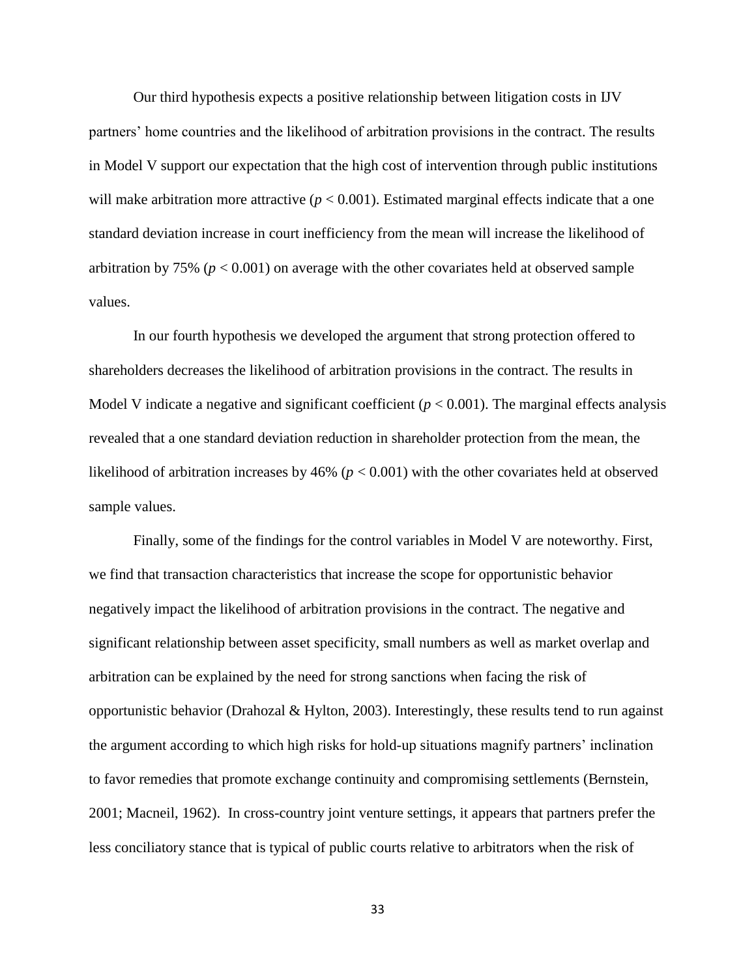Our third hypothesis expects a positive relationship between litigation costs in IJV partners' home countries and the likelihood of arbitration provisions in the contract. The results in Model V support our expectation that the high cost of intervention through public institutions will make arbitration more attractive  $(p < 0.001)$ . Estimated marginal effects indicate that a one standard deviation increase in court inefficiency from the mean will increase the likelihood of arbitration by 75% ( $p < 0.001$ ) on average with the other covariates held at observed sample values.

In our fourth hypothesis we developed the argument that strong protection offered to shareholders decreases the likelihood of arbitration provisions in the contract. The results in Model V indicate a negative and significant coefficient  $(p < 0.001)$ . The marginal effects analysis revealed that a one standard deviation reduction in shareholder protection from the mean, the likelihood of arbitration increases by 46% (*p* < 0.001) with the other covariates held at observed sample values.

Finally, some of the findings for the control variables in Model V are noteworthy. First, we find that transaction characteristics that increase the scope for opportunistic behavior negatively impact the likelihood of arbitration provisions in the contract. The negative and significant relationship between asset specificity, small numbers as well as market overlap and arbitration can be explained by the need for strong sanctions when facing the risk of opportunistic behavior (Drahozal & Hylton, 2003). Interestingly, these results tend to run against the argument according to which high risks for hold-up situations magnify partners' inclination to favor remedies that promote exchange continuity and compromising settlements (Bernstein, 2001; Macneil, 1962). In cross-country joint venture settings, it appears that partners prefer the less conciliatory stance that is typical of public courts relative to arbitrators when the risk of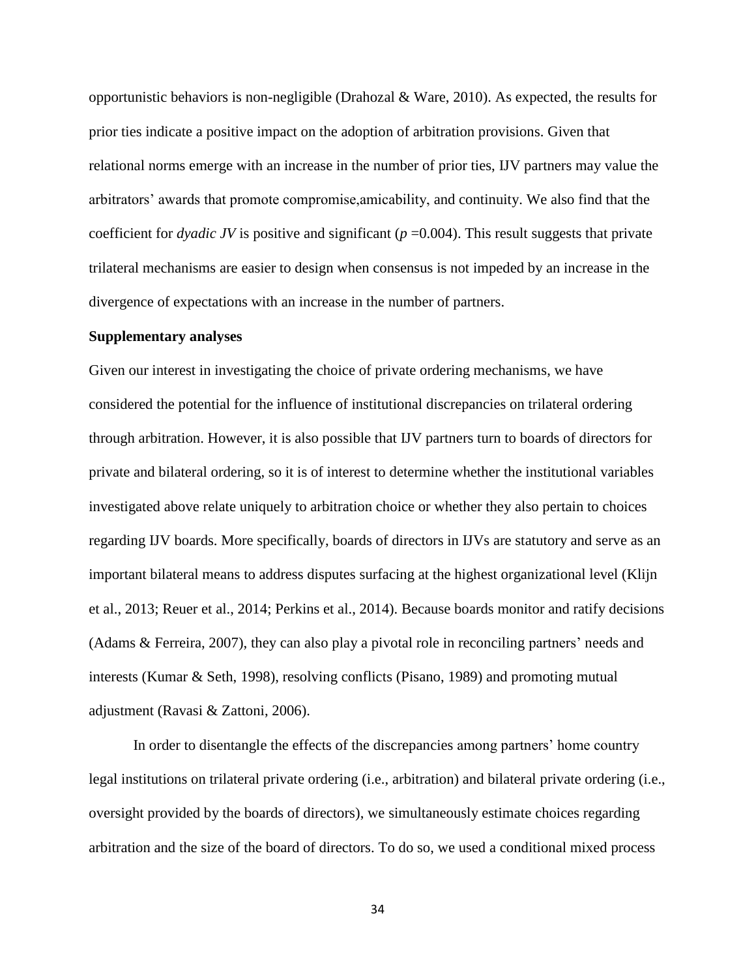opportunistic behaviors is non-negligible (Drahozal & Ware, 2010). As expected, the results for prior ties indicate a positive impact on the adoption of arbitration provisions. Given that relational norms emerge with an increase in the number of prior ties, IJV partners may value the arbitrators' awards that promote compromise,amicability, and continuity. We also find that the coefficient for *dyadic JV* is positive and significant ( $p = 0.004$ ). This result suggests that private trilateral mechanisms are easier to design when consensus is not impeded by an increase in the divergence of expectations with an increase in the number of partners.

#### **Supplementary analyses**

Given our interest in investigating the choice of private ordering mechanisms, we have considered the potential for the influence of institutional discrepancies on trilateral ordering through arbitration. However, it is also possible that IJV partners turn to boards of directors for private and bilateral ordering, so it is of interest to determine whether the institutional variables investigated above relate uniquely to arbitration choice or whether they also pertain to choices regarding IJV boards. More specifically, boards of directors in IJVs are statutory and serve as an important bilateral means to address disputes surfacing at the highest organizational level (Klijn et al., 2013; Reuer et al., 2014; Perkins et al., 2014). Because boards monitor and ratify decisions (Adams & Ferreira, 2007), they can also play a pivotal role in reconciling partners' needs and interests (Kumar & Seth, 1998), resolving conflicts (Pisano, 1989) and promoting mutual adjustment (Ravasi & Zattoni, 2006).

In order to disentangle the effects of the discrepancies among partners' home country legal institutions on trilateral private ordering (i.e., arbitration) and bilateral private ordering (i.e., oversight provided by the boards of directors), we simultaneously estimate choices regarding arbitration and the size of the board of directors. To do so, we used a conditional mixed process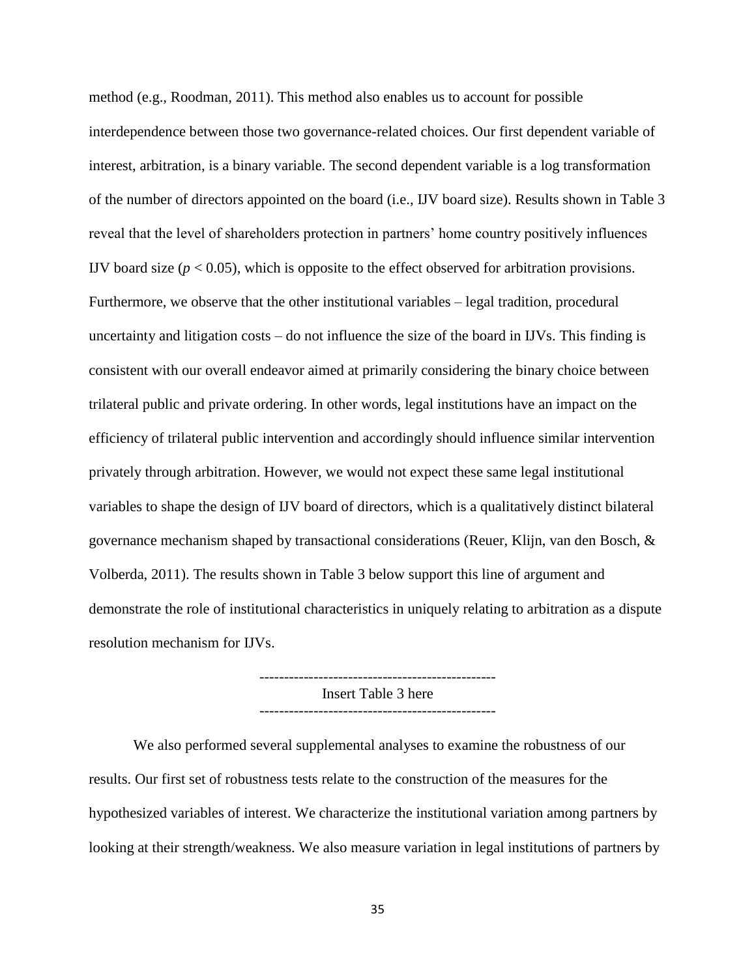method (e.g., Roodman, 2011). This method also enables us to account for possible interdependence between those two governance-related choices. Our first dependent variable of interest, arbitration, is a binary variable. The second dependent variable is a log transformation of the number of directors appointed on the board (i.e., IJV board size). Results shown in Table 3 reveal that the level of shareholders protection in partners' home country positively influences IJV board size  $(p < 0.05)$ , which is opposite to the effect observed for arbitration provisions. Furthermore, we observe that the other institutional variables – legal tradition, procedural uncertainty and litigation costs – do not influence the size of the board in IJVs. This finding is consistent with our overall endeavor aimed at primarily considering the binary choice between trilateral public and private ordering. In other words, legal institutions have an impact on the efficiency of trilateral public intervention and accordingly should influence similar intervention privately through arbitration. However, we would not expect these same legal institutional variables to shape the design of IJV board of directors, which is a qualitatively distinct bilateral governance mechanism shaped by transactional considerations (Reuer, Klijn, van den Bosch, & Volberda, 2011). The results shown in Table 3 below support this line of argument and demonstrate the role of institutional characteristics in uniquely relating to arbitration as a dispute resolution mechanism for IJVs.

> Insert Table 3 here ------------------------------------------------

We also performed several supplemental analyses to examine the robustness of our results. Our first set of robustness tests relate to the construction of the measures for the hypothesized variables of interest. We characterize the institutional variation among partners by looking at their strength/weakness. We also measure variation in legal institutions of partners by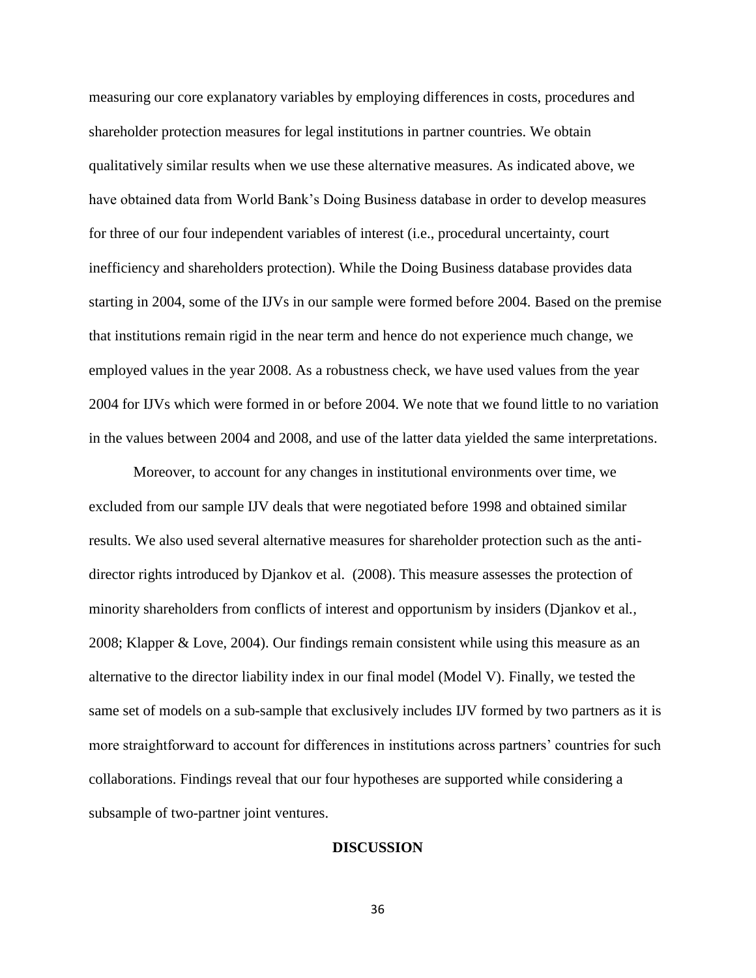measuring our core explanatory variables by employing differences in costs, procedures and shareholder protection measures for legal institutions in partner countries. We obtain qualitatively similar results when we use these alternative measures. As indicated above, we have obtained data from World Bank's Doing Business database in order to develop measures for three of our four independent variables of interest (i.e., procedural uncertainty, court inefficiency and shareholders protection). While the Doing Business database provides data starting in 2004, some of the IJVs in our sample were formed before 2004. Based on the premise that institutions remain rigid in the near term and hence do not experience much change, we employed values in the year 2008. As a robustness check, we have used values from the year 2004 for IJVs which were formed in or before 2004. We note that we found little to no variation in the values between 2004 and 2008, and use of the latter data yielded the same interpretations.

Moreover, to account for any changes in institutional environments over time, we excluded from our sample IJV deals that were negotiated before 1998 and obtained similar results. We also used several alternative measures for shareholder protection such as the antidirector rights introduced by Djankov et al. (2008). This measure assesses the protection of minority shareholders from conflicts of interest and opportunism by insiders (Djankov et al*.,* 2008; Klapper & Love, 2004). Our findings remain consistent while using this measure as an alternative to the director liability index in our final model (Model V). Finally, we tested the same set of models on a sub-sample that exclusively includes IJV formed by two partners as it is more straightforward to account for differences in institutions across partners' countries for such collaborations. Findings reveal that our four hypotheses are supported while considering a subsample of two-partner joint ventures.

#### **DISCUSSION**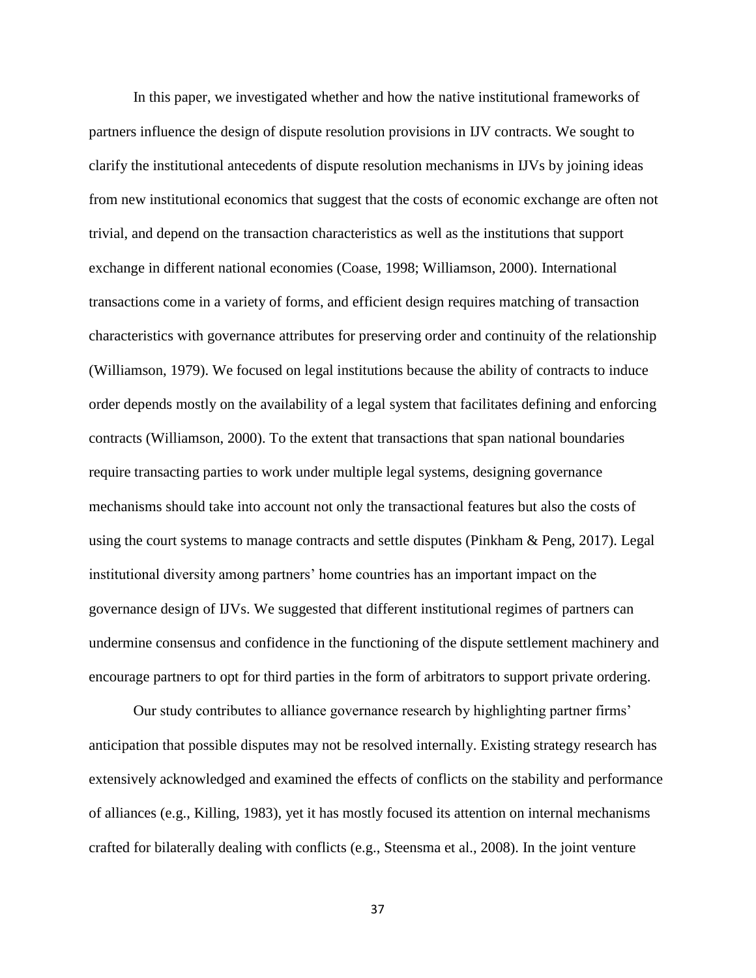In this paper, we investigated whether and how the native institutional frameworks of partners influence the design of dispute resolution provisions in IJV contracts. We sought to clarify the institutional antecedents of dispute resolution mechanisms in IJVs by joining ideas from new institutional economics that suggest that the costs of economic exchange are often not trivial, and depend on the transaction characteristics as well as the institutions that support exchange in different national economies (Coase, 1998; Williamson, 2000). International transactions come in a variety of forms, and efficient design requires matching of transaction characteristics with governance attributes for preserving order and continuity of the relationship (Williamson, 1979). We focused on legal institutions because the ability of contracts to induce order depends mostly on the availability of a legal system that facilitates defining and enforcing contracts (Williamson, 2000). To the extent that transactions that span national boundaries require transacting parties to work under multiple legal systems, designing governance mechanisms should take into account not only the transactional features but also the costs of using the court systems to manage contracts and settle disputes (Pinkham & Peng, 2017). Legal institutional diversity among partners' home countries has an important impact on the governance design of IJVs. We suggested that different institutional regimes of partners can undermine consensus and confidence in the functioning of the dispute settlement machinery and encourage partners to opt for third parties in the form of arbitrators to support private ordering.

Our study contributes to alliance governance research by highlighting partner firms' anticipation that possible disputes may not be resolved internally. Existing strategy research has extensively acknowledged and examined the effects of conflicts on the stability and performance of alliances (e.g., Killing, 1983), yet it has mostly focused its attention on internal mechanisms crafted for bilaterally dealing with conflicts (e.g., Steensma et al., 2008). In the joint venture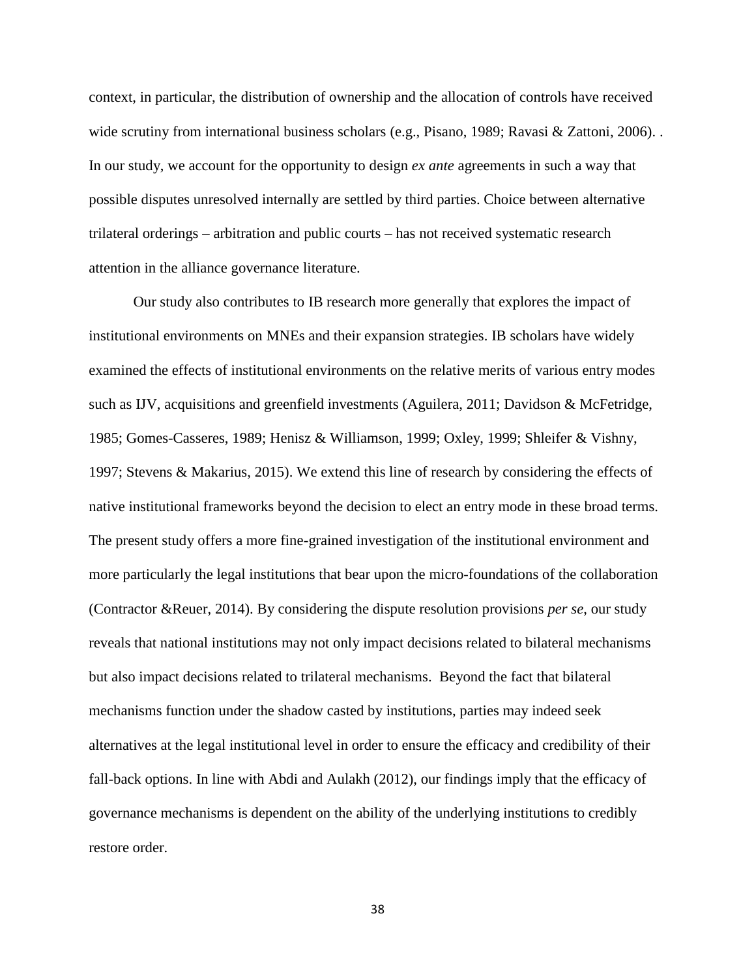context, in particular, the distribution of ownership and the allocation of controls have received wide scrutiny from international business scholars (e.g., Pisano, 1989; Ravasi & Zattoni, 2006). . In our study, we account for the opportunity to design *ex ante* agreements in such a way that possible disputes unresolved internally are settled by third parties. Choice between alternative trilateral orderings – arbitration and public courts – has not received systematic research attention in the alliance governance literature.

Our study also contributes to IB research more generally that explores the impact of institutional environments on MNEs and their expansion strategies. IB scholars have widely examined the effects of institutional environments on the relative merits of various entry modes such as IJV, acquisitions and greenfield investments (Aguilera, 2011; Davidson & McFetridge, 1985; Gomes-Casseres, 1989; Henisz & Williamson, 1999; Oxley, 1999; Shleifer & Vishny, 1997; Stevens & Makarius, 2015). We extend this line of research by considering the effects of native institutional frameworks beyond the decision to elect an entry mode in these broad terms. The present study offers a more fine-grained investigation of the institutional environment and more particularly the legal institutions that bear upon the micro-foundations of the collaboration (Contractor &Reuer, 2014). By considering the dispute resolution provisions *per se*, our study reveals that national institutions may not only impact decisions related to bilateral mechanisms but also impact decisions related to trilateral mechanisms. Beyond the fact that bilateral mechanisms function under the shadow casted by institutions, parties may indeed seek alternatives at the legal institutional level in order to ensure the efficacy and credibility of their fall-back options. In line with Abdi and Aulakh (2012), our findings imply that the efficacy of governance mechanisms is dependent on the ability of the underlying institutions to credibly restore order.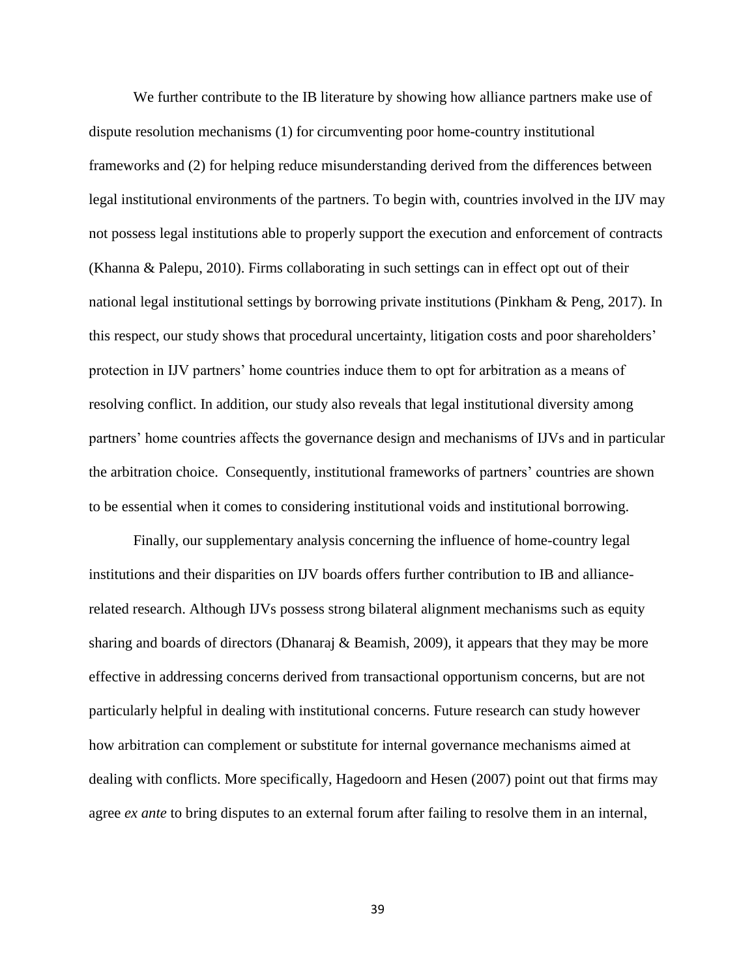We further contribute to the IB literature by showing how alliance partners make use of dispute resolution mechanisms (1) for circumventing poor home-country institutional frameworks and (2) for helping reduce misunderstanding derived from the differences between legal institutional environments of the partners. To begin with, countries involved in the IJV may not possess legal institutions able to properly support the execution and enforcement of contracts (Khanna & Palepu, 2010). Firms collaborating in such settings can in effect opt out of their national legal institutional settings by borrowing private institutions (Pinkham & Peng, 2017). In this respect, our study shows that procedural uncertainty, litigation costs and poor shareholders' protection in IJV partners' home countries induce them to opt for arbitration as a means of resolving conflict. In addition, our study also reveals that legal institutional diversity among partners' home countries affects the governance design and mechanisms of IJVs and in particular the arbitration choice. Consequently, institutional frameworks of partners' countries are shown to be essential when it comes to considering institutional voids and institutional borrowing.

Finally, our supplementary analysis concerning the influence of home-country legal institutions and their disparities on IJV boards offers further contribution to IB and alliancerelated research. Although IJVs possess strong bilateral alignment mechanisms such as equity sharing and boards of directors (Dhanaraj & Beamish, 2009), it appears that they may be more effective in addressing concerns derived from transactional opportunism concerns, but are not particularly helpful in dealing with institutional concerns. Future research can study however how arbitration can complement or substitute for internal governance mechanisms aimed at dealing with conflicts. More specifically, Hagedoorn and Hesen (2007) point out that firms may agree *ex ante* to bring disputes to an external forum after failing to resolve them in an internal,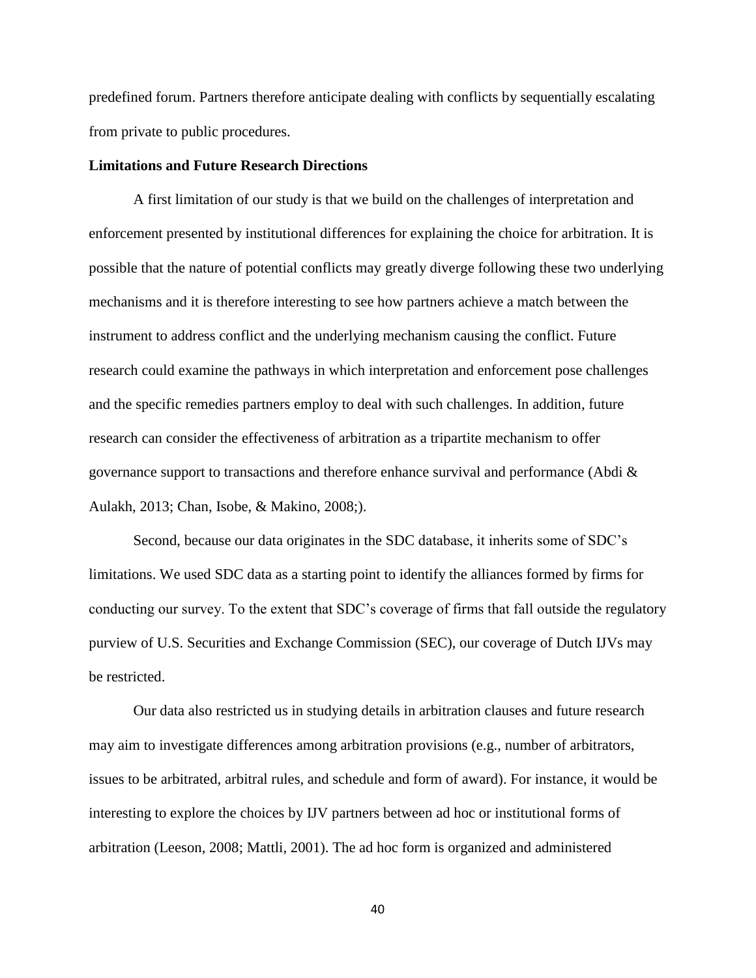predefined forum. Partners therefore anticipate dealing with conflicts by sequentially escalating from private to public procedures.

#### **Limitations and Future Research Directions**

A first limitation of our study is that we build on the challenges of interpretation and enforcement presented by institutional differences for explaining the choice for arbitration. It is possible that the nature of potential conflicts may greatly diverge following these two underlying mechanisms and it is therefore interesting to see how partners achieve a match between the instrument to address conflict and the underlying mechanism causing the conflict. Future research could examine the pathways in which interpretation and enforcement pose challenges and the specific remedies partners employ to deal with such challenges. In addition, future research can consider the effectiveness of arbitration as a tripartite mechanism to offer governance support to transactions and therefore enhance survival and performance (Abdi & Aulakh, 2013; Chan, Isobe, & Makino, 2008;).

Second, because our data originates in the SDC database, it inherits some of SDC's limitations. We used SDC data as a starting point to identify the alliances formed by firms for conducting our survey. To the extent that SDC's coverage of firms that fall outside the regulatory purview of U.S. Securities and Exchange Commission (SEC), our coverage of Dutch IJVs may be restricted.

Our data also restricted us in studying details in arbitration clauses and future research may aim to investigate differences among arbitration provisions (e.g., number of arbitrators, issues to be arbitrated, arbitral rules, and schedule and form of award). For instance, it would be interesting to explore the choices by IJV partners between ad hoc or institutional forms of arbitration (Leeson, 2008; Mattli, 2001). The ad hoc form is organized and administered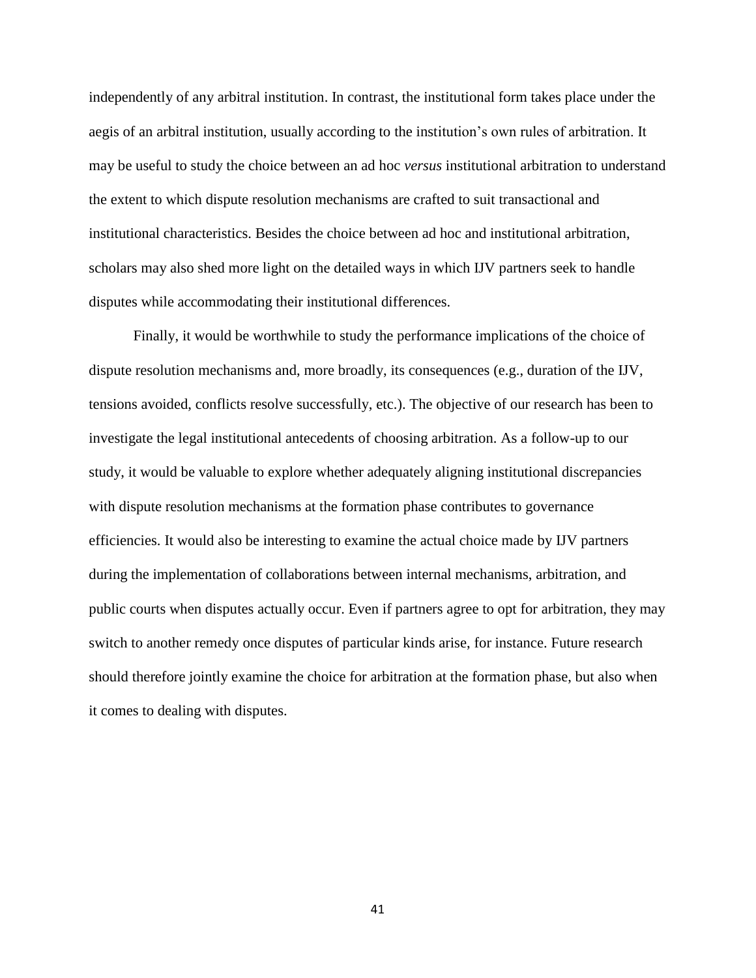independently of any arbitral institution. In contrast, the institutional form takes place under the aegis of an arbitral institution, usually according to the institution's own rules of arbitration. It may be useful to study the choice between an ad hoc *versus* institutional arbitration to understand the extent to which dispute resolution mechanisms are crafted to suit transactional and institutional characteristics. Besides the choice between ad hoc and institutional arbitration, scholars may also shed more light on the detailed ways in which IJV partners seek to handle disputes while accommodating their institutional differences.

Finally, it would be worthwhile to study the performance implications of the choice of dispute resolution mechanisms and, more broadly, its consequences (e.g., duration of the IJV, tensions avoided, conflicts resolve successfully, etc.). The objective of our research has been to investigate the legal institutional antecedents of choosing arbitration. As a follow-up to our study, it would be valuable to explore whether adequately aligning institutional discrepancies with dispute resolution mechanisms at the formation phase contributes to governance efficiencies. It would also be interesting to examine the actual choice made by IJV partners during the implementation of collaborations between internal mechanisms, arbitration, and public courts when disputes actually occur. Even if partners agree to opt for arbitration, they may switch to another remedy once disputes of particular kinds arise, for instance. Future research should therefore jointly examine the choice for arbitration at the formation phase, but also when it comes to dealing with disputes.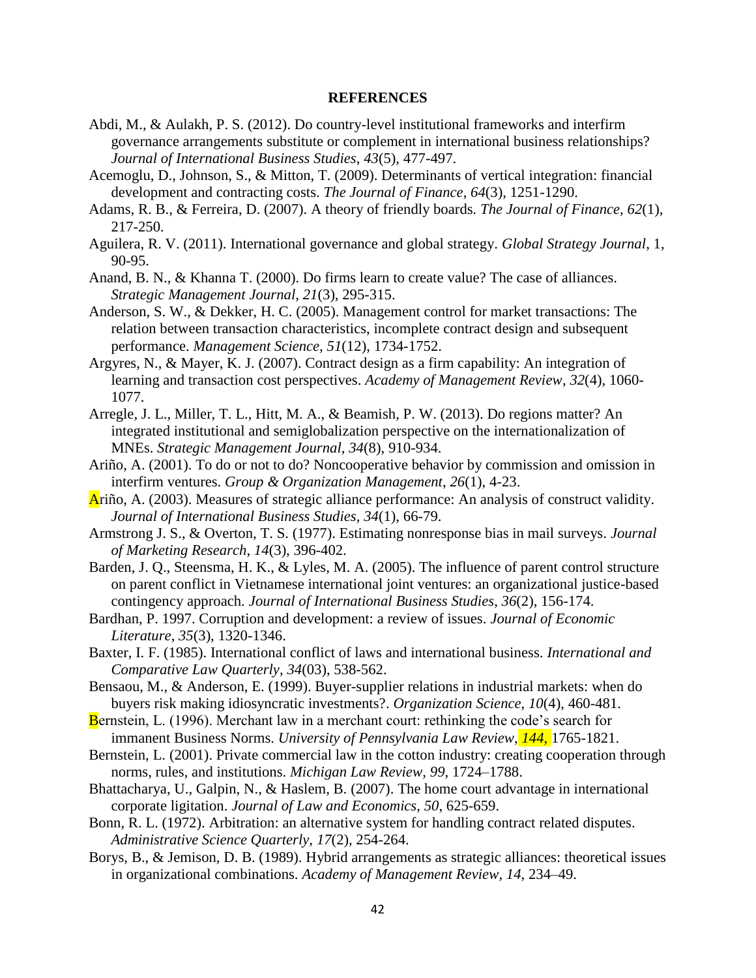#### **REFERENCES**

- Abdi, M., & Aulakh, P. S. (2012). Do country-level institutional frameworks and interfirm governance arrangements substitute or complement in international business relationships? *Journal of International Business Studies*, *43*(5), 477-497.
- Acemoglu, D., Johnson, S., & Mitton, T. (2009). Determinants of vertical integration: financial development and contracting costs. *The Journal of Finance*, *64*(3), 1251-1290.
- Adams, R. B., & Ferreira, D. (2007). A theory of friendly boards*. The Journal of Finance, 62*(1), 217-250.
- Aguilera, R. V. (2011). International governance and global strategy. *Global Strategy Journal*, 1, 90-95.
- Anand, B. N., & Khanna T. (2000). Do firms learn to create value? The case of alliances. *Strategic Management Journal, 21*(3), 295-315.
- Anderson, S. W., & Dekker, H. C. (2005). Management control for market transactions: The relation between transaction characteristics, incomplete contract design and subsequent performance. *Management Science, 51*(12), 1734-1752.
- Argyres, N., & Mayer, K. J. (2007). Contract design as a firm capability: An integration of learning and transaction cost perspectives. *Academy of Management Review*, *32*(4), 1060- 1077.
- Arregle, J. L., Miller, T. L., Hitt, M. A., & Beamish, P. W. (2013). Do regions matter? An integrated institutional and semiglobalization perspective on the internationalization of MNEs. *Strategic Management Journal*, *34*(8), 910-934.
- Ariño, A. (2001). To do or not to do? Noncooperative behavior by commission and omission in interfirm ventures. *Group & Organization Management*, *26*(1), 4-23.
- Ariño, A. (2003). Measures of strategic alliance performance: An analysis of construct validity. *Journal of International Business Studies, 34*(1), 66-79.
- Armstrong J. S., & Overton, T. S. (1977). Estimating nonresponse bias in mail surveys. *Journal of Marketing Research*, *14*(3), 396-402.
- Barden, J. Q., Steensma, H. K., & Lyles, M. A. (2005). The influence of parent control structure on parent conflict in Vietnamese international joint ventures: an organizational justice-based contingency approach. *Journal of International Business Studies*, *36*(2), 156-174.
- Bardhan, P. 1997. Corruption and development: a review of issues. *Journal of Economic Literature*, *35*(3), 1320-1346.
- Baxter, I. F. (1985). International conflict of laws and international business. *International and Comparative Law Quarterly*, *34*(03), 538-562.
- Bensaou, M., & Anderson, E. (1999). Buyer-supplier relations in industrial markets: when do buyers risk making idiosyncratic investments?. *Organization Science*, *10*(4), 460-481.
- Bernstein, L. (1996). Merchant law in a merchant court: rethinking the code's search for immanent Business Norms. *University of Pennsylvania Law Review*, *144*, 1765-1821.
- Bernstein, L. (2001). Private commercial law in the cotton industry: creating cooperation through norms, rules, and institutions. *Michigan Law Review, 99*, 1724–1788.
- Bhattacharya, U., Galpin, N., & Haslem, B. (2007). The home court advantage in international corporate ligitation. *Journal of Law and Economics*, *50*, 625-659.
- Bonn, R. L. (1972). Arbitration: an alternative system for handling contract related disputes. *Administrative Science Quarterly, 17*(2), 254-264.
- Borys, B., & Jemison, D. B. (1989). Hybrid arrangements as strategic alliances: theoretical issues in organizational combinations. *Academy of Management Review*, *14*, 234–49.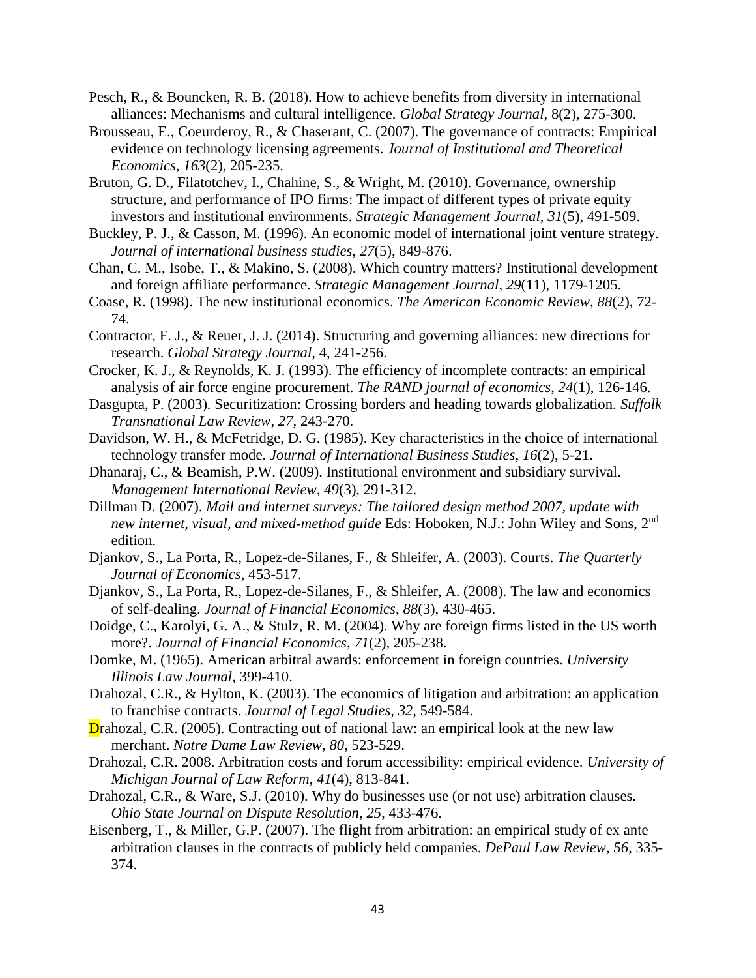- Pesch, R., & Bouncken, R. B. (2018). How to achieve benefits from diversity in international alliances: Mechanisms and cultural intelligence. *Global Strategy Journal*, 8(2), 275-300.
- Brousseau, E., Coeurderoy, R., & Chaserant, C. (2007). The governance of contracts: Empirical evidence on technology licensing agreements. *Journal of Institutional and Theoretical Economics*, *163*(2), 205-235.
- Bruton, G. D., Filatotchev, I., Chahine, S., & Wright, M. (2010). Governance, ownership structure, and performance of IPO firms: The impact of different types of private equity investors and institutional environments. *Strategic Management Journal*, *31*(5), 491-509.
- Buckley, P. J., & Casson, M. (1996). An economic model of international joint venture strategy. *Journal of international business studies*, *27*(5), 849-876.
- Chan, C. M., Isobe, T., & Makino, S. (2008). Which country matters? Institutional development and foreign affiliate performance. *Strategic Management Journal*, *29*(11), 1179-1205.
- Coase, R. (1998). The new institutional economics. *The American Economic Review*, *88*(2), 72- 74.
- Contractor, F. J., & Reuer, J. J. (2014). Structuring and governing alliances: new directions for research. *Global Strategy Journal,* 4, 241-256.
- Crocker, K. J., & Reynolds, K. J. (1993). The efficiency of incomplete contracts: an empirical analysis of air force engine procurement. *The RAND journal of economics*, *24*(1), 126-146.
- Dasgupta, P. (2003). Securitization: Crossing borders and heading towards globalization. *Suffolk Transnational Law Review*, *27,* 243-270.
- Davidson, W. H., & McFetridge, D. G. (1985). Key characteristics in the choice of international technology transfer mode. *Journal of International Business Studies*, *16*(2), 5-21.
- Dhanaraj, C., & Beamish, P.W. (2009). Institutional environment and subsidiary survival. *Management International Review, 49*(3), 291-312.
- Dillman D. (2007). *Mail and internet surveys: The tailored design method 2007, update with new internet, visual, and mixed-method guide* Eds: Hoboken, N.J.: John Wiley and Sons, 2nd edition.
- Djankov, S., La Porta, R., Lopez-de-Silanes, F., & Shleifer, A. (2003). Courts. *The Quarterly Journal of Economics*, 453-517.
- Djankov, S., La Porta, R., Lopez-de-Silanes, F., & Shleifer, A. (2008). The law and economics of self-dealing. *Journal of Financial Economics*, *88*(3), 430-465.
- Doidge, C., Karolyi, G. A., & Stulz, R. M. (2004). Why are foreign firms listed in the US worth more?. *Journal of Financial Economics*, *71*(2), 205-238.
- Domke, M. (1965). American arbitral awards: enforcement in foreign countries. *University Illinois Law Journal,* 399-410.
- Drahozal, C.R., & Hylton, K. (2003). The economics of litigation and arbitration: an application to franchise contracts. *Journal of Legal Studies, 32*, 549-584.
- Drahozal, C.R. (2005). Contracting out of national law: an empirical look at the new law merchant. *Notre Dame Law Review, 80*, 523-529.
- Drahozal, C.R. 2008. Arbitration costs and forum accessibility: empirical evidence. *University of Michigan Journal of Law Reform, 41*(4), 813-841.
- Drahozal, C.R., & Ware, S.J. (2010). Why do businesses use (or not use) arbitration clauses*. Ohio State Journal on Dispute Resolution*, *25*, 433-476.
- Eisenberg, T., & Miller, G.P. (2007). The flight from arbitration: an empirical study of ex ante arbitration clauses in the contracts of publicly held companies*. DePaul Law Review, 56*, 335- 374.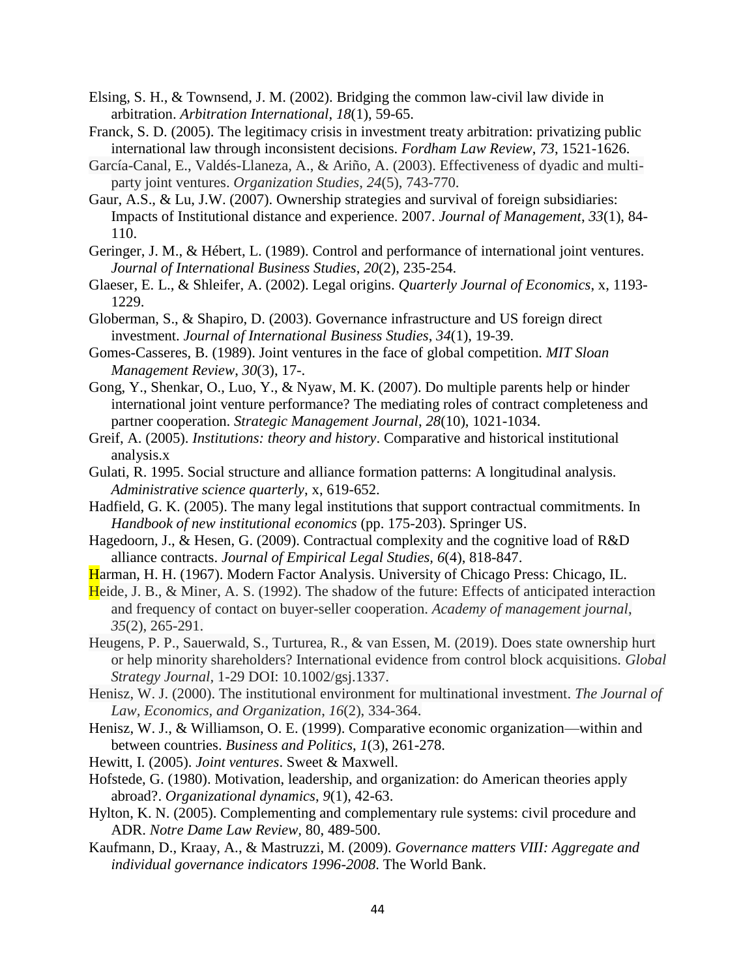- Elsing, S. H., & Townsend, J. M. (2002). Bridging the common law-civil law divide in arbitration. *Arbitration International*, *18*(1), 59-65.
- Franck, S. D. (2005). The legitimacy crisis in investment treaty arbitration: privatizing public international law through inconsistent decisions. *Fordham Law Review*, *73*, 1521-1626.
- García-Canal, E., Valdés-Llaneza, A., & Ariño, A. (2003). Effectiveness of dyadic and multiparty joint ventures. *Organization Studies*, *24*(5), 743-770.
- Gaur, A.S., & Lu, J.W. (2007). Ownership strategies and survival of foreign subsidiaries: Impacts of Institutional distance and experience. 2007. *Journal of Management*, *33*(1), 84- 110.
- Geringer, J. M., & Hébert, L. (1989). Control and performance of international joint ventures. *Journal of International Business Studies*, *20*(2), 235-254.
- Glaeser, E. L., & Shleifer, A. (2002). Legal origins. *Quarterly Journal of Economics*, x, 1193- 1229.
- Globerman, S., & Shapiro, D. (2003). Governance infrastructure and US foreign direct investment. *Journal of International Business Studies*, *34*(1), 19-39.
- Gomes-Casseres, B. (1989). Joint ventures in the face of global competition. *MIT Sloan Management Review*, *30*(3), 17-.
- Gong, Y., Shenkar, O., Luo, Y., & Nyaw, M. K. (2007). Do multiple parents help or hinder international joint venture performance? The mediating roles of contract completeness and partner cooperation. *Strategic Management Journal*, *28*(10), 1021-1034.
- Greif, A. (2005). *Institutions: theory and history*. Comparative and historical institutional analysis.x
- Gulati, R. 1995. Social structure and alliance formation patterns: A longitudinal analysis. *Administrative science quarterly*, x, 619-652.
- Hadfield, G. K. (2005). The many legal institutions that support contractual commitments. In *Handbook of new institutional economics* (pp. 175-203). Springer US.
- Hagedoorn, J., & Hesen, G. (2009). Contractual complexity and the cognitive load of R&D alliance contracts. *Journal of Empirical Legal Studies, 6*(4), 818-847.
- Harman, H. H. (1967). Modern Factor Analysis. University of Chicago Press: Chicago, IL.
- Heide, J. B., & Miner, A. S. (1992). The shadow of the future: Effects of anticipated interaction and frequency of contact on buyer-seller cooperation. *Academy of management journal*, *35*(2), 265-291.
- Heugens, P. P., Sauerwald, S., Turturea, R., & van Essen, M. (2019). Does state ownership hurt or help minority shareholders? International evidence from control block acquisitions. *Global Strategy Journal,* 1-29 DOI: 10.1002/gsj.1337.
- Henisz, W. J. (2000). The institutional environment for multinational investment. *The Journal of Law, Economics, and Organization*, *16*(2), 334-364.
- Henisz, W. J., & Williamson, O. E. (1999). Comparative economic organization—within and between countries. *Business and Politics*, *1*(3), 261-278.
- Hewitt, I. (2005). *Joint ventures*. Sweet & Maxwell.
- Hofstede, G. (1980). Motivation, leadership, and organization: do American theories apply abroad?. *Organizational dynamics*, *9*(1), 42-63.
- Hylton, K. N. (2005). Complementing and complementary rule systems: civil procedure and ADR. *Notre Dame Law Review,* 80, 489-500.
- Kaufmann, D., Kraay, A., & Mastruzzi, M. (2009). *Governance matters VIII: Aggregate and individual governance indicators 1996-2008*. The World Bank.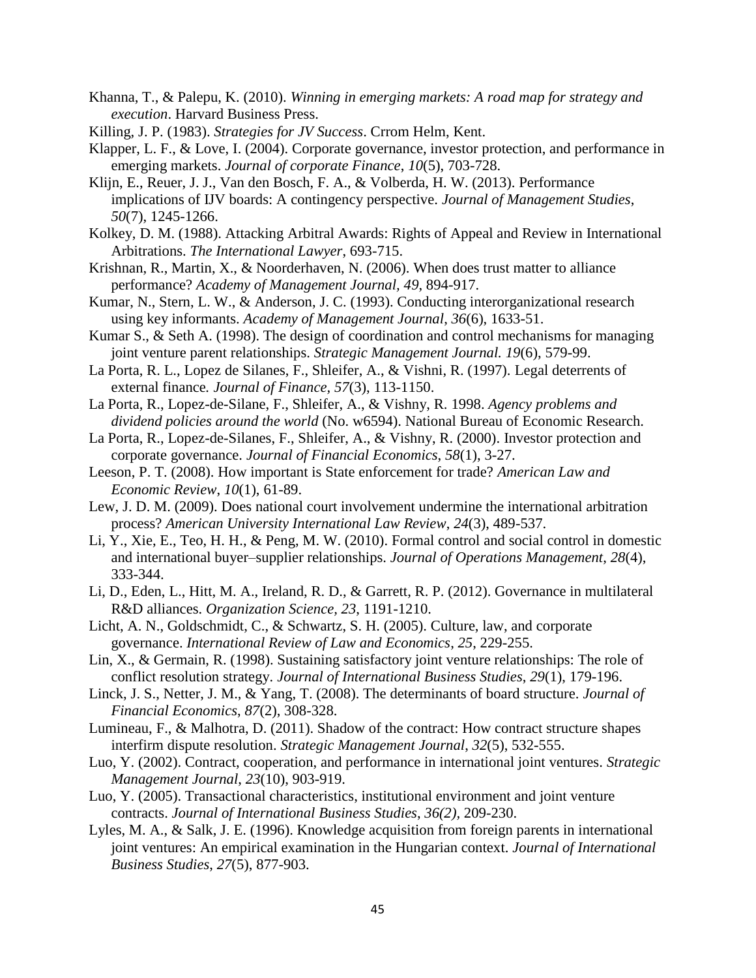- Khanna, T., & Palepu, K. (2010). *Winning in emerging markets: A road map for strategy and execution*. Harvard Business Press.
- Killing, J. P. (1983). *Strategies for JV Success*. Crrom Helm, Kent.
- Klapper, L. F., & Love, I. (2004). Corporate governance, investor protection, and performance in emerging markets. *Journal of corporate Finance*, *10*(5), 703-728.
- Klijn, E., Reuer, J. J., Van den Bosch, F. A., & Volberda, H. W. (2013). Performance implications of IJV boards: A contingency perspective. *Journal of Management Studies*, *50*(7), 1245-1266.
- Kolkey, D. M. (1988). Attacking Arbitral Awards: Rights of Appeal and Review in International Arbitrations. *The International Lawyer*, 693-715.
- Krishnan, R., Martin, X., & Noorderhaven, N. (2006). When does trust matter to alliance performance? *Academy of Management Journal, 49*, 894-917.
- Kumar, N., Stern, L. W., & Anderson, J. C. (1993). Conducting interorganizational research using key informants. *Academy of Management Journal*, *36*(6), 1633-51.
- Kumar S., & Seth A. (1998). The design of coordination and control mechanisms for managing joint venture parent relationships. *Strategic Management Journal. 19*(6), 579-99.
- La Porta, R. L., Lopez de Silanes, F., Shleifer, A., & Vishni, R. (1997). Legal deterrents of external finance*. Journal of Finance, 57*(3), 113-1150.
- La Porta, R., Lopez-de-Silane, F., Shleifer, A., & Vishny, R. 1998. *Agency problems and dividend policies around the world* (No. w6594). National Bureau of Economic Research.
- La Porta, R., Lopez-de-Silanes, F., Shleifer, A., & Vishny, R. (2000). Investor protection and corporate governance. *Journal of Financial Economics*, *58*(1), 3-27.
- Leeson, P. T. (2008). How important is State enforcement for trade? *American Law and Economic Review*, *10*(1), 61-89.
- Lew, J. D. M. (2009). Does national court involvement undermine the international arbitration process? *American University International Law Review*, *24*(3), 489-537.
- Li, Y., Xie, E., Teo, H. H., & Peng, M. W. (2010). Formal control and social control in domestic and international buyer–supplier relationships. *Journal of Operations Management*, *28*(4), 333-344.
- Li, D., Eden, L., Hitt, M. A., Ireland, R. D., & Garrett, R. P. (2012). Governance in multilateral R&D alliances. *Organization Science, 23*, 1191-1210.
- Licht, A. N., Goldschmidt, C., & Schwartz, S. H. (2005). Culture, law, and corporate governance. *International Review of Law and Economics*, *25*, 229-255.
- Lin, X., & Germain, R. (1998). Sustaining satisfactory joint venture relationships: The role of conflict resolution strategy. *Journal of International Business Studies*, *29*(1), 179-196.
- Linck, J. S., Netter, J. M., & Yang, T. (2008). The determinants of board structure. *Journal of Financial Economics*, *87*(2), 308-328.
- Lumineau, F., & Malhotra, D. (2011). Shadow of the contract: How contract structure shapes interfirm dispute resolution. *Strategic Management Journal*, *32*(5), 532-555.
- Luo, Y. (2002). Contract, cooperation, and performance in international joint ventures. *Strategic Management Journal*, *23*(10), 903-919.
- Luo, Y. (2005). Transactional characteristics, institutional environment and joint venture contracts. *Journal of International Business Studies*, *36(2),* 209-230.
- Lyles, M. A., & Salk, J. E. (1996). Knowledge acquisition from foreign parents in international joint ventures: An empirical examination in the Hungarian context. *Journal of International Business Studies*, *27*(5), 877-903.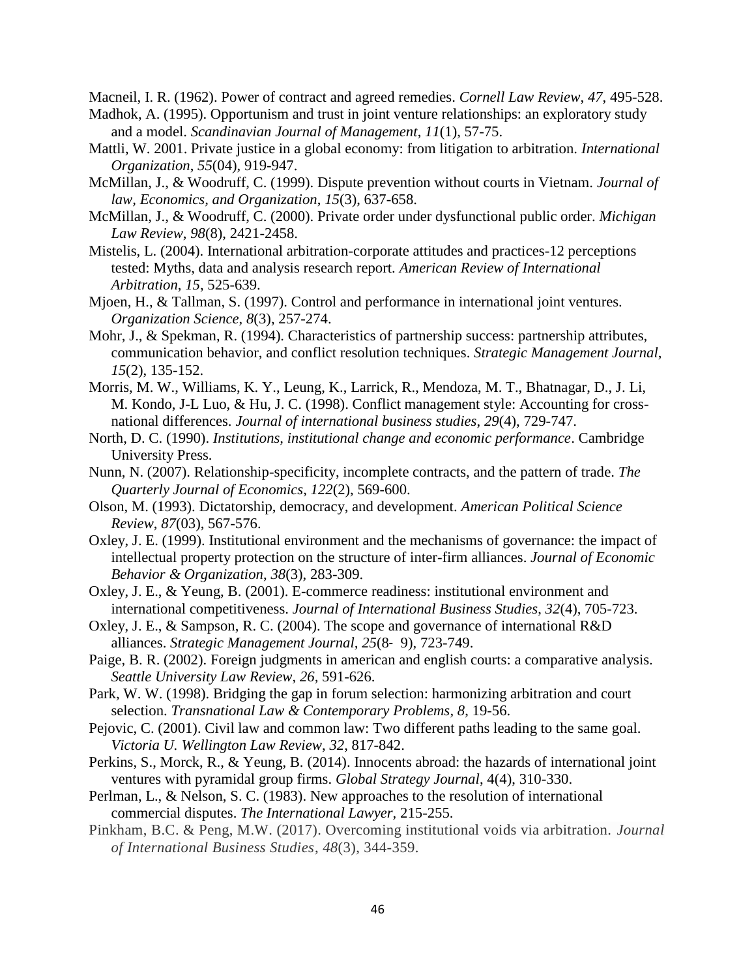Macneil, I. R. (1962). Power of contract and agreed remedies. *Cornell Law Review*, *47*, 495-528.

- Madhok, A. (1995). Opportunism and trust in joint venture relationships: an exploratory study and a model. *Scandinavian Journal of Management*, *11*(1), 57-75.
- Mattli, W. 2001. Private justice in a global economy: from litigation to arbitration. *International Organization*, *55*(04), 919-947.
- McMillan, J., & Woodruff, C. (1999). Dispute prevention without courts in Vietnam. *Journal of law, Economics, and Organization*, *15*(3), 637-658.
- McMillan, J., & Woodruff, C. (2000). Private order under dysfunctional public order. *Michigan Law Review*, *98*(8), 2421-2458.
- Mistelis, L. (2004). International arbitration-corporate attitudes and practices-12 perceptions tested: Myths, data and analysis research report. *American Review of International Arbitration*, *15*, 525-639.
- Mjoen, H., & Tallman, S. (1997). Control and performance in international joint ventures. *Organization Science*, *8*(3), 257-274.
- Mohr, J., & Spekman, R. (1994). Characteristics of partnership success: partnership attributes, communication behavior, and conflict resolution techniques. *Strategic Management Journal*, *15*(2), 135-152.
- Morris, M. W., Williams, K. Y., Leung, K., Larrick, R., Mendoza, M. T., Bhatnagar, D., J. Li, M. Kondo, J-L Luo, & Hu, J. C. (1998). Conflict management style: Accounting for crossnational differences. *Journal of international business studies*, *29*(4), 729-747.
- North, D. C. (1990). *Institutions, institutional change and economic performance*. Cambridge University Press.
- Nunn, N. (2007). Relationship-specificity, incomplete contracts, and the pattern of trade. *The Quarterly Journal of Economics*, *122*(2), 569-600.
- Olson, M. (1993). Dictatorship, democracy, and development. *American Political Science Review*, *87*(03), 567-576.
- Oxley, J. E. (1999). Institutional environment and the mechanisms of governance: the impact of intellectual property protection on the structure of inter-firm alliances. *Journal of Economic Behavior & Organization*, *38*(3), 283-309.
- Oxley, J. E., & Yeung, B. (2001). E-commerce readiness: institutional environment and international competitiveness. *Journal of International Business Studies*, *32*(4), 705-723.
- Oxley, J. E., & Sampson, R. C. (2004). The scope and governance of international R&D alliances. *Strategic Management Journal, 25*(8‐ 9), 723-749.
- Paige, B. R. (2002). Foreign judgments in american and english courts: a comparative analysis. *Seattle University Law Review*, *26,* 591-626.
- Park, W. W. (1998). Bridging the gap in forum selection: harmonizing arbitration and court selection. *Transnational Law & Contemporary Problems*, *8*, 19-56.
- Pejovic, C. (2001). Civil law and common law: Two different paths leading to the same goal. *Victoria U. Wellington Law Review*, *32*, 817-842.
- Perkins, S., Morck, R., & Yeung, B. (2014). Innocents abroad: the hazards of international joint ventures with pyramidal group firms. *Global Strategy Journal*, 4(4), 310-330.
- Perlman, L., & Nelson, S. C. (1983). New approaches to the resolution of international commercial disputes. *The International Lawyer,* 215-255.
- Pinkham, B.C. & Peng, M.W. (2017). Overcoming institutional voids via arbitration. *Journal of International Business Studies*, *48*(3), 344-359.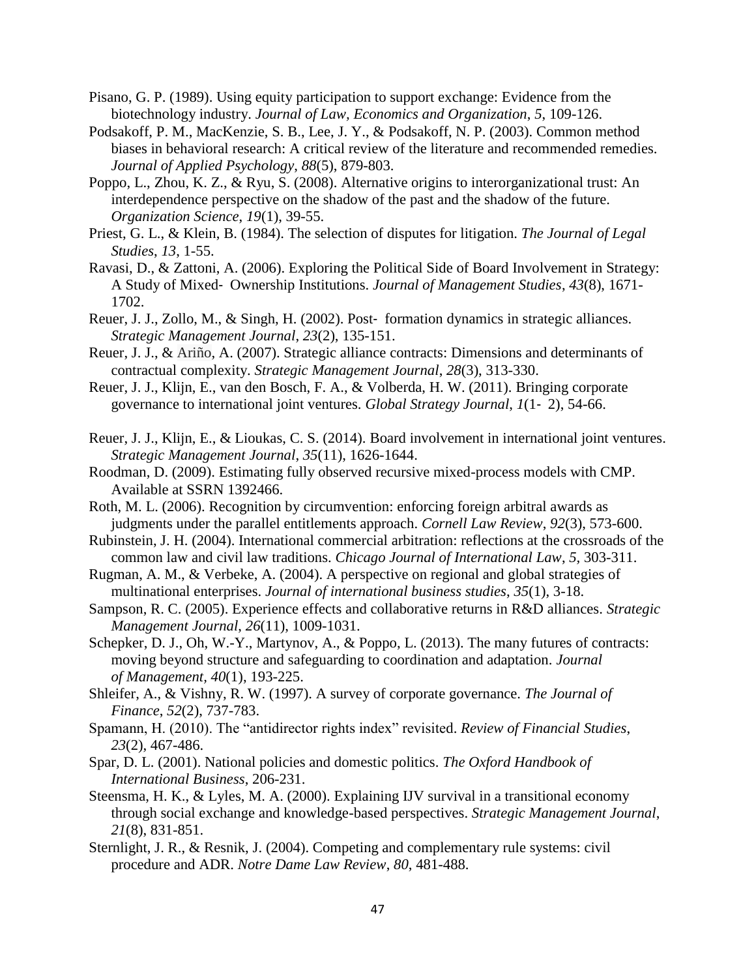- Pisano, G. P. (1989). Using equity participation to support exchange: Evidence from the biotechnology industry. *Journal of Law, Economics and Organization*, *5*, 109-126.
- Podsakoff, P. M., MacKenzie, S. B., Lee, J. Y., & Podsakoff, N. P. (2003). Common method biases in behavioral research: A critical review of the literature and recommended remedies. *Journal of Applied Psychology*, *88*(5), 879-803.
- Poppo, L., Zhou, K. Z., & Ryu, S. (2008). Alternative origins to interorganizational trust: An interdependence perspective on the shadow of the past and the shadow of the future. *Organization Science*, *19*(1), 39-55.
- Priest, G. L., & Klein, B. (1984). The selection of disputes for litigation. *The Journal of Legal Studies*, *13*, 1-55.
- Ravasi, D., & Zattoni, A. (2006). Exploring the Political Side of Board Involvement in Strategy: A Study of Mixed‐ Ownership Institutions. *Journal of Management Studies*, *43*(8), 1671- 1702.
- Reuer, J. J., Zollo, M., & Singh, H. (2002). Post‐ formation dynamics in strategic alliances. *Strategic Management Journal*, *23*(2), 135-151.
- Reuer, J. J., & Ariño, A. (2007). Strategic alliance contracts: Dimensions and determinants of contractual complexity. *Strategic Management Journal*, *28*(3), 313-330.
- Reuer, J. J., Klijn, E., van den Bosch, F. A., & Volberda, H. W. (2011). Bringing corporate governance to international joint ventures. *Global Strategy Journal*, *1*(1‐ 2), 54-66.
- Reuer, J. J., Klijn, E., & Lioukas, C. S. (2014). Board involvement in international joint ventures. *Strategic Management Journal*, *35*(11), 1626-1644.
- Roodman, D. (2009). Estimating fully observed recursive mixed-process models with CMP. Available at SSRN 1392466.
- Roth, M. L. (2006). Recognition by circumvention: enforcing foreign arbitral awards as judgments under the parallel entitlements approach. *Cornell Law Review*, *92*(3), 573-600.
- Rubinstein, J. H. (2004). International commercial arbitration: reflections at the crossroads of the common law and civil law traditions. *Chicago Journal of International Law*, *5,* 303-311.
- Rugman, A. M., & Verbeke, A. (2004). A perspective on regional and global strategies of multinational enterprises. *Journal of international business studies*, *35*(1), 3-18.
- Sampson, R. C. (2005). Experience effects and collaborative returns in R&D alliances. *Strategic Management Journal*, *26*(11), 1009-1031.
- Schepker, D. J., Oh, W.-Y., Martynov, A., & Poppo, L. (2013). The many futures of contracts: moving beyond structure and safeguarding to coordination and adaptation. *Journal of Management, 40*(1), 193-225.
- Shleifer, A., & Vishny, R. W. (1997). A survey of corporate governance. *The Journal of Finance*, *52*(2), 737-783.
- Spamann, H. (2010). The "antidirector rights index" revisited. *Review of Financial Studies*, *23*(2), 467-486.
- Spar, D. L. (2001). National policies and domestic politics. *The Oxford Handbook of International Business*, 206-231.
- Steensma, H. K., & Lyles, M. A. (2000). Explaining IJV survival in a transitional economy through social exchange and knowledge-based perspectives. *Strategic Management Journal*, *21*(8), 831-851.
- Sternlight, J. R., & Resnik, J. (2004). Competing and complementary rule systems: civil procedure and ADR. *Notre Dame Law Review*, *80*, 481-488.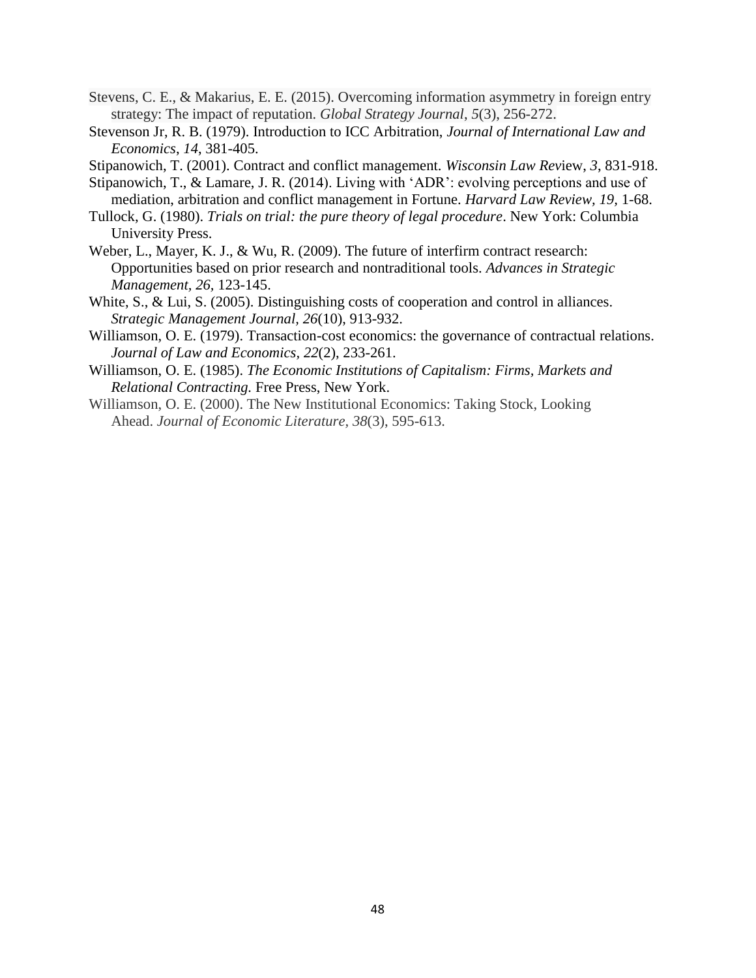- Stevens, C. E., & Makarius, E. E. (2015). Overcoming information asymmetry in foreign entry strategy: The impact of reputation. *Global Strategy Journal*, *5*(3), 256-272.
- Stevenson Jr, R. B. (1979). Introduction to ICC Arbitration, *Journal of International Law and Economics*, *14*, 381-405.
- Stipanowich, T. (2001). Contract and conflict management. *Wisconsin Law Rev*iew, *3*, 831-918.
- Stipanowich, T., & Lamare, J. R. (2014). Living with 'ADR': evolving perceptions and use of
- mediation, arbitration and conflict management in Fortune. *Harvard Law Review, 19,* 1-68. Tullock, G. (1980). *Trials on trial: the pure theory of legal procedure*. New York: Columbia University Press.
- Weber, L., Mayer, K. J., & Wu, R. (2009). The future of interfirm contract research: Opportunities based on prior research and nontraditional tools. *Advances in Strategic Management, 26,* 123-145.
- White, S., & Lui, S. (2005). Distinguishing costs of cooperation and control in alliances. *Strategic Management Journal, 26*(10), 913-932.
- Williamson, O. E. (1979). Transaction-cost economics: the governance of contractual relations. *Journal of Law and Economics, 22*(2), 233-261.
- Williamson, O. E. (1985). *The Economic Institutions of Capitalism: Firms, Markets and Relational Contracting.* Free Press, New York.
- Williamson, O. E. (2000). The New Institutional Economics: Taking Stock, Looking Ahead. *Journal of Economic Literature, 38*(3), 595-613.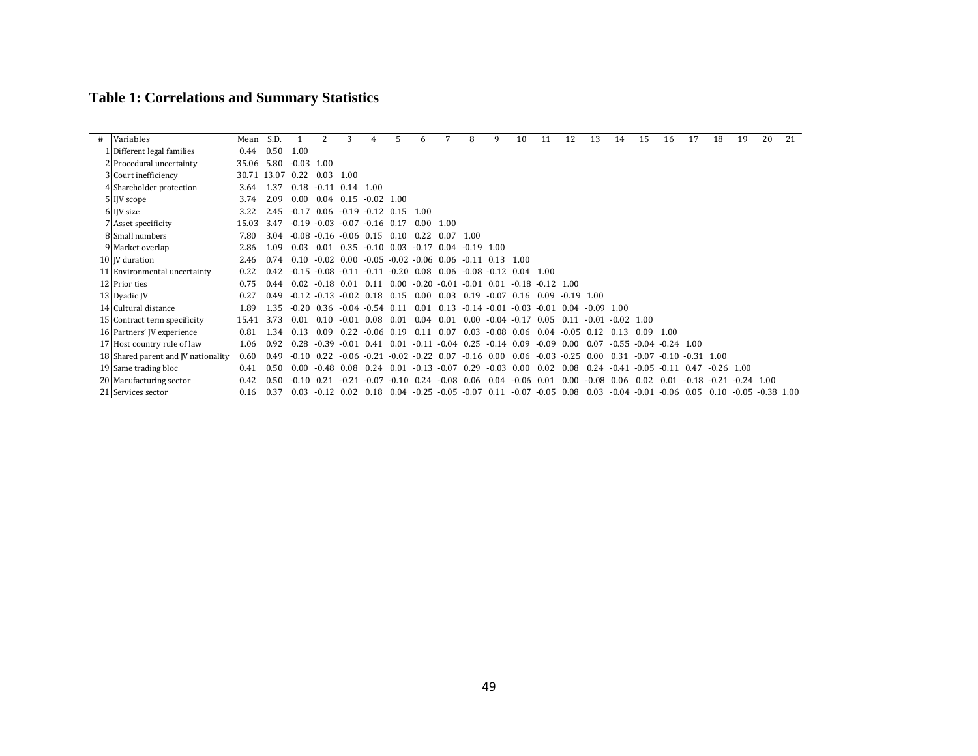# **Table 1: Correlations and Summary Statistics**

| # | Variables                           | Mean  | S.D.  |         |              |                            |              |       | 6       |                | 8                                | 9       | 10                | 11                  | 12           | 13           | 14               | 15                   | 16      | 17                             | 18           | 19                  | 20 | 21              |
|---|-------------------------------------|-------|-------|---------|--------------|----------------------------|--------------|-------|---------|----------------|----------------------------------|---------|-------------------|---------------------|--------------|--------------|------------------|----------------------|---------|--------------------------------|--------------|---------------------|----|-----------------|
|   | Different legal families            | 0.44  | 0.50  | 1.00    |              |                            |              |       |         |                |                                  |         |                   |                     |              |              |                  |                      |         |                                |              |                     |    |                 |
|   | 2 Procedural uncertainty            | 35.06 | 5.80  | $-0.03$ | 1.00         |                            |              |       |         |                |                                  |         |                   |                     |              |              |                  |                      |         |                                |              |                     |    |                 |
|   | 3 Court inefficiency                | 30.71 | 13.07 | 0.22    | 0.03         | 1.00                       |              |       |         |                |                                  |         |                   |                     |              |              |                  |                      |         |                                |              |                     |    |                 |
|   | 4 Shareholder protection            | 3.64  | 1.37  | 0.18    | $-0.11$ 0.14 |                            | 1.00         |       |         |                |                                  |         |                   |                     |              |              |                  |                      |         |                                |              |                     |    |                 |
|   | 5 IJV scope                         | 3.74  | 2.09  | 0.00    | 0.04         | 0.15                       | $-0.02$ 1.00 |       |         |                |                                  |         |                   |                     |              |              |                  |                      |         |                                |              |                     |    |                 |
|   | 6 IJV size                          | 3.22  | 2.45  | $-0.17$ |              | $0.06 - 0.19 - 0.12$ 0.15  |              |       | 1.00    |                |                                  |         |                   |                     |              |              |                  |                      |         |                                |              |                     |    | <b>COLLECT</b>  |
|   | 7 Asset specificity                 | 15.03 | 3.47  | $-0.19$ |              | $-0.03 - 0.07 - 0.16$ 0.17 |              |       | 0.00    | 1.00           |                                  |         |                   |                     |              |              |                  |                      |         |                                |              |                     |    | <b>COLLECT</b>  |
|   | 8 Small numbers                     | 7.80  | 3.04  | $-0.08$ |              | $-0.16 - 0.06$ 0.15        |              | 0.10  | 0.22    | 0.07           | 1.00                             |         |                   |                     |              |              |                  |                      |         |                                |              |                     |    |                 |
|   | 9 Market overlap                    | 2.86  | 1.09  | 0.03    | 0.01         | 0.35                       | $-0.10$      | 0.03  | $-0.17$ | 0.04           | $-0.19$ 1.00                     |         |                   |                     |              |              |                  |                      |         |                                |              |                     |    | $\sim 10^{-11}$ |
|   | 10 IV duration                      | 2.46  | 0.74  | 0.10    | $-0.02$ 0.00 |                            | $-0.05$      |       |         |                | $-0.02 - 0.06$ 0.06 $-0.11$ 0.13 |         | 1.00              |                     |              |              |                  |                      |         |                                |              |                     |    |                 |
|   | 11 Environmental uncertainty        | 0.22  | 0.42  | $-0.15$ | $-0.08$      | -0.11                      | -0.11        | -0.20 | 0.08    | 0.06           | $-0.08$                          | $-0.12$ | 0.04              | 1.00                |              |              |                  |                      |         |                                |              |                     |    |                 |
|   | 12 Prior ties                       | 0.75  | 0.44  | 0.02    | $-0.18$ 0.01 |                            | 0.11         | 0.00  | $-0.20$ | $-0.01$        | $-0.01$                          | 0.01    |                   | $-0.18 - 0.12$ 1.00 |              |              |                  |                      |         |                                |              |                     |    |                 |
|   | 13 Dyadic JV                        | 0.27  | 0.49  | $-0.12$ | $-0.13$      | $-0.02$                    | 0.18         | 0.15  | 0.00    | 0.03           | 0.19                             | $-0.07$ | 0.16              | 0.09                | $-0.19$ 1.00 |              |                  |                      |         |                                |              |                     |    |                 |
|   | 14 Cultural distance                | 1.89  | 1.35  | $-0.20$ | 0.36         | $-0.04 - 0.54$             |              | በ 11  | 0.01    | 0.13           | $-0.14$                          | $-0.01$ | $-0.03 - 0.01$    |                     | 0.04         | $-0.09$ 1.00 |                  |                      |         |                                |              |                     |    |                 |
|   | 15 Contract term specificity        | 15.41 | 3.73  | 0.01    | 0.10         | -0.01                      | 0.08         | 0.01  | 0.04    | 0.01           | 0.00                             | $-0.04$ | $-0.17$           | 0.05                | 0.11         | -0.01        | $-0.02 \pm 1.00$ |                      |         |                                |              |                     |    |                 |
|   | 16 Partners' JV experience          | 0.81  | 1.34  | 0.13    | 0.09         | 0.22                       | $-0.06$ 0.19 |       | 0.11    | 0.07           | 0.03                             |         | $-0.08$ 0.06 0.04 |                     | $-0.05$      | 0.12         | 0.13             | 0.09                 | 1.00    |                                |              |                     |    |                 |
|   | 17 Host country rule of law         | 1.06  | 0.92  | 0.28    | $-0.39$      | -0.01                      | 0.41         | 0 0 1 | $-0.11$ | $-0.04$        | 0.25                             | $-0.14$ | 0.09              | $-0.09$             | 0.00         | 0.07         | $-0.55$          | $-0.04$ $-0.24$ 1.00 |         |                                |              |                     |    |                 |
|   | 18 Shared parent and JV nationality | 0.60  | 0.49  | -0.10   | 0.22         | -0.06                      | $-0.21$      | -0.02 | $-0.22$ | 0.07           | $-0.16$                          | 0.00    | 0.06              | $-0.03$             | $-0.25$      | 0.00         | 0.31             | $-0.07$              | $-0.10$ | $-0.31$ 1.00                   |              |                     |    |                 |
|   | 19 Same trading bloc                | 0.41  | 0.50  | 0.00    | $-0.48$      | 0.08                       | 0.24         | 0.01  | $-0.13$ | $-0.07$        | 0.29                             | $-0.03$ | 0.00              | 0.02                | 0.08         | 0.24         | $-0.41$          | $-0.05$              | $-0.11$ | 0.47                           | $-0.26$ 1.00 |                     |    |                 |
|   | 20 Manufacturing sector             | 0.42  | 0.50  | $-0.10$ | 0.21         | -0.21                      | $-0.07$      | -0.10 | 0.24    | $-0.08$        | 0.06                             | 0.04    | -0.06             | 0.01                | 0.00         | $-0.08$      | 0.06             | 0.02                 | 0.01    | $-0.18$ $-0.21$ $-0.24$ $1.00$ |              |                     |    |                 |
|   | 21 Services sector                  | 0.16  | 0.37  | 0.03    | $-0.12$ 0.02 |                            | 0.18         | 0.04  | $-0.25$ | $-0.05 - 0.07$ |                                  | 0.11    | $-0.07$           | $-0.05$             | 0.08         | 0.03         | $-0.04$          | $-0.01 - 0.06$ 0.05  |         |                                | 0.10         | $-0.05 - 0.38$ 1.00 |    |                 |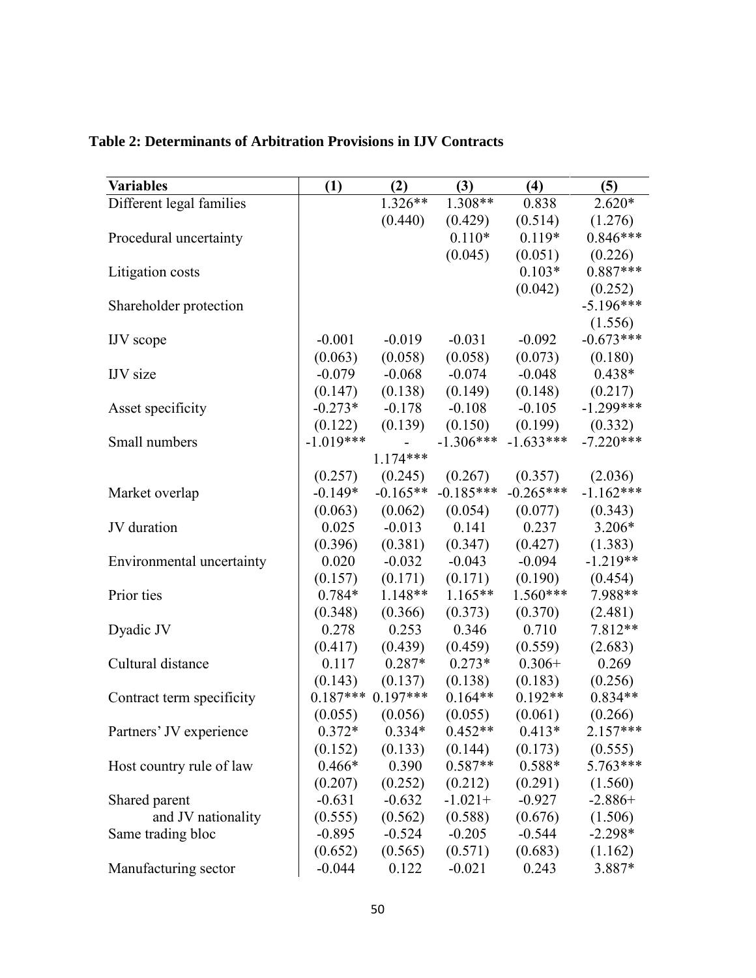| <b>Variables</b>          | (1)         | (2)                 | (3)         | (4)         | (5)         |
|---------------------------|-------------|---------------------|-------------|-------------|-------------|
| Different legal families  |             | 1.326**             | $1.308**$   | 0.838       | $2.620*$    |
|                           |             | (0.440)             | (0.429)     | (0.514)     | (1.276)     |
| Procedural uncertainty    |             |                     | $0.110*$    | $0.119*$    | $0.846***$  |
|                           |             |                     | (0.045)     | (0.051)     | (0.226)     |
| Litigation costs          |             |                     |             | $0.103*$    | $0.887***$  |
|                           |             |                     |             | (0.042)     | (0.252)     |
| Shareholder protection    |             |                     |             |             | $-5.196***$ |
|                           |             |                     |             |             | (1.556)     |
| IJV scope                 | $-0.001$    | $-0.019$            | $-0.031$    | $-0.092$    | $-0.673***$ |
|                           | (0.063)     | (0.058)             | (0.058)     | (0.073)     | (0.180)     |
| <b>IJV</b> size           | $-0.079$    | $-0.068$            | $-0.074$    | $-0.048$    | $0.438*$    |
|                           | (0.147)     | (0.138)             | (0.149)     | (0.148)     | (0.217)     |
| Asset specificity         | $-0.273*$   | $-0.178$            | $-0.108$    | $-0.105$    | $-1.299***$ |
|                           | (0.122)     | (0.139)             | (0.150)     | (0.199)     | (0.332)     |
| Small numbers             | $-1.019***$ |                     | $-1.306***$ | $-1.633***$ | $-7.220***$ |
|                           |             | $1.174***$          |             |             |             |
|                           | (0.257)     | (0.245)             | (0.267)     | (0.357)     | (2.036)     |
| Market overlap            | $-0.149*$   | $-0.165**$          | $-0.185***$ | $-0.265***$ | $-1.162***$ |
|                           | (0.063)     | (0.062)             | (0.054)     | (0.077)     | (0.343)     |
| JV duration               | 0.025       | $-0.013$            | 0.141       | 0.237       | $3.206*$    |
|                           | (0.396)     | (0.381)             | (0.347)     | (0.427)     | (1.383)     |
| Environmental uncertainty | 0.020       | $-0.032$            | $-0.043$    | $-0.094$    | $-1.219**$  |
|                           | (0.157)     | (0.171)             | (0.171)     | (0.190)     | (0.454)     |
| Prior ties                | 0.784*      | 1.148**             | $1.165**$   | $1.560***$  | 7.988**     |
|                           | (0.348)     | (0.366)             | (0.373)     | (0.370)     | (2.481)     |
| Dyadic JV                 | 0.278       | 0.253               | 0.346       | 0.710       | 7.812**     |
|                           | (0.417)     | (0.439)             | (0.459)     | (0.559)     | (2.683)     |
| Cultural distance         | 0.117       | $0.287*$            | $0.273*$    | $0.306+$    | 0.269       |
|                           | (0.143)     | (0.137)             | (0.138)     | (0.183)     | (0.256)     |
| Contract term specificity |             | $0.187***$ 0.197*** | $0.164**$   | $0.192**$   | $0.834**$   |
|                           | (0.055)     | (0.056)             | (0.055)     | (0.061)     | (0.266)     |
| Partners' JV experience   | $0.372*$    | $0.334*$            | $0.452**$   | $0.413*$    | $2.157***$  |
|                           | (0.152)     | (0.133)             | (0.144)     | (0.173)     | (0.555)     |
| Host country rule of law  | $0.466*$    | 0.390               | $0.587**$   | $0.588*$    | 5.763***    |
|                           | (0.207)     | (0.252)             | (0.212)     | (0.291)     | (1.560)     |
| Shared parent             | $-0.631$    | $-0.632$            | $-1.021+$   | $-0.927$    | $-2.886+$   |
| and JV nationality        | (0.555)     | (0.562)             | (0.588)     | (0.676)     | (1.506)     |
| Same trading bloc         | $-0.895$    | $-0.524$            | $-0.205$    | $-0.544$    | $-2.298*$   |
|                           | (0.652)     | (0.565)             | (0.571)     | (0.683)     | (1.162)     |
| Manufacturing sector      | $-0.044$    | 0.122               | $-0.021$    | 0.243       | 3.887*      |

## **Table 2: Determinants of Arbitration Provisions in IJV Contracts**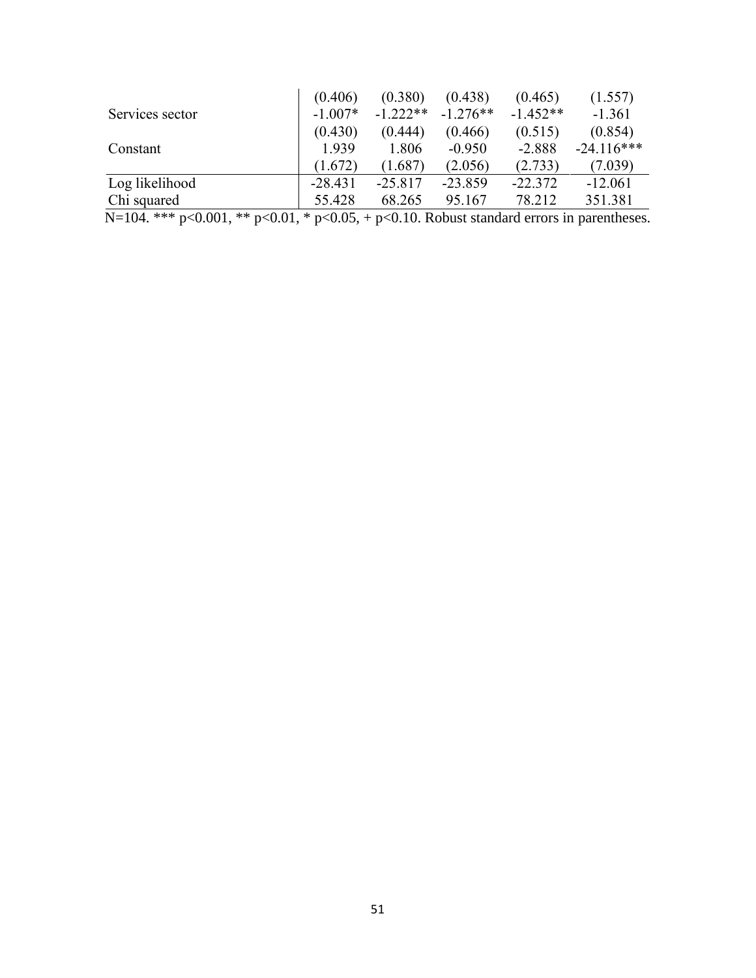|                 | (0.406)   | (0.380)    | (0.438)    | (0.465)    | (1.557)      |
|-----------------|-----------|------------|------------|------------|--------------|
| Services sector | $-1.007*$ | $-1.222**$ | $-1.276**$ | $-1.452**$ | $-1.361$     |
|                 | (0.430)   | (0.444)    | (0.466)    | (0.515)    | (0.854)      |
| Constant        | 1.939     | 1.806      | $-0.950$   | $-2.888$   | $-24.116***$ |
|                 | (1.672)   | (1.687)    | (2.056)    | (2.733)    | (7.039)      |
| Log likelihood  | $-28.431$ | $-25.817$  | $-23.859$  | $-22.372$  | $-12.061$    |
| Chi squared     | 55.428    | 68.265     | 95.167     | 78.212     | 351.381      |

N=104. \*\*\* p<0.001, \*\* p<0.01, \* p<0.05, + p<0.10. Robust standard errors in parentheses.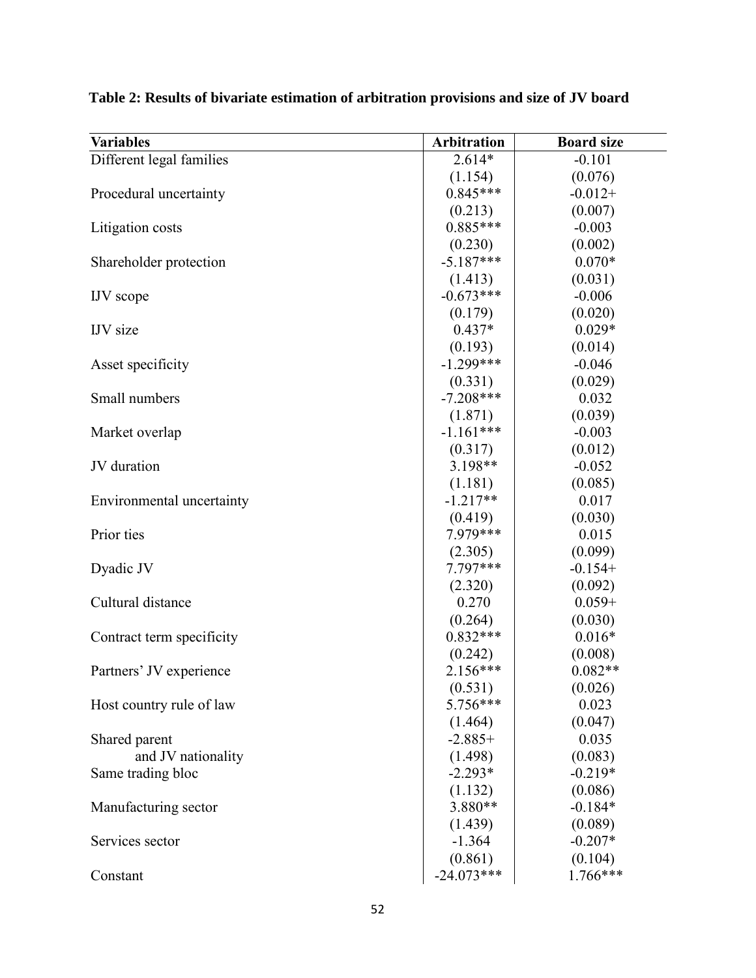| <b>Variables</b>          | <b>Arbitration</b> | <b>Board size</b> |
|---------------------------|--------------------|-------------------|
| Different legal families  | $2.614*$           | $-0.101$          |
|                           | (1.154)            | (0.076)           |
| Procedural uncertainty    | $0.845***$         | $-0.012+$         |
|                           | (0.213)            | (0.007)           |
| Litigation costs          | $0.885***$         | $-0.003$          |
|                           | (0.230)            | (0.002)           |
| Shareholder protection    | $-5.187***$        | $0.070*$          |
|                           | (1.413)            | (0.031)           |
| <b>IJV</b> scope          | $-0.673***$        | $-0.006$          |
|                           | (0.179)            | (0.020)           |
| <b>IJV</b> size           | $0.437*$           | $0.029*$          |
|                           | (0.193)            | (0.014)           |
| Asset specificity         | $-1.299***$        | $-0.046$          |
|                           | (0.331)            | (0.029)           |
| Small numbers             | $-7.208***$        | 0.032             |
|                           | (1.871)            | (0.039)           |
| Market overlap            | $-1.161***$        | $-0.003$          |
|                           | (0.317)            | (0.012)           |
| JV duration               | 3.198**            | $-0.052$          |
|                           | (1.181)            | (0.085)           |
| Environmental uncertainty | $-1.217**$         | 0.017             |
|                           | (0.419)            | (0.030)           |
| Prior ties                | 7.979***           | 0.015             |
|                           | (2.305)            | (0.099)           |
| Dyadic JV                 | 7.797***           | $-0.154+$         |
|                           | (2.320)            | (0.092)           |
| Cultural distance         | 0.270              | $0.059 +$         |
|                           | (0.264)            | (0.030)           |
| Contract term specificity | $0.832***$         | $0.016*$          |
|                           | (0.242)            | (0.008)           |
| Partners' JV experience   | $2.156***$         | $0.082**$         |
|                           | (0.531)            | (0.026)           |
| Host country rule of law  | 5.756***           | 0.023             |
|                           | (1.464)            | (0.047)           |
| Shared parent             | $-2.885+$          | 0.035             |
| and JV nationality        | (1.498)            | (0.083)           |
| Same trading bloc         | $-2.293*$          | $-0.219*$         |
|                           | (1.132)            | (0.086)           |
| Manufacturing sector      | 3.880**            | $-0.184*$         |
|                           | (1.439)            | (0.089)           |
| Services sector           | $-1.364$           | $-0.207*$         |
|                           | (0.861)            | (0.104)           |
| Constant                  | $-24.073***$       | 1.766***          |

**Table 2: Results of bivariate estimation of arbitration provisions and size of JV board**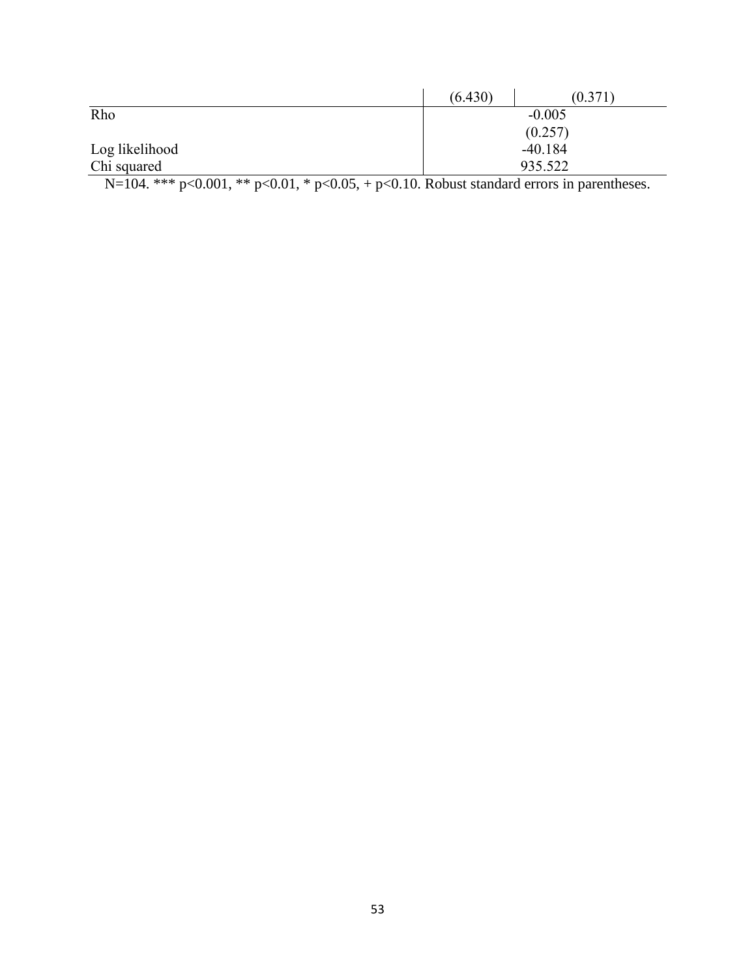|                | (6.430) | (0.371)   |
|----------------|---------|-----------|
| Rho            |         | $-0.005$  |
|                |         | (0.257)   |
| Log likelihood |         | $-40.184$ |
| Chi squared    |         | 935.522   |

N=104. \*\*\*  $p<0.001$ , \*\*  $p<0.01$ , \*  $p<0.05$ , +  $p<0.10$ . Robust standard errors in parentheses.